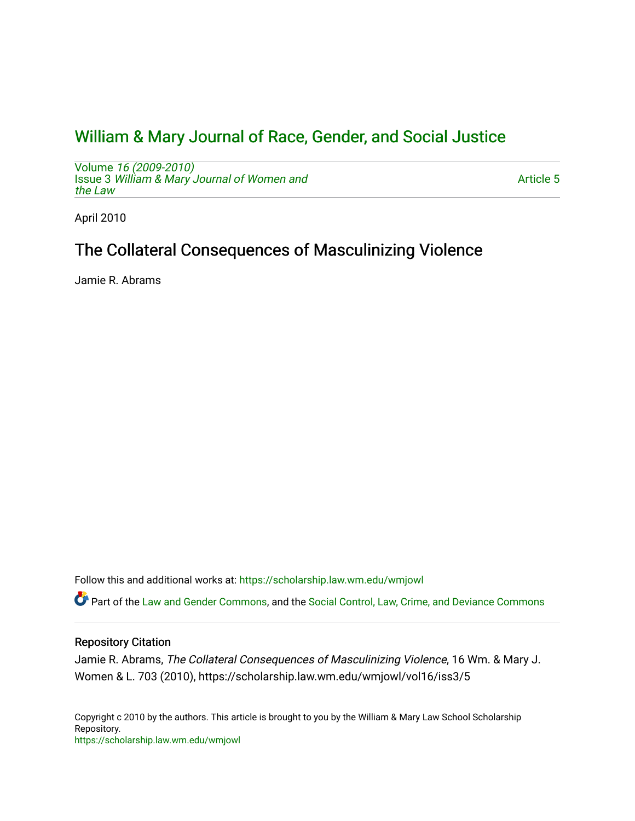# [William & Mary Journal of Race, Gender, and Social Justice](https://scholarship.law.wm.edu/wmjowl)

Volume [16 \(2009-2010\)](https://scholarship.law.wm.edu/wmjowl/vol16)  Issue 3 [William & Mary Journal of Women and](https://scholarship.law.wm.edu/wmjowl/vol16/iss3) [the Law](https://scholarship.law.wm.edu/wmjowl/vol16/iss3)

[Article 5](https://scholarship.law.wm.edu/wmjowl/vol16/iss3/5) 

April 2010

# The Collateral Consequences of Masculinizing Violence

Jamie R. Abrams

Follow this and additional works at: [https://scholarship.law.wm.edu/wmjowl](https://scholarship.law.wm.edu/wmjowl?utm_source=scholarship.law.wm.edu%2Fwmjowl%2Fvol16%2Fiss3%2F5&utm_medium=PDF&utm_campaign=PDFCoverPages) 

Part of the [Law and Gender Commons,](http://network.bepress.com/hgg/discipline/1298?utm_source=scholarship.law.wm.edu%2Fwmjowl%2Fvol16%2Fiss3%2F5&utm_medium=PDF&utm_campaign=PDFCoverPages) and the [Social Control, Law, Crime, and Deviance Commons](http://network.bepress.com/hgg/discipline/429?utm_source=scholarship.law.wm.edu%2Fwmjowl%2Fvol16%2Fiss3%2F5&utm_medium=PDF&utm_campaign=PDFCoverPages)

## Repository Citation

Jamie R. Abrams, The Collateral Consequences of Masculinizing Violence, 16 Wm. & Mary J. Women & L. 703 (2010), https://scholarship.law.wm.edu/wmjowl/vol16/iss3/5

Copyright c 2010 by the authors. This article is brought to you by the William & Mary Law School Scholarship Repository. <https://scholarship.law.wm.edu/wmjowl>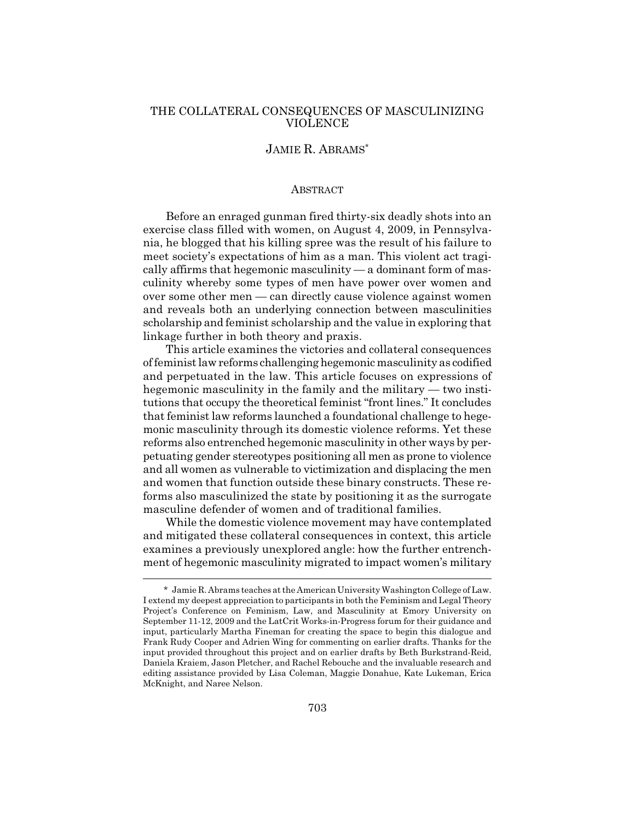## THE COLLATERAL CONSEQUENCES OF MASCULINIZING VIOLENCE

# JAMIE R. ABRAMS\*

#### ABSTRACT

Before an enraged gunman fired thirty-six deadly shots into an exercise class filled with women, on August 4, 2009, in Pennsylvania, he blogged that his killing spree was the result of his failure to meet society's expectations of him as a man. This violent act tragically affirms that hegemonic masculinity — a dominant form of masculinity whereby some types of men have power over women and over some other men — can directly cause violence against women and reveals both an underlying connection between masculinities scholarship and feminist scholarship and the value in exploring that linkage further in both theory and praxis.

This article examines the victories and collateral consequences of feminist law reforms challenging hegemonic masculinity as codified and perpetuated in the law. This article focuses on expressions of hegemonic masculinity in the family and the military — two institutions that occupy the theoretical feminist "front lines." It concludes that feminist law reforms launched a foundational challenge to hegemonic masculinity through its domestic violence reforms. Yet these reforms also entrenched hegemonic masculinity in other ways by perpetuating gender stereotypes positioning all men as prone to violence and all women as vulnerable to victimization and displacing the men and women that function outside these binary constructs. These reforms also masculinized the state by positioning it as the surrogate masculine defender of women and of traditional families.

While the domestic violence movement may have contemplated and mitigated these collateral consequences in context, this article examines a previously unexplored angle: how the further entrenchment of hegemonic masculinity migrated to impact women's military

<sup>\*</sup> Jamie R. Abrams teaches at the American University Washington College of Law. I extend my deepest appreciation to participants in both the Feminism and Legal Theory Project's Conference on Feminism, Law, and Masculinity at Emory University on September 11-12, 2009 and the LatCrit Works-in-Progress forum for their guidance and input, particularly Martha Fineman for creating the space to begin this dialogue and Frank Rudy Cooper and Adrien Wing for commenting on earlier drafts. Thanks for the input provided throughout this project and on earlier drafts by Beth Burkstrand-Reid, Daniela Kraiem, Jason Pletcher, and Rachel Rebouche and the invaluable research and editing assistance provided by Lisa Coleman, Maggie Donahue, Kate Lukeman, Erica McKnight, and Naree Nelson.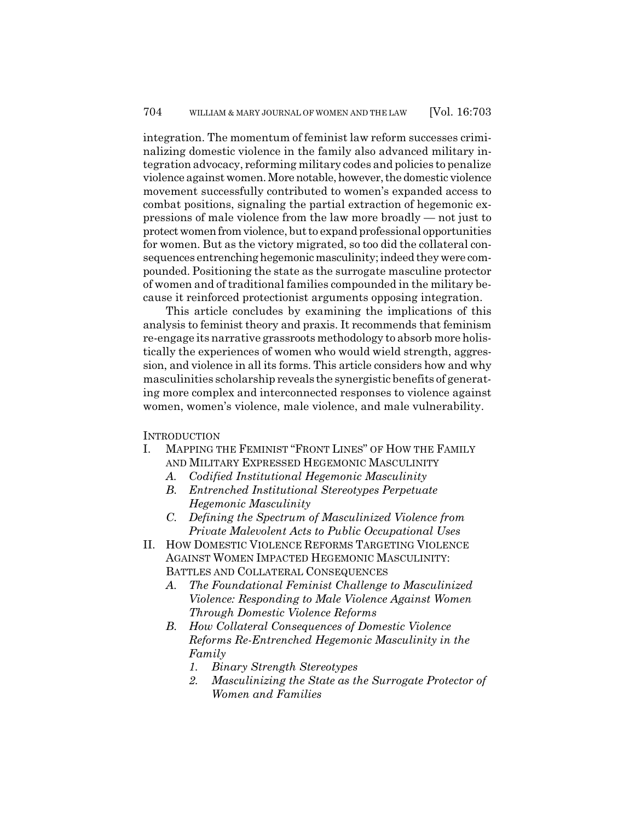integration. The momentum of feminist law reform successes criminalizing domestic violence in the family also advanced military integration advocacy, reforming military codes and policies to penalize violence against women. More notable, however, the domestic violence movement successfully contributed to women's expanded access to combat positions, signaling the partial extraction of hegemonic expressions of male violence from the law more broadly — not just to protect women from violence, but to expand professional opportunities for women. But as the victory migrated, so too did the collateral consequences entrenching hegemonic masculinity; indeed they were compounded. Positioning the state as the surrogate masculine protector of women and of traditional families compounded in the military because it reinforced protectionist arguments opposing integration.

This article concludes by examining the implications of this analysis to feminist theory and praxis. It recommends that feminism re-engage its narrative grassroots methodology to absorb more holistically the experiences of women who would wield strength, aggression, and violence in all its forms. This article considers how and why masculinities scholarship reveals the synergistic benefits of generating more complex and interconnected responses to violence against women, women's violence, male violence, and male vulnerability.

**INTRODUCTION** 

- I. MAPPING THE FEMINIST "FRONT LINES" OF HOW THE FAMILY AND MILITARY EXPRESSED HEGEMONIC MASCULINITY
	- *A. Codified Institutional Hegemonic Masculinity*
	- *B. Entrenched Institutional Stereotypes Perpetuate Hegemonic Masculinity*
	- *C. Defining the Spectrum of Masculinized Violence from Private Malevolent Acts to Public Occupational Uses*
- II. HOW DOMESTIC VIOLENCE REFORMS TARGETING VIOLENCE AGAINST WOMEN IMPACTED HEGEMONIC MASCULINITY: BATTLES AND COLLATERAL CONSEQUENCES
	- *A. The Foundational Feminist Challenge to Masculinized Violence: Responding to Male Violence Against Women Through Domestic Violence Reforms*
	- *B. How Collateral Consequences of Domestic Violence Reforms Re-Entrenched Hegemonic Masculinity in the Family*
		- *1. Binary Strength Stereotypes*
		- *2. Masculinizing the State as the Surrogate Protector of Women and Families*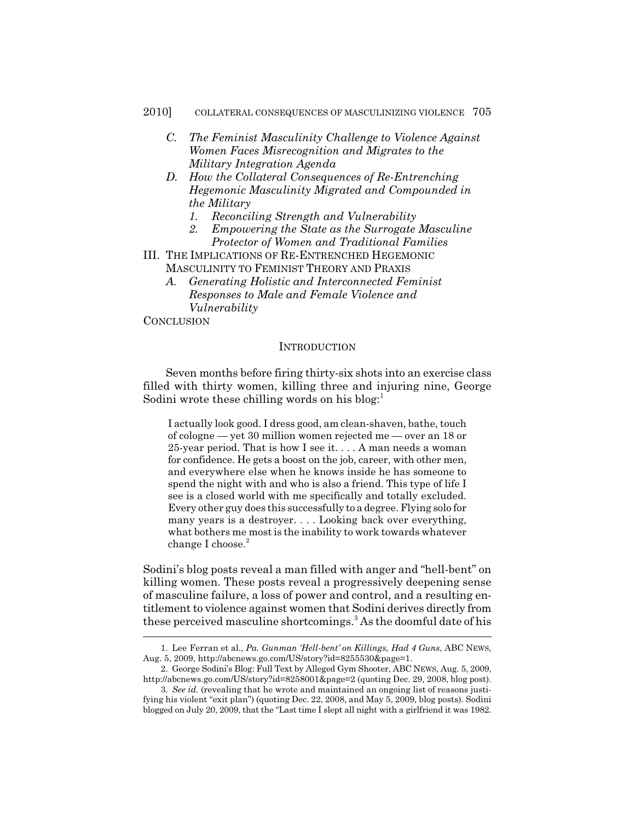- *C. The Feminist Masculinity Challenge to Violence Against Women Faces Misrecognition and Migrates to the Military Integration Agenda*
- *D. How the Collateral Consequences of Re-Entrenching Hegemonic Masculinity Migrated and Compounded in the Military*
	- *1. Reconciling Strength and Vulnerability*
	- *2. Empowering the State as the Surrogate Masculine Protector of Women and Traditional Families*
- III. THE IMPLICATIONS OF RE-ENTRENCHED HEGEMONIC MASCULINITY TO FEMINIST THEORY AND PRAXIS
	- *A. Generating Holistic and Interconnected Feminist Responses to Male and Female Violence and Vulnerability*

**CONCLUSION** 

#### **INTRODUCTION**

Seven months before firing thirty-six shots into an exercise class filled with thirty women, killing three and injuring nine, George Sodini wrote these chilling words on his blog: $<sup>1</sup>$ </sup>

I actually look good. I dress good, am clean-shaven, bathe, touch of cologne — yet 30 million women rejected me — over an 18 or 25-year period. That is how I see it. . . . A man needs a woman for confidence. He gets a boost on the job, career, with other men, and everywhere else when he knows inside he has someone to spend the night with and who is also a friend. This type of life I see is a closed world with me specifically and totally excluded. Every other guy does this successfully to a degree. Flying solo for many years is a destroyer. . . . Looking back over everything, what bothers me most is the inability to work towards whatever change I choose. $2$ 

Sodini's blog posts reveal a man filled with anger and "hell-bent" on killing women. These posts reveal a progressively deepening sense of masculine failure, a loss of power and control, and a resulting entitlement to violence against women that Sodini derives directly from these perceived masculine shortcomings.<sup>3</sup> As the doomful date of his

<sup>1.</sup> Lee Ferran et al., *Pa. Gunman 'Hell-bent' on Killings, Had 4 Guns*, ABC NEWS, Aug. 5, 2009, http://abcnews.go.com/US/story?id=8255530&page=1.

<sup>2.</sup> George Sodini's Blog: Full Text by Alleged Gym Shooter, ABC NEWS, Aug. 5, 2009, http://abcnews.go.com/US/story?id=8258001&page=2 (quoting Dec. 29, 2008, blog post).

<sup>3.</sup> *See id.* (revealing that he wrote and maintained an ongoing list of reasons justifying his violent "exit plan") (quoting Dec. 22, 2008, and May 5, 2009, blog posts). Sodini blogged on July 20, 2009, that the "Last time I slept all night with a girlfriend it was 1982.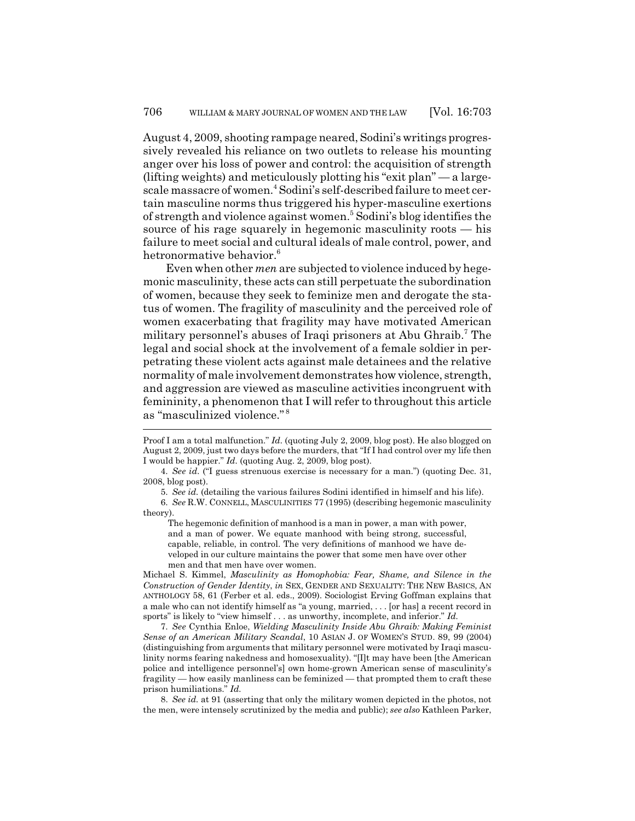August 4, 2009, shooting rampage neared, Sodini's writings progressively revealed his reliance on two outlets to release his mounting anger over his loss of power and control: the acquisition of strength (lifting weights) and meticulously plotting his "exit plan" — a largescale massacre of women.4 Sodini's self-described failure to meet certain masculine norms thus triggered his hyper-masculine exertions of strength and violence against women.<sup>5</sup> Sodini's blog identifies the source of his rage squarely in hegemonic masculinity roots — his failure to meet social and cultural ideals of male control, power, and hetronormative behavior.<sup>6</sup>

Even when other *men* are subjected to violence induced by hegemonic masculinity, these acts can still perpetuate the subordination of women, because they seek to feminize men and derogate the status of women. The fragility of masculinity and the perceived role of women exacerbating that fragility may have motivated American military personnel's abuses of Iraqi prisoners at Abu Ghraib.<sup>7</sup> The legal and social shock at the involvement of a female soldier in perpetrating these violent acts against male detainees and the relative normality of male involvement demonstrates how violence, strength, and aggression are viewed as masculine activities incongruent with femininity, a phenomenon that I will refer to throughout this article as "masculinized violence." <sup>8</sup>

The hegemonic definition of manhood is a man in power, a man with power, and a man of power. We equate manhood with being strong, successful, capable, reliable, in control. The very definitions of manhood we have developed in our culture maintains the power that some men have over other men and that men have over women.

Michael S. Kimmel, *Masculinity as Homophobia: Fear, Shame, and Silence in the Construction of Gender Identity*, *in* SEX, GENDER AND SEXUALITY: THE NEW BASICS, AN ANTHOLOGY 58, 61 (Ferber et al. eds., 2009). Sociologist Erving Goffman explains that a male who can not identify himself as "a young, married, . . . [or has] a recent record in sports" is likely to "view himself . . . as unworthy, incomplete, and inferior." *Id.*

7. *See* Cynthia Enloe, *Wielding Masculinity Inside Abu Ghraib: Making Feminist Sense of an American Military Scandal*, 10 ASIAN J. OF WOMEN'S STUD. 89, 99 (2004) (distinguishing from arguments that military personnel were motivated by Iraqi masculinity norms fearing nakedness and homosexuality). "[I]t may have been [the American police and intelligence personnel's] own home-grown American sense of masculinity's fragility — how easily manliness can be feminized — that prompted them to craft these prison humiliations." *Id.*

8. *See id.* at 91 (asserting that only the military women depicted in the photos, not the men, were intensely scrutinized by the media and public); *see also* Kathleen Parker,

Proof I am a total malfunction." *Id.* (quoting July 2, 2009, blog post). He also blogged on August 2, 2009, just two days before the murders, that "If I had control over my life then I would be happier." *Id.* (quoting Aug. 2, 2009, blog post).

<sup>4.</sup> *See id.* ("I guess strenuous exercise is necessary for a man.") (quoting Dec. 31, 2008, blog post).

<sup>5.</sup> *See id.* (detailing the various failures Sodini identified in himself and his life).

<sup>6.</sup> *See* R.W. CONNELL, MASCULINITIES 77 (1995) (describing hegemonic masculinity theory).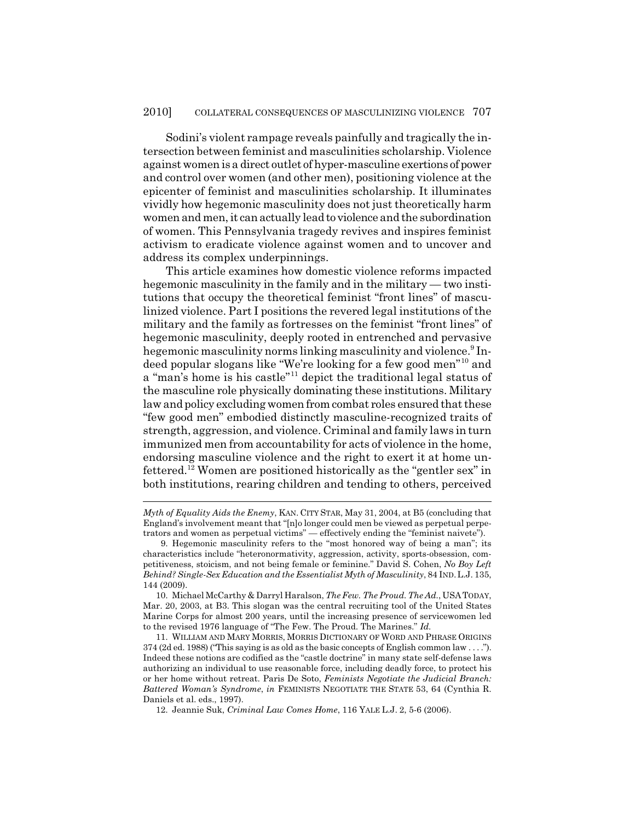Sodini's violent rampage reveals painfully and tragically the intersection between feminist and masculinities scholarship. Violence against women is a direct outlet of hyper-masculine exertions of power and control over women (and other men), positioning violence at the epicenter of feminist and masculinities scholarship. It illuminates vividly how hegemonic masculinity does not just theoretically harm women and men, it can actually lead to violence and the subordination of women. This Pennsylvania tragedy revives and inspires feminist activism to eradicate violence against women and to uncover and address its complex underpinnings.

This article examines how domestic violence reforms impacted hegemonic masculinity in the family and in the military — two institutions that occupy the theoretical feminist "front lines" of masculinized violence. Part I positions the revered legal institutions of the military and the family as fortresses on the feminist "front lines" of hegemonic masculinity, deeply rooted in entrenched and pervasive hegemonic masculinity norms linking masculinity and violence.<sup>9</sup> Indeed popular slogans like "We're looking for a few good men"10 and a "man's home is his castle"11 depict the traditional legal status of the masculine role physically dominating these institutions. Military law and policy excluding women from combat roles ensured that these "few good men" embodied distinctly masculine-recognized traits of strength, aggression, and violence. Criminal and family laws in turn immunized men from accountability for acts of violence in the home, endorsing masculine violence and the right to exert it at home unfettered.12 Women are positioned historically as the "gentler sex" in both institutions, rearing children and tending to others, perceived

*Myth of Equality Aids the Enemy*, KAN. CITY STAR, May 31, 2004, at B5 (concluding that England's involvement meant that "[n]o longer could men be viewed as perpetual perpetrators and women as perpetual victims" — effectively ending the "feminist naivete").

<sup>9.</sup> Hegemonic masculinity refers to the "most honored way of being a man"; its characteristics include "heteronormativity, aggression, activity, sports-obsession, competitiveness, stoicism, and not being female or feminine." David S. Cohen, *No Boy Left Behind? Single-Sex Education and the Essentialist Myth of Masculinity*, 84 IND.L.J. 135, 144 (2009).

<sup>10.</sup> Michael McCarthy & Darryl Haralson, *The Few. The Proud. The Ad.*, USATODAY, Mar. 20, 2003, at B3. This slogan was the central recruiting tool of the United States Marine Corps for almost 200 years, until the increasing presence of servicewomen led to the revised 1976 language of "The Few. The Proud. The Marines." *Id.*

<sup>11.</sup> WILLIAM AND MARY MORRIS, MORRIS DICTIONARY OF WORD AND PHRASE ORIGINS 374 (2d ed. 1988) ("This saying is as old as the basic concepts of English common law . . . ."). Indeed these notions are codified as the "castle doctrine" in many state self-defense laws authorizing an individual to use reasonable force, including deadly force, to protect his or her home without retreat. Paris De Soto, *Feminists Negotiate the Judicial Branch: Battered Woman's Syndrome*, *in* FEMINISTS NEGOTIATE THE STATE 53, 64 (Cynthia R. Daniels et al. eds., 1997).

<sup>12.</sup> Jeannie Suk, *Criminal Law Comes Home*, 116 YALE L.J. 2, 5-6 (2006).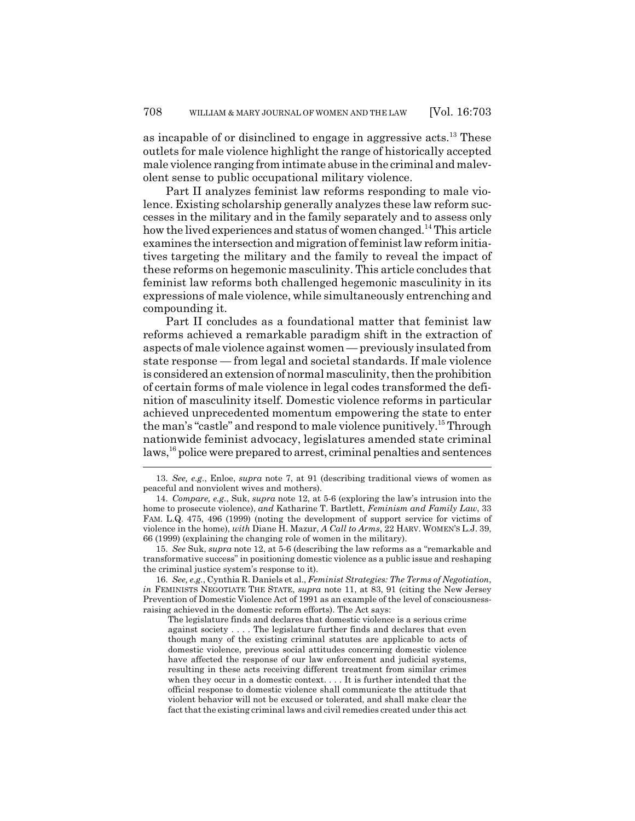as incapable of or disinclined to engage in aggressive acts.<sup>13</sup> These outlets for male violence highlight the range of historically accepted male violence ranging from intimate abuse in the criminal and malevolent sense to public occupational military violence.

Part II analyzes feminist law reforms responding to male violence. Existing scholarship generally analyzes these law reform successes in the military and in the family separately and to assess only how the lived experiences and status of women changed.<sup>14</sup> This article examines the intersection and migration of feminist law reform initiatives targeting the military and the family to reveal the impact of these reforms on hegemonic masculinity. This article concludes that feminist law reforms both challenged hegemonic masculinity in its expressions of male violence, while simultaneously entrenching and compounding it.

Part II concludes as a foundational matter that feminist law reforms achieved a remarkable paradigm shift in the extraction of aspects of male violence against women — previously insulated from state response — from legal and societal standards. If male violence is considered an extension of normal masculinity, then the prohibition of certain forms of male violence in legal codes transformed the definition of masculinity itself. Domestic violence reforms in particular achieved unprecedented momentum empowering the state to enter the man's "castle" and respond to male violence punitively.15 Through nationwide feminist advocacy, legislatures amended state criminal laws,16 police were prepared to arrest, criminal penalties and sentences

15. *See* Suk, *supra* note 12, at 5-6 (describing the law reforms as a "remarkable and transformative success" in positioning domestic violence as a public issue and reshaping the criminal justice system's response to it).

16. *See, e.g.*, Cynthia R. Daniels et al., *Feminist Strategies: The Terms of Negotiation*, *in* FEMINISTS NEGOTIATE THE STATE, *supra* note 11, at 83, 91 (citing the New Jersey Prevention of Domestic Violence Act of 1991 as an example of the level of consciousnessraising achieved in the domestic reform efforts). The Act says:

The legislature finds and declares that domestic violence is a serious crime against society . . . . The legislature further finds and declares that even though many of the existing criminal statutes are applicable to acts of domestic violence, previous social attitudes concerning domestic violence have affected the response of our law enforcement and judicial systems, resulting in these acts receiving different treatment from similar crimes when they occur in a domestic context. . . . It is further intended that the official response to domestic violence shall communicate the attitude that violent behavior will not be excused or tolerated, and shall make clear the fact that the existing criminal laws and civil remedies created under this act

<sup>13.</sup> *See, e.g.*, Enloe, *supra* note 7, at 91 (describing traditional views of women as peaceful and nonviolent wives and mothers).

<sup>14.</sup> *Compare, e.g.*, Suk, *supra* note 12, at 5-6 (exploring the law's intrusion into the home to prosecute violence), *and* Katharine T. Bartlett, *Feminism and Family Law*, 33 FAM. L.Q. 475, 496 (1999) (noting the development of support service for victims of violence in the home), *with* Diane H. Mazur, *A Call to Arms*, 22 HARV. WOMEN'S L.J. 39, 66 (1999) (explaining the changing role of women in the military).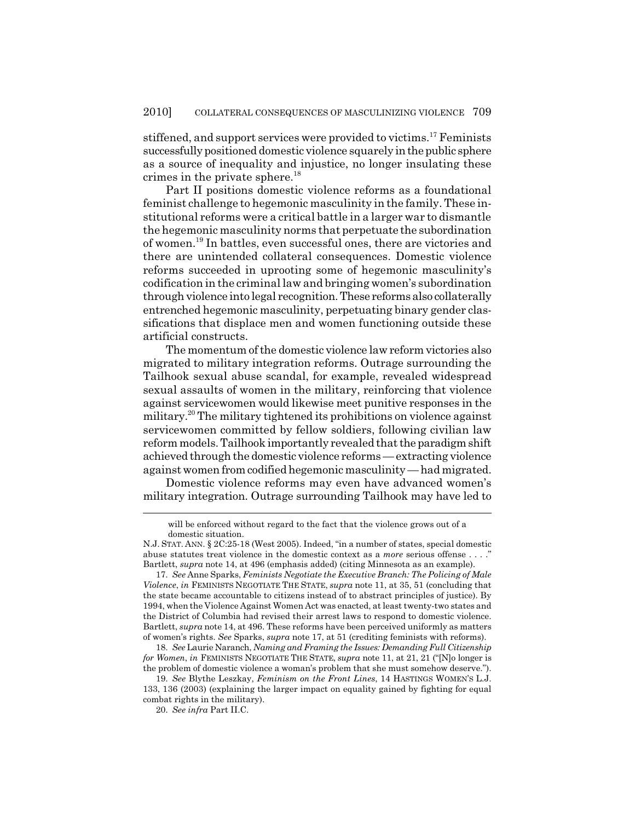stiffened, and support services were provided to victims.<sup>17</sup> Feminists successfully positioned domestic violence squarely in the public sphere as a source of inequality and injustice, no longer insulating these crimes in the private sphere.<sup>18</sup>

Part II positions domestic violence reforms as a foundational feminist challenge to hegemonic masculinity in the family. These institutional reforms were a critical battle in a larger war to dismantle the hegemonic masculinity norms that perpetuate the subordination of women.19 In battles, even successful ones, there are victories and there are unintended collateral consequences. Domestic violence reforms succeeded in uprooting some of hegemonic masculinity's codification in the criminal law and bringing women's subordination through violence into legal recognition. These reforms also collaterally entrenched hegemonic masculinity, perpetuating binary gender classifications that displace men and women functioning outside these artificial constructs.

The momentum of the domestic violence law reform victories also migrated to military integration reforms. Outrage surrounding the Tailhook sexual abuse scandal, for example, revealed widespread sexual assaults of women in the military, reinforcing that violence against servicewomen would likewise meet punitive responses in the military.20 The military tightened its prohibitions on violence against servicewomen committed by fellow soldiers, following civilian law reform models. Tailhook importantly revealed that the paradigm shift achieved through the domestic violence reforms — extracting violence against women from codified hegemonic masculinity — had migrated.

Domestic violence reforms may even have advanced women's military integration. Outrage surrounding Tailhook may have led to

will be enforced without regard to the fact that the violence grows out of a domestic situation.

N.J. STAT. ANN. § 2C:25-18 (West 2005). Indeed, "in a number of states, special domestic abuse statutes treat violence in the domestic context as a *more* serious offense . . . ." Bartlett, *supra* note 14, at 496 (emphasis added) (citing Minnesota as an example).

<sup>17.</sup> *See* Anne Sparks, *Feminists Negotiate the Executive Branch: The Policing of Male Violence*, *in* FEMINISTS NEGOTIATE THE STATE, *supra* note 11, at 35, 51 (concluding that the state became accountable to citizens instead of to abstract principles of justice). By 1994, when the Violence Against Women Act was enacted, at least twenty-two states and the District of Columbia had revised their arrest laws to respond to domestic violence. Bartlett, *supra* note 14, at 496. These reforms have been perceived uniformly as matters of women's rights. *See* Sparks, *supra* note 17, at 51 (crediting feminists with reforms).

<sup>18.</sup> *See* Laurie Naranch, *Naming and Framing the Issues: Demanding Full Citizenship for Women*, *in* FEMINISTS NEGOTIATE THE STATE, *supra* note 11, at 21, 21 ("[N]o longer is the problem of domestic violence a woman's problem that she must somehow deserve.").

<sup>19.</sup> *See* Blythe Leszkay, *Feminism on the Front Lines*, 14 HASTINGS WOMEN'S L.J. 133, 136 (2003) (explaining the larger impact on equality gained by fighting for equal combat rights in the military).

<sup>20.</sup> *See infra* Part II.C.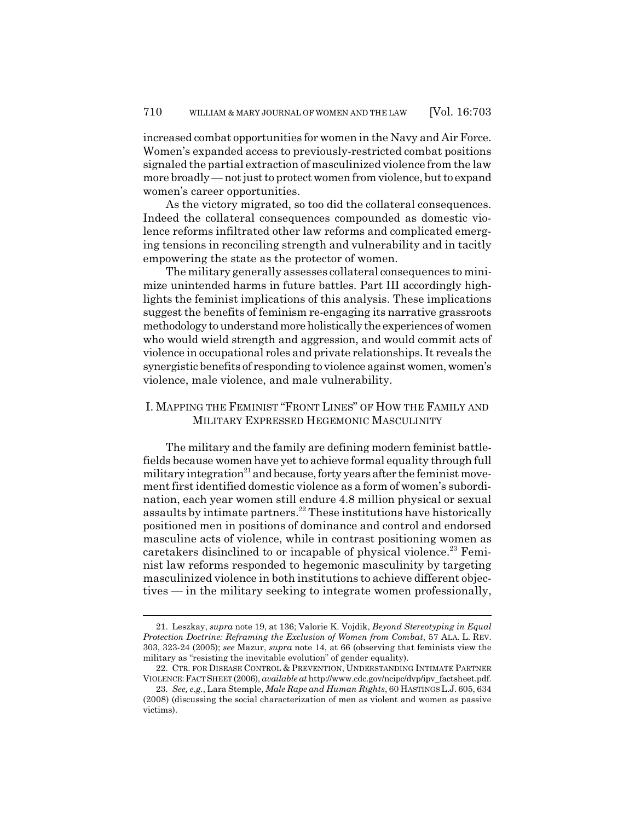increased combat opportunities for women in the Navy and Air Force. Women's expanded access to previously-restricted combat positions signaled the partial extraction of masculinized violence from the law more broadly — not just to protect women from violence, but to expand women's career opportunities.

As the victory migrated, so too did the collateral consequences. Indeed the collateral consequences compounded as domestic violence reforms infiltrated other law reforms and complicated emerging tensions in reconciling strength and vulnerability and in tacitly empowering the state as the protector of women.

The military generally assesses collateral consequences to minimize unintended harms in future battles. Part III accordingly highlights the feminist implications of this analysis. These implications suggest the benefits of feminism re-engaging its narrative grassroots methodology to understand more holistically the experiences of women who would wield strength and aggression, and would commit acts of violence in occupational roles and private relationships. It reveals the synergistic benefits of responding to violence against women, women's violence, male violence, and male vulnerability.

# I. MAPPING THE FEMINIST "FRONT LINES" OF HOW THE FAMILY AND MILITARY EXPRESSED HEGEMONIC MASCULINITY

The military and the family are defining modern feminist battlefields because women have yet to achieve formal equality through full military integration<sup>21</sup> and because, forty years after the feminist movement first identified domestic violence as a form of women's subordination, each year women still endure 4.8 million physical or sexual assaults by intimate partners.<sup>22</sup> These institutions have historically positioned men in positions of dominance and control and endorsed masculine acts of violence, while in contrast positioning women as caretakers disinclined to or incapable of physical violence.<sup>23</sup> Feminist law reforms responded to hegemonic masculinity by targeting masculinized violence in both institutions to achieve different objectives — in the military seeking to integrate women professionally,

<sup>21.</sup> Leszkay, *supra* note 19, at 136; Valorie K. Vojdik, *Beyond Stereotyping in Equal Protection Doctrine: Reframing the Exclusion of Women from Combat*, 57 ALA. L. REV. 303, 323-24 (2005); *see* Mazur, *supra* note 14, at 66 (observing that feminists view the military as "resisting the inevitable evolution" of gender equality).

<sup>22.</sup> CTR. FOR DISEASE CONTROL & PREVENTION, UNDERSTANDING INTIMATE PARTNER VIOLENCE:FACT SHEET (2006), *available at* http://www.cdc.gov/ncipc/dvp/ipv\_factsheet.pdf.

<sup>23.</sup> *See, e.g.*, Lara Stemple, *Male Rape and Human Rights*, 60 HASTINGS L.J. 605, 634 (2008) (discussing the social characterization of men as violent and women as passive victims).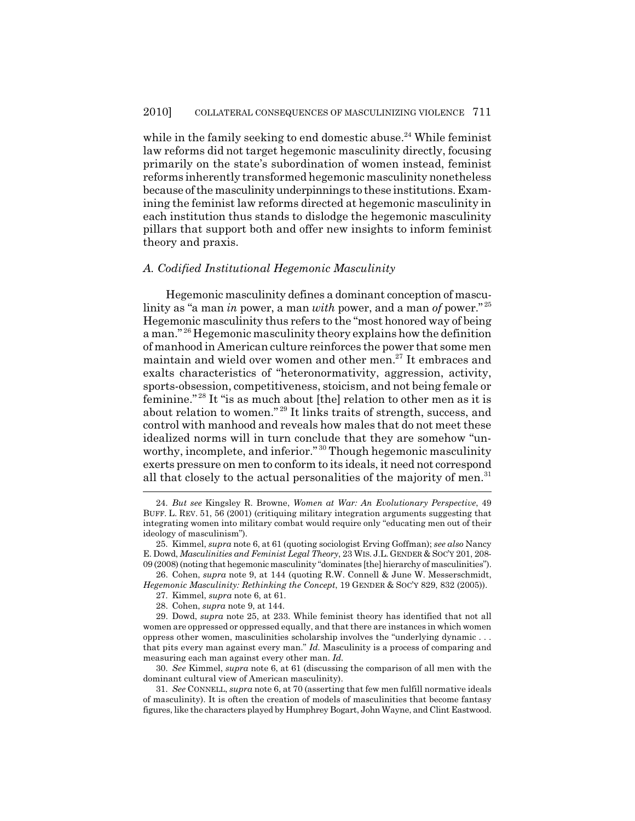while in the family seeking to end domestic abuse.<sup>24</sup> While feminist law reforms did not target hegemonic masculinity directly, focusing primarily on the state's subordination of women instead, feminist reforms inherently transformed hegemonic masculinity nonetheless because of the masculinity underpinnings to these institutions. Examining the feminist law reforms directed at hegemonic masculinity in each institution thus stands to dislodge the hegemonic masculinity pillars that support both and offer new insights to inform feminist theory and praxis.

#### *A. Codified Institutional Hegemonic Masculinity*

Hegemonic masculinity defines a dominant conception of masculinity as "a man *in* power, a man *with* power, and a man *of* power." <sup>25</sup> Hegemonic masculinity thus refers to the "most honored way of being a man." 26 Hegemonic masculinity theory explains how the definition of manhood in American culture reinforces the power that some men maintain and wield over women and other men.<sup>27</sup> It embraces and exalts characteristics of "heteronormativity, aggression, activity, sports-obsession, competitiveness, stoicism, and not being female or feminine." 28 It "is as much about [the] relation to other men as it is about relation to women." 29 It links traits of strength, success, and control with manhood and reveals how males that do not meet these idealized norms will in turn conclude that they are somehow "unworthy, incomplete, and inferior."<sup>30</sup> Though hegemonic masculinity exerts pressure on men to conform to its ideals, it need not correspond all that closely to the actual personalities of the majority of men.<sup>31</sup>

26. Cohen, *supra* note 9, at 144 (quoting R.W. Connell & June W. Messerschmidt, *Hegemonic Masculinity: Rethinking the Concept*, 19 GENDER & SOC'Y 829, 832 (2005)).

29. Dowd, *supra* note 25, at 233. While feminist theory has identified that not all women are oppressed or oppressed equally, and that there are instances in which women oppress other women, masculinities scholarship involves the "underlying dynamic . . . that pits every man against every man." *Id.* Masculinity is a process of comparing and measuring each man against every other man. *Id.*

30. *See* Kimmel, *supra* note 6, at 61 (discussing the comparison of all men with the dominant cultural view of American masculinity).

31. *See* CONNELL, *supra* note 6, at 70 (asserting that few men fulfill normative ideals of masculinity). It is often the creation of models of masculinities that become fantasy figures, like the characters played by Humphrey Bogart, John Wayne, and Clint Eastwood.

<sup>24.</sup> *But see* Kingsley R. Browne, *Women at War: An Evolutionary Perspective*, 49 BUFF. L. REV. 51, 56 (2001) (critiquing military integration arguments suggesting that integrating women into military combat would require only "educating men out of their ideology of masculinism").

<sup>25.</sup> Kimmel, *supra* note 6, at 61 (quoting sociologist Erving Goffman); *see also* Nancy E. Dowd, *Masculinities and Feminist Legal Theory*, 23 WIS. J.L. GENDER & SOC'Y 201, 208- 09 (2008) (noting that hegemonic masculinity "dominates [the] hierarchy of masculinities").

<sup>27.</sup> Kimmel, *supra* note 6, at 61.

<sup>28.</sup> Cohen, *supra* note 9, at 144.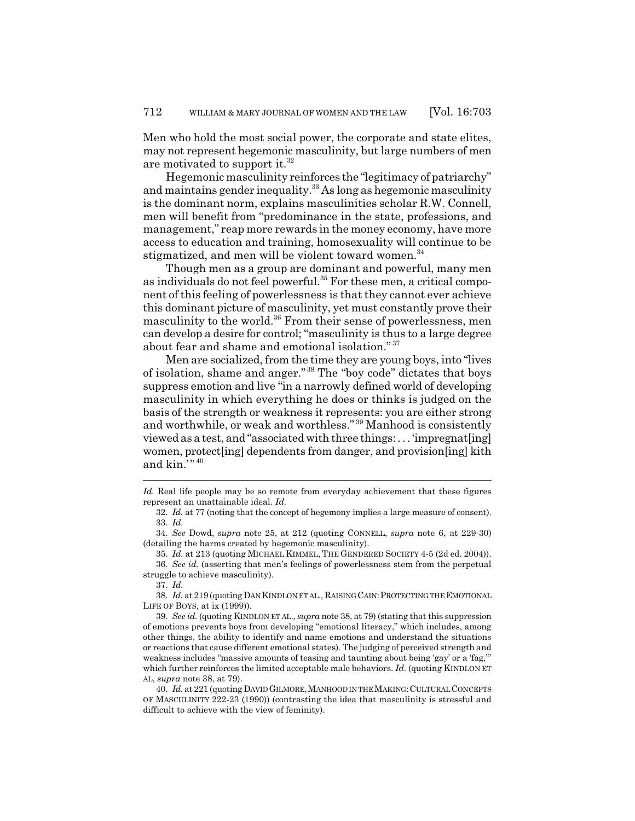Men who hold the most social power, the corporate and state elites, may not represent hegemonic masculinity, but large numbers of men are motivated to support it. $32$ 

Hegemonic masculinity reinforces the "legitimacy of patriarchy" and maintains gender inequality. $33$  As long as hegemonic masculinity is the dominant norm, explains masculinities scholar R.W. Connell, men will benefit from "predominance in the state, professions, and management," reap more rewards in the money economy, have more access to education and training, homosexuality will continue to be stigmatized, and men will be violent toward women.<sup>34</sup>

Though men as a group are dominant and powerful, many men as individuals do not feel powerful.<sup>35</sup> For these men, a critical component of this feeling of powerlessness is that they cannot ever achieve this dominant picture of masculinity, yet must constantly prove their masculinity to the world.<sup>36</sup> From their sense of powerlessness, men can develop a desire for control; "masculinity is thus to a large degree about fear and shame and emotional isolation." <sup>37</sup>

Men are socialized, from the time they are young boys, into "lives of isolation, shame and anger." 38 The "boy code" dictates that boys suppress emotion and live "in a narrowly defined world of developing masculinity in which everything he does or thinks is judged on the basis of the strength or weakness it represents: you are either strong and worthwhile, or weak and worthless." 39 Manhood is consistently viewed as a test, and "associated with three things: . . . 'impregnat[ing] women, protect[ing] dependents from danger, and provision[ing] kith and  $\mathrm{kin}$ ."  $40$ 

37. *Id.*

38. *Id.* at 219 (quoting DAN KINDLON ET AL., RAISING CAIN:PROTECTING THE EMOTIONAL LIFE OF BOYS, at ix (1999)).

*Id.* Real life people may be so remote from everyday achievement that these figures represent an unattainable ideal. *Id.*

<sup>32.</sup> *Id.* at 77 (noting that the concept of hegemony implies a large measure of consent). 33. *Id.*

<sup>34.</sup> *See* Dowd, *supra* note 25, at 212 (quoting CONNELL, *supra* note 6, at 229-30) (detailing the harms created by hegemonic masculinity).

<sup>35.</sup> *Id.* at 213 (quoting MICHAEL KIMMEL, THE GENDERED SOCIETY 4-5 (2d ed. 2004)). 36. *See id.* (asserting that men's feelings of powerlessness stem from the perpetual struggle to achieve masculinity).

<sup>39.</sup> *See id.* (quoting KINDLON ET AL., *supra* note 38, at 79) (stating that this suppression of emotions prevents boys from developing "emotional literacy," which includes, among other things, the ability to identify and name emotions and understand the situations or reactions that cause different emotional states). The judging of perceived strength and weakness includes "massive amounts of teasing and taunting about being 'gay' or a 'fag,'" which further reinforces the limited acceptable male behaviors. *Id.* (quoting KINDLON ET AL, *supra* note 38, at 79).

<sup>40.</sup> *Id.* at 221 (quoting DAVID GILMORE,MANHOOD IN THE MAKING:CULTURAL CONCEPTS OF MASCULINITY 222-23 (1990)) (contrasting the idea that masculinity is stressful and difficult to achieve with the view of feminity).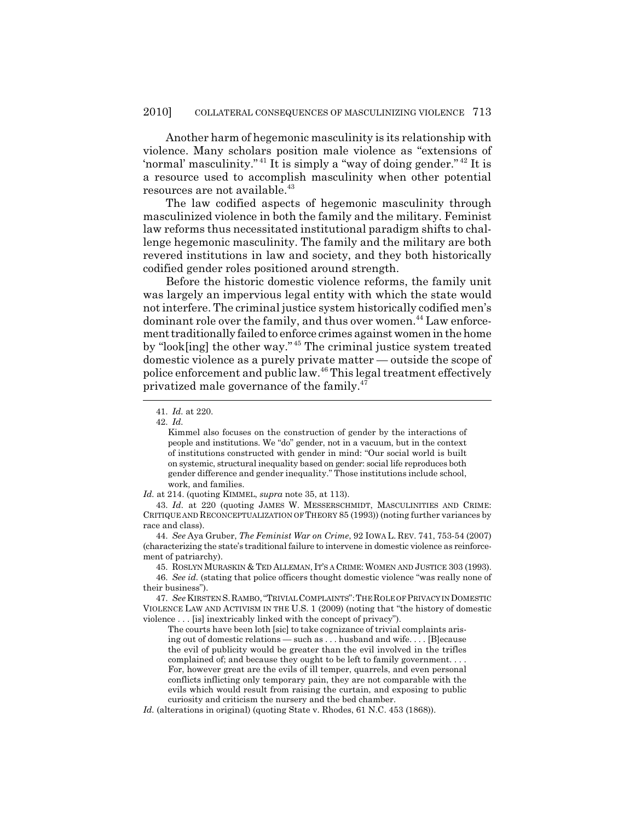Another harm of hegemonic masculinity is its relationship with violence. Many scholars position male violence as "extensions of 'normal' masculinity."<sup>41</sup> It is simply a "way of doing gender."<sup>42</sup> It is a resource used to accomplish masculinity when other potential resources are not available.<sup>43</sup>

The law codified aspects of hegemonic masculinity through masculinized violence in both the family and the military. Feminist law reforms thus necessitated institutional paradigm shifts to challenge hegemonic masculinity. The family and the military are both revered institutions in law and society, and they both historically codified gender roles positioned around strength.

Before the historic domestic violence reforms, the family unit was largely an impervious legal entity with which the state would not interfere. The criminal justice system historically codified men's dominant role over the family, and thus over women.<sup>44</sup> Law enforcement traditionally failed to enforce crimes against women in the home by "look[ing] the other way." 45 The criminal justice system treated domestic violence as a purely private matter — outside the scope of police enforcement and public law.46 This legal treatment effectively privatized male governance of the family. $47$ 

*Id.* at 214. (quoting KIMMEL, *supra* note 35, at 113).

43. *Id.* at 220 (quoting JAMES W. MESSERSCHMIDT, MASCULINITIES AND CRIME: CRITIQUE AND RECONCEPTUALIZATION OF THEORY 85 (1993)) (noting further variances by race and class).

44. *See* Aya Gruber, *The Feminist War on Crime*, 92 IOWA L. REV. 741, 753-54 (2007) (characterizing the state's traditional failure to intervene in domestic violence as reinforcement of patriarchy).

45. ROSLYN MURASKIN & TED ALLEMAN, IT'S A CRIME: WOMEN AND JUSTICE 303 (1993).

46. *See id.* (stating that police officers thought domestic violence "was really none of their business").

47. *See* KIRSTEN S.RAMBO,"TRIVIAL COMPLAINTS":THE ROLE OF PRIVACY IN DOMESTIC VIOLENCE LAW AND ACTIVISM IN THE U.S. 1 (2009) (noting that "the history of domestic violence . . . [is] inextricably linked with the concept of privacy").

The courts have been loth [sic] to take cognizance of trivial complaints arising out of domestic relations — such as . . . husband and wife. . . . [B]ecause the evil of publicity would be greater than the evil involved in the trifles complained of; and because they ought to be left to family government. . . . For, however great are the evils of ill temper, quarrels, and even personal conflicts inflicting only temporary pain, they are not comparable with the evils which would result from raising the curtain, and exposing to public curiosity and criticism the nursery and the bed chamber.

*Id.* (alterations in original) (quoting State v. Rhodes, 61 N.C. 453 (1868)).

<sup>41.</sup> *Id.* at 220.

<sup>42.</sup> *Id.*

Kimmel also focuses on the construction of gender by the interactions of people and institutions. We "do" gender, not in a vacuum, but in the context of institutions constructed with gender in mind: "Our social world is built on systemic, structural inequality based on gender: social life reproduces both gender difference and gender inequality." Those institutions include school, work, and families.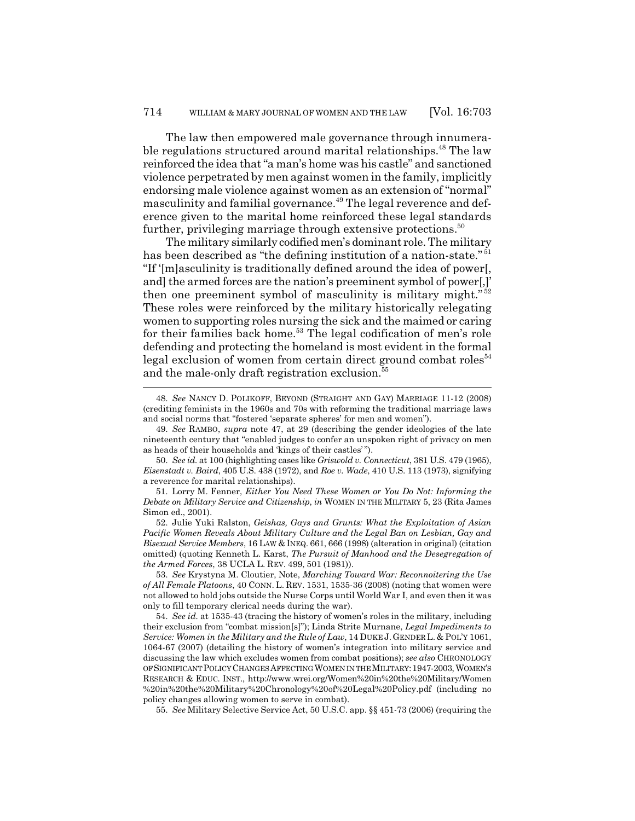The law then empowered male governance through innumerable regulations structured around marital relationships.<sup>48</sup> The law reinforced the idea that "a man's home was his castle" and sanctioned violence perpetrated by men against women in the family, implicitly endorsing male violence against women as an extension of "normal" masculinity and familial governance.<sup>49</sup> The legal reverence and deference given to the marital home reinforced these legal standards further, privileging marriage through extensive protections.<sup>50</sup>

The military similarly codified men's dominant role. The military has been described as "the defining institution of a nation-state."<sup>51</sup> "If '[m]asculinity is traditionally defined around the idea of power[, and] the armed forces are the nation's preeminent symbol of power[,]' then one preeminent symbol of masculinity is military might." $52$ These roles were reinforced by the military historically relegating women to supporting roles nursing the sick and the maimed or caring for their families back home.<sup>53</sup> The legal codification of men's role defending and protecting the homeland is most evident in the formal legal exclusion of women from certain direct ground combat roles $54$ and the male-only draft registration exclusion.<sup>5</sup>

52. Julie Yuki Ralston, *Geishas, Gays and Grunts: What the Exploitation of Asian Pacific Women Reveals About Military Culture and the Legal Ban on Lesbian, Gay and Bisexual Service Members*, 16 LAW & INEQ. 661, 666 (1998) (alteration in original) (citation omitted) (quoting Kenneth L. Karst, *The Pursuit of Manhood and the Desegregation of the Armed Forces*, 38 UCLA L. REV. 499, 501 (1981)).

53. *See* Krystyna M. Cloutier, Note, *Marching Toward War: Reconnoitering the Use of All Female Platoons*, 40 CONN. L. REV. 1531, 1535-36 (2008) (noting that women were not allowed to hold jobs outside the Nurse Corps until World War I, and even then it was only to fill temporary clerical needs during the war).

54. *See id.* at 1535-43 (tracing the history of women's roles in the military, including their exclusion from "combat mission[s]"); Linda Strite Murnane, *Legal Impediments to Service: Women in the Military and the Rule of Law*, 14 DUKE J.GENDER L. & POL'Y 1061, 1064-67 (2007) (detailing the history of women's integration into military service and discussing the law which excludes women from combat positions); *see also* CHRONOLOGY OF SIGNIFICANT POLICY CHANGES AFFECTING WOMEN IN THE MILITARY:1947-2003, WOMEN'S RESEARCH & EDUC. INST., http://www.wrei.org/Women%20in%20the%20Military/Women %20in%20the%20Military%20Chronology%20of%20Legal%20Policy.pdf (including no policy changes allowing women to serve in combat).

55. *See* Military Selective Service Act, 50 U.S.C. app. §§ 451-73 (2006) (requiring the

<sup>48.</sup> *See* NANCY D. POLIKOFF, BEYOND (STRAIGHT AND GAY) MARRIAGE 11-12 (2008) (crediting feminists in the 1960s and 70s with reforming the traditional marriage laws and social norms that "fostered 'separate spheres' for men and women").

<sup>49.</sup> *See* RAMBO, *supra* note 47, at 29 (describing the gender ideologies of the late nineteenth century that "enabled judges to confer an unspoken right of privacy on men as heads of their households and 'kings of their castles' ").

<sup>50.</sup> *See id.* at 100 (highlighting cases like *Griswold v. Connecticut*, 381 U.S. 479 (1965), *Eisenstadt v. Baird*, 405 U.S. 438 (1972), and *Roe v. Wade*, 410 U.S. 113 (1973), signifying a reverence for marital relationships).

<sup>51.</sup> Lorry M. Fenner, *Either You Need These Women or You Do Not: Informing the Debate on Military Service and Citizenship*, *in* WOMEN IN THE MILITARY 5, 23 (Rita James Simon ed., 2001).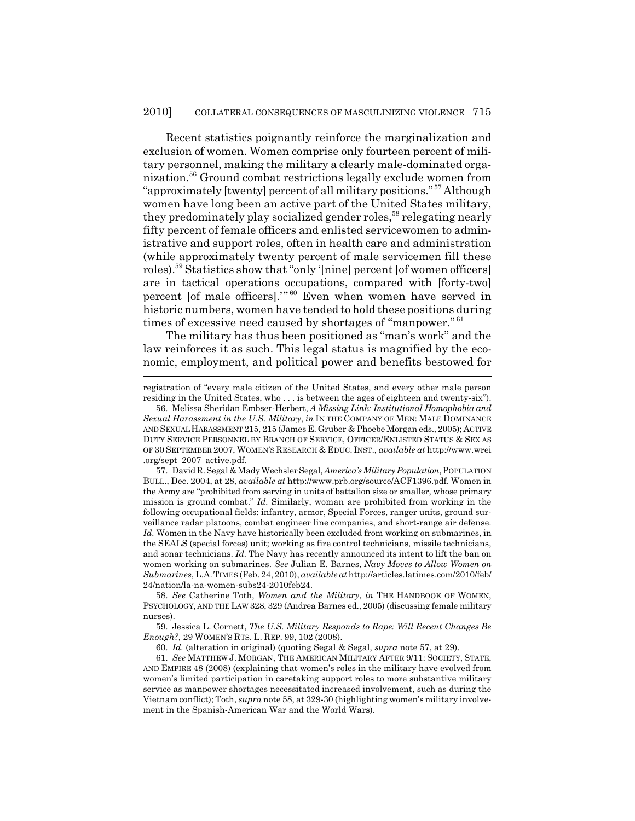Recent statistics poignantly reinforce the marginalization and exclusion of women. Women comprise only fourteen percent of military personnel, making the military a clearly male-dominated organization.56 Ground combat restrictions legally exclude women from "approximately [twenty] percent of all military positions." 57 Although women have long been an active part of the United States military, they predominately play socialized gender roles,<sup>58</sup> relegating nearly fifty percent of female officers and enlisted servicewomen to administrative and support roles, often in health care and administration (while approximately twenty percent of male servicemen fill these roles).59 Statistics show that "only '[nine] percent [of women officers] are in tactical operations occupations, compared with [forty-two] percent [of male officers].'" 60 Even when women have served in historic numbers, women have tended to hold these positions during times of excessive need caused by shortages of "manpower."<sup>61</sup>

The military has thus been positioned as "man's work" and the law reinforces it as such. This legal status is magnified by the economic, employment, and political power and benefits bestowed for

registration of "every male citizen of the United States, and every other male person residing in the United States, who . . . is between the ages of eighteen and twenty-six").

57. David R. Segal & Mady Wechsler Segal, *America's Military Population*, POPULATION BULL., Dec. 2004, at 28, *available at* http://www.prb.org/source/ACF1396.pdf. Women in the Army are "prohibited from serving in units of battalion size or smaller, whose primary mission is ground combat." *Id.* Similarly, woman are prohibited from working in the following occupational fields: infantry, armor, Special Forces, ranger units, ground surveillance radar platoons, combat engineer line companies, and short-range air defense. *Id.* Women in the Navy have historically been excluded from working on submarines, in the SEALS (special forces) unit; working as fire control technicians, missile technicians, and sonar technicians. *Id.* The Navy has recently announced its intent to lift the ban on women working on submarines. *See* Julian E. Barnes, *Navy Moves to Allow Women on Submarines*, L.A.TIMES (Feb. 24, 2010), *available at* http://articles.latimes.com/2010/feb/ 24/nation/la-na-women-subs24-2010feb24.

58. *See* Catherine Toth, *Women and the Military*, *in* THE HANDBOOK OF WOMEN, PSYCHOLOGY, AND THE LAW 328, 329 (Andrea Barnes ed., 2005) (discussing female military nurses).

59. Jessica L. Cornett, *The U.S. Military Responds to Rape: Will Recent Changes Be Enough?*, 29 WOMEN'S RTS. L. REP. 99, 102 (2008).

60. *Id.* (alteration in original) (quoting Segal & Segal, *supra* note 57, at 29).

61. *See* MATTHEW J. MORGAN, THE AMERICAN MILITARY AFTER 9/11: SOCIETY, STATE, AND EMPIRE 48 (2008) (explaining that women's roles in the military have evolved from women's limited participation in caretaking support roles to more substantive military service as manpower shortages necessitated increased involvement, such as during the Vietnam conflict); Toth, *supra* note 58, at 329-30 (highlighting women's military involvement in the Spanish-American War and the World Wars).

<sup>56.</sup> Melissa Sheridan Embser-Herbert, *A Missing Link: Institutional Homophobia and Sexual Harassment in the U.S. Military*, *in* IN THE COMPANY OF MEN: MALE DOMINANCE AND SEXUAL HARASSMENT 215, 215 (James E. Gruber & Phoebe Morgan eds., 2005); ACTIVE DUTY SERVICE PERSONNEL BY BRANCH OF SERVICE, OFFICER/ENLISTED STATUS & SEX AS OF 30 SEPTEMBER 2007, WOMEN'S RESEARCH & EDUC. INST., *available at* http://www.wrei .org/sept\_2007\_active.pdf.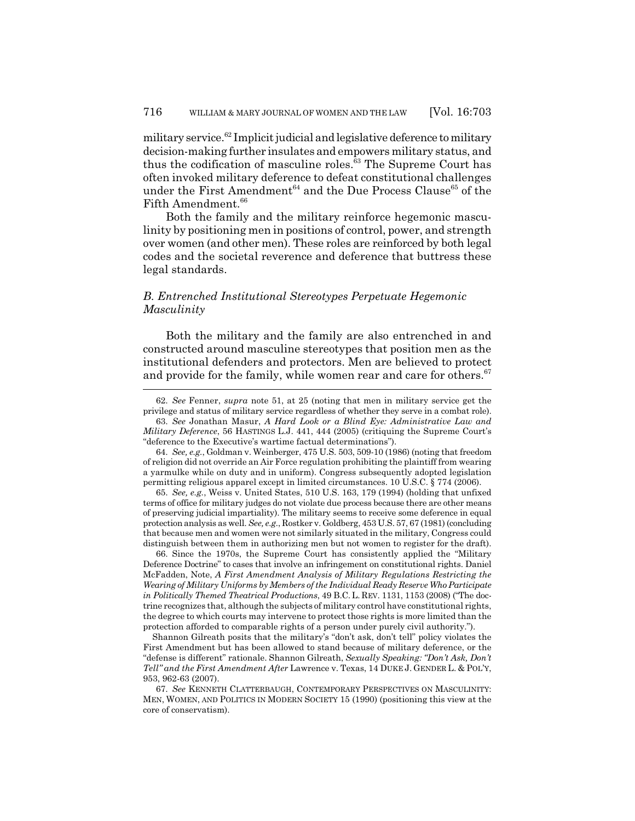military service.<sup>62</sup> Implicit judicial and legislative deference to military decision-making further insulates and empowers military status, and thus the codification of masculine roles.<sup>63</sup> The Supreme Court has often invoked military deference to defeat constitutional challenges under the First Amendment<sup>64</sup> and the Due Process Clause<sup>65</sup> of the Fifth Amendment.<sup>66</sup>

Both the family and the military reinforce hegemonic masculinity by positioning men in positions of control, power, and strength over women (and other men). These roles are reinforced by both legal codes and the societal reverence and deference that buttress these legal standards.

# *B. Entrenched Institutional Stereotypes Perpetuate Hegemonic Masculinity*

Both the military and the family are also entrenched in and constructed around masculine stereotypes that position men as the institutional defenders and protectors. Men are believed to protect and provide for the family, while women rear and care for others.<sup>67</sup>

65. *See, e.g.*, Weiss v. United States, 510 U.S. 163, 179 (1994) (holding that unfixed terms of office for military judges do not violate due process because there are other means of preserving judicial impartiality). The military seems to receive some deference in equal protection analysis as well. *See, e.g.*, Rostker v. Goldberg, 453 U.S. 57, 67 (1981) (concluding that because men and women were not similarly situated in the military, Congress could distinguish between them in authorizing men but not women to register for the draft).

66. Since the 1970s, the Supreme Court has consistently applied the "Military Deference Doctrine" to cases that involve an infringement on constitutional rights. Daniel McFadden, Note, *A First Amendment Analysis of Military Regulations Restricting the Wearing of Military Uniforms by Members of the Individual Ready Reserve Who Participate in Politically Themed Theatrical Productions*, 49 B.C.L. REV. 1131, 1153 (2008) ("The doctrine recognizes that, although the subjects of military control have constitutional rights, the degree to which courts may intervene to protect those rights is more limited than the protection afforded to comparable rights of a person under purely civil authority.").

Shannon Gilreath posits that the military's "don't ask, don't tell" policy violates the First Amendment but has been allowed to stand because of military deference, or the "defense is different" rationale. Shannon Gilreath, *Sexually Speaking: "Don't Ask, Don't Tell" and the First Amendment After* Lawrence v. Texas, 14 DUKE J. GENDER L. & POL'Y, 953, 962-63 (2007).

67. *See* KENNETH CLATTERBAUGH, CONTEMPORARY PERSPECTIVES ON MASCULINITY: MEN, WOMEN, AND POLITICS IN MODERN SOCIETY 15 (1990) (positioning this view at the core of conservatism).

<sup>62.</sup> *See* Fenner, *supra* note 51, at 25 (noting that men in military service get the privilege and status of military service regardless of whether they serve in a combat role).

<sup>63.</sup> *See* Jonathan Masur, *A Hard Look or a Blind Eye: Administrative Law and Military Deference*, 56 HASTINGS L.J. 441, 444 (2005) (critiquing the Supreme Court's "deference to the Executive's wartime factual determinations").

<sup>64.</sup> *See, e.g.*, Goldman v. Weinberger, 475 U.S. 503, 509-10 (1986) (noting that freedom of religion did not override an Air Force regulation prohibiting the plaintiff from wearing a yarmulke while on duty and in uniform). Congress subsequently adopted legislation permitting religious apparel except in limited circumstances. 10 U.S.C. § 774 (2006).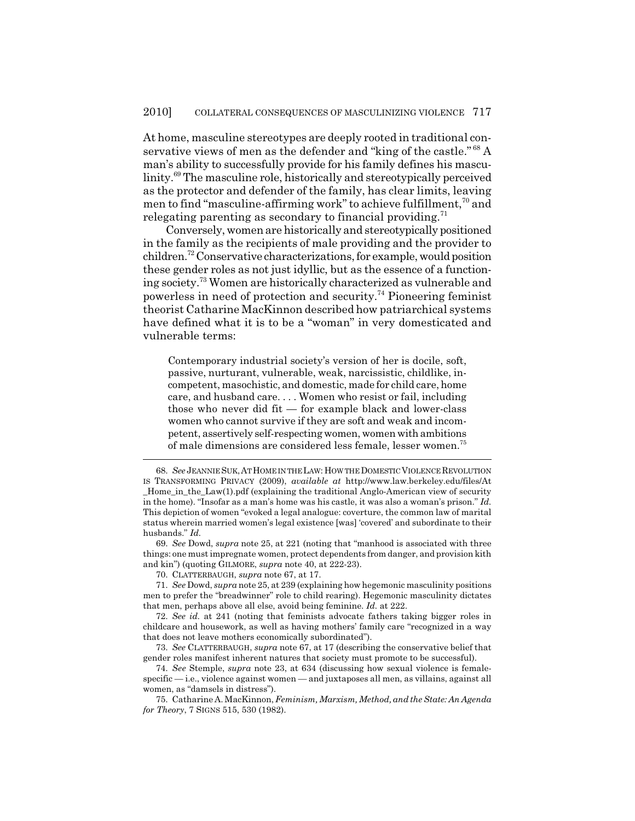At home, masculine stereotypes are deeply rooted in traditional conservative views of men as the defender and "king of the castle."<sup>68</sup> A man's ability to successfully provide for his family defines his masculinity.<sup>69</sup> The masculine role, historically and stereotypically perceived as the protector and defender of the family, has clear limits, leaving men to find "masculine-affirming work" to achieve fulfillment,<sup>70</sup> and relegating parenting as secondary to financial providing.<sup>71</sup>

Conversely, women are historically and stereotypically positioned in the family as the recipients of male providing and the provider to children.72 Conservative characterizations, for example, would position these gender roles as not just idyllic, but as the essence of a functioning society.73 Women are historically characterized as vulnerable and powerless in need of protection and security.74 Pioneering feminist theorist Catharine MacKinnon described how patriarchical systems have defined what it is to be a "woman" in very domesticated and vulnerable terms:

Contemporary industrial society's version of her is docile, soft, passive, nurturant, vulnerable, weak, narcissistic, childlike, incompetent, masochistic, and domestic, made for child care, home care, and husband care. . . . Women who resist or fail, including those who never did fit — for example black and lower-class women who cannot survive if they are soft and weak and incompetent, assertively self-respecting women, women with ambitions of male dimensions are considered less female, lesser women.75

69. *See* Dowd, *supra* note 25, at 221 (noting that "manhood is associated with three things: one must impregnate women, protect dependents from danger, and provision kith and kin") (quoting GILMORE, *supra* note 40, at 222-23).

70. CLATTERBAUGH, *supra* note 67, at 17.

<sup>68.</sup> *See* JEANNIE SUK,AT HOME IN THE LAW: HOW THE DOMESTIC VIOLENCE REVOLUTION IS TRANSFORMING PRIVACY (2009), *available at* http://www.law.berkeley.edu/files/At \_Home\_in\_the\_Law(1).pdf (explaining the traditional Anglo-American view of security in the home). "Insofar as a man's home was his castle, it was also a woman's prison." *Id.* This depiction of women "evoked a legal analogue: coverture, the common law of marital status wherein married women's legal existence [was] 'covered' and subordinate to their husbands." *Id.*

<sup>71.</sup> *See* Dowd, *supra* note 25, at 239 (explaining how hegemonic masculinity positions men to prefer the "breadwinner" role to child rearing). Hegemonic masculinity dictates that men, perhaps above all else, avoid being feminine. *Id.* at 222.

<sup>72.</sup> *See id.* at 241 (noting that feminists advocate fathers taking bigger roles in childcare and housework, as well as having mothers' family care "recognized in a way that does not leave mothers economically subordinated").

<sup>73.</sup> *See* CLATTERBAUGH, *supra* note 67, at 17 (describing the conservative belief that gender roles manifest inherent natures that society must promote to be successful).

<sup>74.</sup> *See* Stemple, *supra* note 23, at 634 (discussing how sexual violence is femalespecific — i.e., violence against women — and juxtaposes all men, as villains, against all women, as "damsels in distress").

<sup>75.</sup> Catharine A. MacKinnon, *Feminism, Marxism, Method, and the State: An Agenda for Theory*, 7 SIGNS 515, 530 (1982).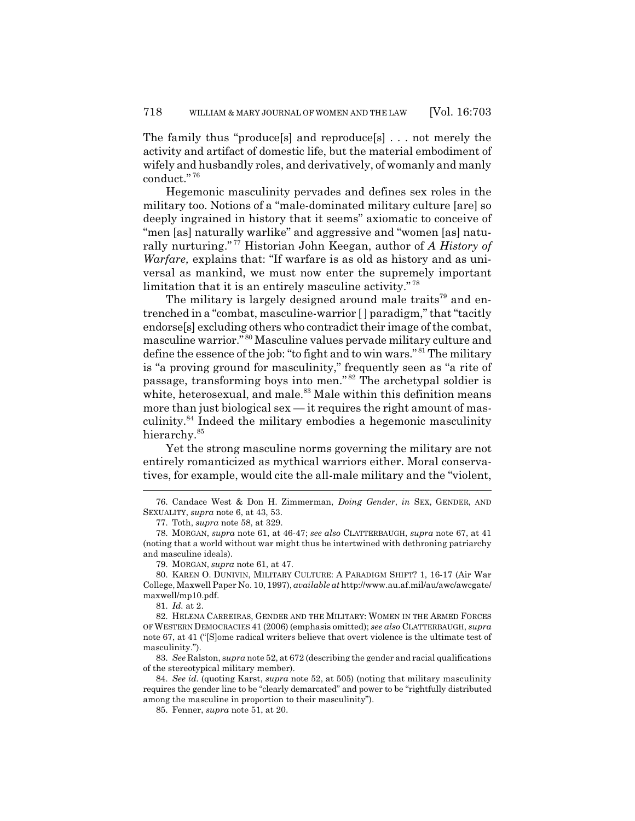The family thus "produce[s] and reproduce[s] . . . not merely the activity and artifact of domestic life, but the material embodiment of wifely and husbandly roles, and derivatively, of womanly and manly conduct." <sup>76</sup>

Hegemonic masculinity pervades and defines sex roles in the military too. Notions of a "male-dominated military culture [are] so deeply ingrained in history that it seems" axiomatic to conceive of "men [as] naturally warlike" and aggressive and "women [as] naturally nurturing." 77 Historian John Keegan, author of *A History of Warfare,* explains that: "If warfare is as old as history and as universal as mankind, we must now enter the supremely important limitation that it is an entirely masculine activity."<sup>78</sup>

The military is largely designed around male traits<sup>79</sup> and entrenched in a "combat, masculine-warrior [ ] paradigm," that "tacitly endorse[s] excluding others who contradict their image of the combat, masculine warrior." 80 Masculine values pervade military culture and define the essence of the job: "to fight and to win wars." 81 The military is "a proving ground for masculinity," frequently seen as "a rite of passage, transforming boys into men." 82 The archetypal soldier is white, heterosexual, and male.<sup>83</sup> Male within this definition means more than just biological sex — it requires the right amount of masculinity.<sup>84</sup> Indeed the military embodies a hegemonic masculinity hierarchy.<sup>85</sup>

Yet the strong masculine norms governing the military are not entirely romanticized as mythical warriors either. Moral conservatives, for example, would cite the all-male military and the "violent,

79. MORGAN, *supra* note 61, at 47.

83. *See* Ralston, s*upra* note 52, at 672 (describing the gender and racial qualifications of the stereotypical military member).

84. *See id.* (quoting Karst, *supra* note 52, at 505) (noting that military masculinity requires the gender line to be "clearly demarcated" and power to be "rightfully distributed among the masculine in proportion to their masculinity").

<sup>76.</sup> Candace West & Don H. Zimmerman, *Doing Gender*, *in* SEX, GENDER, AND SEXUALITY, *supra* note 6, at 43, 53.

<sup>77.</sup> Toth, *supra* note 58, at 329.

<sup>78.</sup> MORGAN, *supra* note 61, at 46-47; *see also* CLATTERBAUGH, *supra* note 67, at 41 (noting that a world without war might thus be intertwined with dethroning patriarchy and masculine ideals).

<sup>80.</sup> KAREN O. DUNIVIN, MILITARY CULTURE: A PARADIGM SHIFT? 1, 16-17 (Air War College, Maxwell Paper No. 10, 1997), *available at* http://www.au.af.mil/au/awc/awcgate/ maxwell/mp10.pdf.

<sup>81.</sup> *Id.* at 2.

<sup>82.</sup> HELENA CARREIRAS, GENDER AND THE MILITARY: WOMEN IN THE ARMED FORCES OF WESTERN DEMOCRACIES 41 (2006) (emphasis omitted); *see also* CLATTERBAUGH, *supra* note 67, at 41 ("[S]ome radical writers believe that overt violence is the ultimate test of masculinity.").

<sup>85.</sup> Fenner, *supra* note 51, at 20.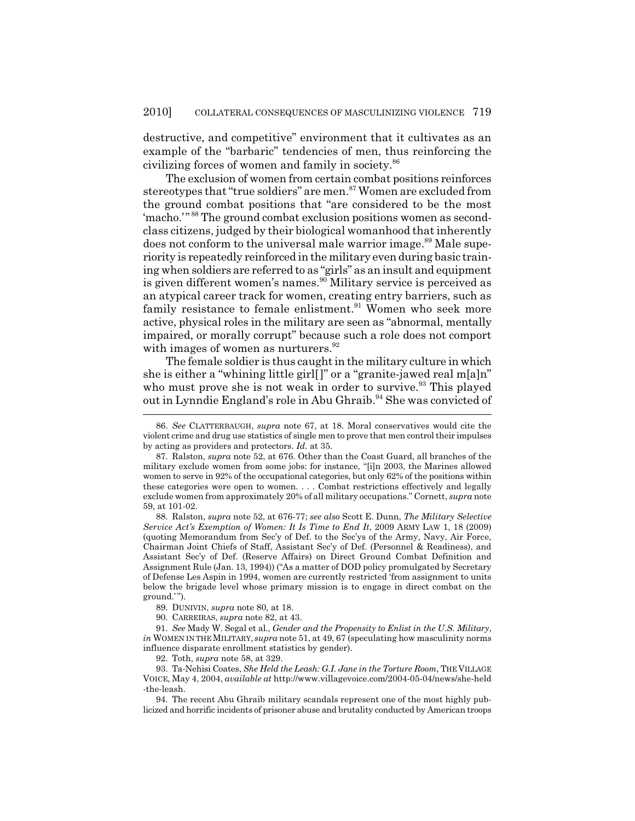destructive, and competitive" environment that it cultivates as an example of the "barbaric" tendencies of men, thus reinforcing the civilizing forces of women and family in society.<sup>86</sup>

The exclusion of women from certain combat positions reinforces stereotypes that "true soldiers" are men.<sup>87</sup> Women are excluded from the ground combat positions that "are considered to be the most 'macho.'" 88 The ground combat exclusion positions women as secondclass citizens, judged by their biological womanhood that inherently does not conform to the universal male warrior image.<sup>89</sup> Male superiority is repeatedly reinforced in the military even during basic training when soldiers are referred to as "girls" as an insult and equipment is given different women's names.<sup>90</sup> Military service is perceived as an atypical career track for women, creating entry barriers, such as family resistance to female enlistment. $91$  Women who seek more active, physical roles in the military are seen as "abnormal, mentally impaired, or morally corrupt" because such a role does not comport with images of women as nurturers. $92$ 

The female soldier is thus caught in the military culture in which she is either a "whining little girl[]" or a "granite-jawed real m[a]n" who must prove she is not weak in order to survive. $93$  This played out in Lynndie England's role in Abu Ghraib.<sup>94</sup> She was convicted of

88. Ralston, *supra* note 52, at 676-77; *see also* Scott E. Dunn, *The Military Selective Service Act's Exemption of Women: It Is Time to End It*, 2009 ARMY LAW 1, 18 (2009) (quoting Memorandum from Sec'y of Def. to the Sec'ys of the Army, Navy, Air Force, Chairman Joint Chiefs of Staff, Assistant Sec'y of Def. (Personnel & Readiness), and Assistant Sec'y of Def. (Reserve Affairs) on Direct Ground Combat Definition and Assignment Rule (Jan. 13, 1994)) ("As a matter of DOD policy promulgated by Secretary of Defense Les Aspin in 1994, women are currently restricted 'from assignment to units below the brigade level whose primary mission is to engage in direct combat on the ground.'").

89. DUNIVIN, *supra* note 80, at 18.

90. CARREIRAS, *supra* note 82, at 43.

91. *See* Mady W. Segal et al., *Gender and the Propensity to Enlist in the U.S. Military*, *in* WOMEN IN THE MILITARY, *supra* note 51, at 49, 67 (speculating how masculinity norms influence disparate enrollment statistics by gender).

92. Toth, *supra* note 58, at 329.

93. Ta-Nehisi Coates, *She Held the Leash: G.I. Jane in the Torture Room*, THE VILLAGE VOICE, May 4, 2004, *available at* http://www.villagevoice.com/2004-05-04/news/she-held -the-leash.

94. The recent Abu Ghraib military scandals represent one of the most highly publicized and horrific incidents of prisoner abuse and brutality conducted by American troops

<sup>86.</sup> *See* CLATTERBAUGH, *supra* note 67, at 18. Moral conservatives would cite the violent crime and drug use statistics of single men to prove that men control their impulses by acting as providers and protectors. *Id.* at 35.

<sup>87.</sup> Ralston, *supra* note 52, at 676. Other than the Coast Guard, all branches of the military exclude women from some jobs: for instance, "[i]n 2003, the Marines allowed women to serve in 92% of the occupational categories, but only 62% of the positions within these categories were open to women. . . . Combat restrictions effectively and legally exclude women from approximately 20% of all military occupations." Cornett, *supra* note 59, at 101-02.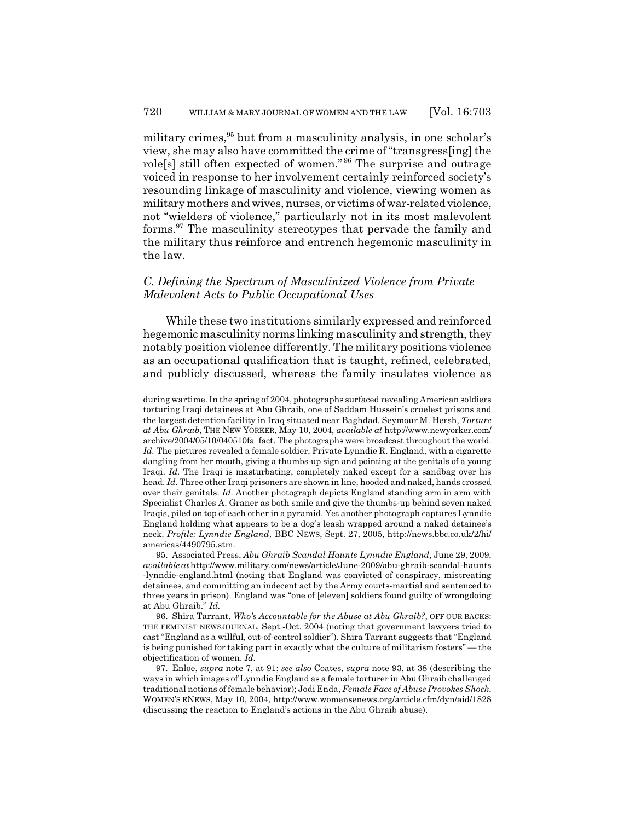military crimes,<sup>95</sup> but from a masculinity analysis, in one scholar's view, she may also have committed the crime of "transgress[ing] the role[s] still often expected of women." 96 The surprise and outrage voiced in response to her involvement certainly reinforced society's resounding linkage of masculinity and violence, viewing women as military mothers and wives, nurses, or victims of war-related violence, not "wielders of violence," particularly not in its most malevolent forms.97 The masculinity stereotypes that pervade the family and the military thus reinforce and entrench hegemonic masculinity in the law.

### *C. Defining the Spectrum of Masculinized Violence from Private Malevolent Acts to Public Occupational Uses*

While these two institutions similarly expressed and reinforced hegemonic masculinity norms linking masculinity and strength, they notably position violence differently. The military positions violence as an occupational qualification that is taught, refined, celebrated, and publicly discussed, whereas the family insulates violence as

during wartime. In the spring of 2004, photographs surfaced revealing American soldiers torturing Iraqi detainees at Abu Ghraib, one of Saddam Hussein's cruelest prisons and the largest detention facility in Iraq situated near Baghdad. Seymour M. Hersh, *Torture at Abu Ghraib*, THE NEW YORKER, May 10, 2004, *available at* http://www.newyorker.com/ archive/2004/05/10/040510fa\_fact. The photographs were broadcast throughout the world. Id. The pictures revealed a female soldier, Private Lynndie R. England, with a cigarette dangling from her mouth, giving a thumbs-up sign and pointing at the genitals of a young Iraqi. *Id.* The Iraqi is masturbating, completely naked except for a sandbag over his head. *Id.* Three other Iraqi prisoners are shown in line, hooded and naked, hands crossed over their genitals. *Id.* Another photograph depicts England standing arm in arm with Specialist Charles A. Graner as both smile and give the thumbs-up behind seven naked Iraqis, piled on top of each other in a pyramid. Yet another photograph captures Lynndie England holding what appears to be a dog's leash wrapped around a naked detainee's neck. *Profile: Lynndie England*, BBC NEWS, Sept. 27, 2005, http://news.bbc.co.uk/2/hi/ americas/4490795.stm.

<sup>95.</sup> Associated Press, *Abu Ghraib Scandal Haunts Lynndie England*, June 29, 2009, *available at* http://www.military.com/news/article/June-2009/abu-ghraib-scandal-haunts -lynndie-england.html (noting that England was convicted of conspiracy, mistreating detainees, and committing an indecent act by the Army courts-martial and sentenced to three years in prison). England was "one of [eleven] soldiers found guilty of wrongdoing at Abu Ghraib." *Id.*

<sup>96.</sup> Shira Tarrant, *Who's Accountable for the Abuse at Abu Ghraib?*, OFF OUR BACKS: THE FEMINIST NEWSJOURNAL, Sept.-Oct. 2004 (noting that government lawyers tried to cast "England as a willful, out-of-control soldier"). Shira Tarrant suggests that "England is being punished for taking part in exactly what the culture of militarism fosters" — the objectification of women. *Id.*

<sup>97.</sup> Enloe, *supra* note 7, at 91; *see also* Coates, *supra* note 93, at 38 (describing the ways in which images of Lynndie England as a female torturer in Abu Ghraib challenged traditional notions of female behavior); Jodi Enda, *Female Face of Abuse Provokes Shock*, WOMEN'S ENEWS, May 10, 2004, http://www.womensenews.org/article.cfm/dyn/aid/1828 (discussing the reaction to England's actions in the Abu Ghraib abuse).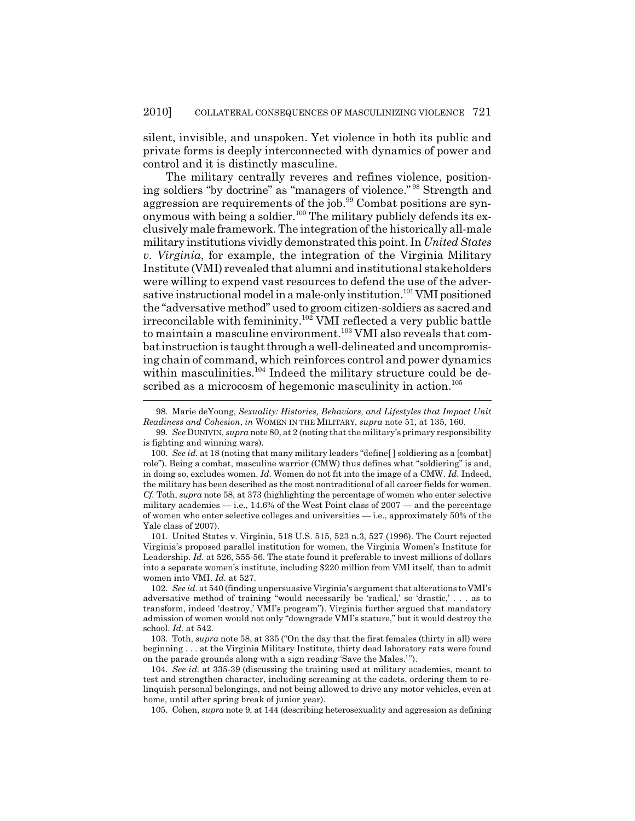silent, invisible, and unspoken. Yet violence in both its public and private forms is deeply interconnected with dynamics of power and control and it is distinctly masculine.

The military centrally reveres and refines violence, positioning soldiers "by doctrine" as "managers of violence." 98 Strength and aggression are requirements of the job.<sup>99</sup> Combat positions are synonymous with being a soldier.<sup>100</sup> The military publicly defends its exclusively male framework. The integration of the historically all-male military institutions vividly demonstrated this point. In *United States v. Virginia*, for example, the integration of the Virginia Military Institute (VMI) revealed that alumni and institutional stakeholders were willing to expend vast resources to defend the use of the adversative instructional model in a male-only institution.<sup>101</sup> VMI positioned the "adversative method" used to groom citizen-soldiers as sacred and irreconcilable with femininity.<sup>102</sup> VMI reflected a very public battle to maintain a masculine environment.<sup>103</sup> VMI also reveals that combat instruction is taught through a well-delineated and uncompromising chain of command, which reinforces control and power dynamics within masculinities.<sup>104</sup> Indeed the military structure could be described as a microcosm of hegemonic masculinity in action.<sup>105</sup>

101. United States v. Virginia, 518 U.S. 515, 523 n.3, 527 (1996). The Court rejected Virginia's proposed parallel institution for women, the Virginia Women's Institute for Leadership. *Id.* at 526, 555-56. The state found it preferable to invest millions of dollars into a separate women's institute, including \$220 million from VMI itself, than to admit women into VMI. *Id.* at 527.

103. Toth, *supra* note 58, at 335 ("On the day that the first females (thirty in all) were beginning . . . at the Virginia Military Institute, thirty dead laboratory rats were found on the parade grounds along with a sign reading 'Save the Males.' ").

104. *See id.* at 335-39 (discussing the training used at military academies, meant to test and strengthen character, including screaming at the cadets, ordering them to relinquish personal belongings, and not being allowed to drive any motor vehicles, even at home, until after spring break of junior year).

105. Cohen, *supra* note 9, at 144 (describing heterosexuality and aggression as defining

<sup>98.</sup> Marie deYoung, *Sexuality: Histories, Behaviors, and Lifestyles that Impact Unit Readiness and Cohesion*, *in* WOMEN IN THE MILITARY, *supra* note 51, at 135, 160.

<sup>99.</sup> *See* DUNIVIN, *supra* note 80, at 2 (noting that the military's primary responsibility is fighting and winning wars).

<sup>100.</sup> *See id.* at 18 (noting that many military leaders "define[ ] soldiering as a [combat] role"). Being a combat, masculine warrior (CMW) thus defines what "soldiering" is and, in doing so, excludes women. *Id.* Women do not fit into the image of a CMW. *Id.* Indeed, the military has been described as the most nontraditional of all career fields for women. *Cf.* Toth, *supra* note 58, at 373 (highlighting the percentage of women who enter selective military academies  $-$  i.e., 14.6% of the West Point class of 2007 — and the percentage of women who enter selective colleges and universities  $-$  i.e., approximately 50% of the Yale class of 2007).

<sup>102.</sup> *See id.* at 540 (finding unpersuasive Virginia's argument that alterations to VMI's adversative method of training "would necessarily be 'radical,' so 'drastic,' . . . as to transform, indeed 'destroy,' VMI's program"). Virginia further argued that mandatory admission of women would not only "downgrade VMI's stature," but it would destroy the school. *Id.* at 542.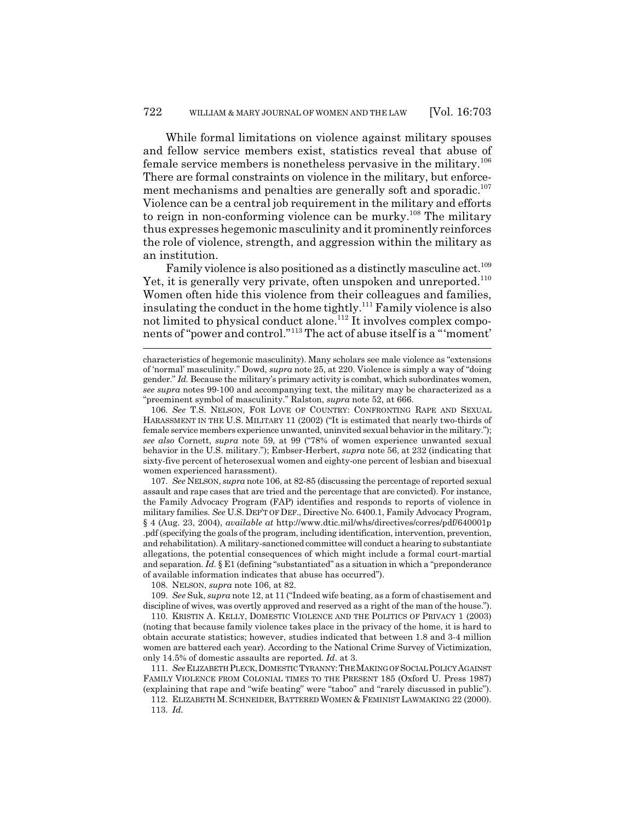While formal limitations on violence against military spouses and fellow service members exist, statistics reveal that abuse of female service members is nonetheless pervasive in the military.106 There are formal constraints on violence in the military, but enforcement mechanisms and penalties are generally soft and sporadic.<sup>107</sup> Violence can be a central job requirement in the military and efforts to reign in non-conforming violence can be murky.<sup>108</sup> The military thus expresses hegemonic masculinity and it prominently reinforces the role of violence, strength, and aggression within the military as an institution.

Family violence is also positioned as a distinctly masculine act.<sup>109</sup> Yet, it is generally very private, often unspoken and unreported.<sup>110</sup> Women often hide this violence from their colleagues and families, insulating the conduct in the home tightly.<sup>111</sup> Family violence is also not limited to physical conduct alone.<sup>112</sup> It involves complex components of "power and control."113 The act of abuse itself is a "'moment'

107. *See* NELSON, *supra* note 106, at 82-85 (discussing the percentage of reported sexual assault and rape cases that are tried and the percentage that are convicted). For instance, the Family Advocacy Program (FAP) identifies and responds to reports of violence in military families. *See* U.S. DEP'T OF DEF., Directive No. 6400.1, Family Advocacy Program, § 4 (Aug. 23, 2004), *available at* http://www.dtic.mil/whs/directives/corres/pdf/640001p .pdf (specifying the goals of the program, including identification, intervention, prevention, and rehabilitation). A military-sanctioned committee will conduct a hearing to substantiate allegations, the potential consequences of which might include a formal court-martial and separation. *Id.* § E1 (defining "substantiated" as a situation in which a "preponderance of available information indicates that abuse has occurred").

108. NELSON, *supra* note 106, at 82.

109. *See* Suk, *supra* note 12, at 11 ("Indeed wife beating, as a form of chastisement and discipline of wives, was overtly approved and reserved as a right of the man of the house.").

110. KRISTIN A. KELLY, DOMESTIC VIOLENCE AND THE POLITICS OF PRIVACY 1 (2003) (noting that because family violence takes place in the privacy of the home, it is hard to obtain accurate statistics; however, studies indicated that between 1.8 and 3-4 million women are battered each year). According to the National Crime Survey of Victimization, only 14.5% of domestic assaults are reported. *Id.* at 3.

111. *See*ELIZABETH PLECK,DOMESTIC TYRANNY:THE MAKING OF SOCIAL POLICY AGAINST FAMILY VIOLENCE FROM COLONIAL TIMES TO THE PRESENT 185 (Oxford U. Press 1987) (explaining that rape and "wife beating" were "taboo" and "rarely discussed in public").

112. ELIZABETH M. SCHNEIDER, BATTERED WOMEN & FEMINIST LAWMAKING 22 (2000). 113. *Id.*

characteristics of hegemonic masculinity). Many scholars see male violence as "extensions of 'normal' masculinity." Dowd, *supra* note 25, at 220. Violence is simply a way of "doing gender." *Id.* Because the military's primary activity is combat, which subordinates women, *see supra* notes 99-100 and accompanying text, the military may be characterized as a "preeminent symbol of masculinity." Ralston, *supra* note 52, at 666.

<sup>106.</sup> *See* T.S. NELSON, FOR LOVE OF COUNTRY: CONFRONTING RAPE AND SEXUAL HARASSMENT IN THE U.S. MILITARY 11 (2002) ("It is estimated that nearly two-thirds of female service members experience unwanted, uninvited sexual behavior in the military."); *see also* Cornett, *supra* note 59, at 99 ("78% of women experience unwanted sexual behavior in the U.S. military."); Embser-Herbert, *supra* note 56, at 232 (indicating that sixty-five percent of heterosexual women and eighty-one percent of lesbian and bisexual women experienced harassment).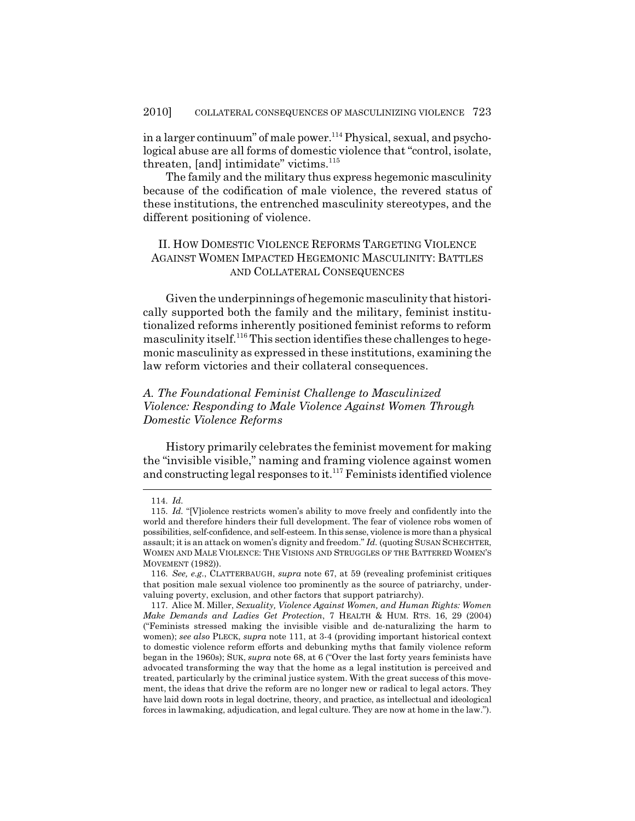in a larger continuum" of male power.<sup>114</sup> Physical, sexual, and psychological abuse are all forms of domestic violence that "control, isolate, threaten, [and] intimidate" victims. $115$ 

The family and the military thus express hegemonic masculinity because of the codification of male violence, the revered status of these institutions, the entrenched masculinity stereotypes, and the different positioning of violence.

## II. HOW DOMESTIC VIOLENCE REFORMS TARGETING VIOLENCE AGAINST WOMEN IMPACTED HEGEMONIC MASCULINITY: BATTLES AND COLLATERAL CONSEQUENCES

Given the underpinnings of hegemonic masculinity that historically supported both the family and the military, feminist institutionalized reforms inherently positioned feminist reforms to reform masculinity itself.116 This section identifies these challenges to hegemonic masculinity as expressed in these institutions, examining the law reform victories and their collateral consequences.

# *A. The Foundational Feminist Challenge to Masculinized Violence: Responding to Male Violence Against Women Through Domestic Violence Reforms*

History primarily celebrates the feminist movement for making the "invisible visible," naming and framing violence against women and constructing legal responses to it.<sup>117</sup> Feminists identified violence

<sup>114.</sup> *Id.*

<sup>115.</sup> *Id.* "[V]iolence restricts women's ability to move freely and confidently into the world and therefore hinders their full development. The fear of violence robs women of possibilities, self-confidence, and self-esteem. In this sense, violence is more than a physical assault; it is an attack on women's dignity and freedom." *Id.* (quoting SUSAN SCHECHTER, WOMEN AND MALE VIOLENCE: THE VISIONS AND STRUGGLES OF THE BATTERED WOMEN'S MOVEMENT (1982)).

<sup>116.</sup> *See, e.g.*, CLATTERBAUGH, *supra* note 67, at 59 (revealing profeminist critiques that position male sexual violence too prominently as the source of patriarchy, undervaluing poverty, exclusion, and other factors that support patriarchy).

<sup>117.</sup> Alice M. Miller, *Sexuality, Violence Against Women, and Human Rights: Women Make Demands and Ladies Get Protection*, 7 HEALTH & HUM. RTS. 16, 29 (2004) ("Feminists stressed making the invisible visible and de-naturalizing the harm to women); *see also* PLECK, *supra* note 111, at 3-4 (providing important historical context to domestic violence reform efforts and debunking myths that family violence reform began in the 1960s); SUK, *supra* note 68, at 6 ("Over the last forty years feminists have advocated transforming the way that the home as a legal institution is perceived and treated, particularly by the criminal justice system. With the great success of this movement, the ideas that drive the reform are no longer new or radical to legal actors. They have laid down roots in legal doctrine, theory, and practice, as intellectual and ideological forces in lawmaking, adjudication, and legal culture. They are now at home in the law.").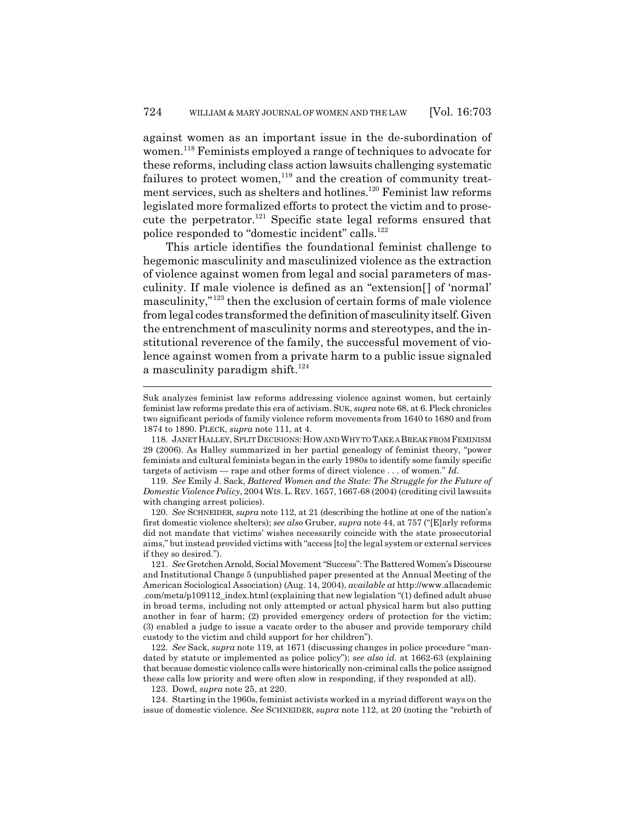against women as an important issue in the de-subordination of women.118 Feminists employed a range of techniques to advocate for these reforms, including class action lawsuits challenging systematic failures to protect women,<sup>119</sup> and the creation of community treatment services, such as shelters and hotlines.<sup>120</sup> Feminist law reforms legislated more formalized efforts to protect the victim and to prosecute the perpetrator.<sup>121</sup> Specific state legal reforms ensured that police responded to "domestic incident" calls.<sup>122</sup>

This article identifies the foundational feminist challenge to hegemonic masculinity and masculinized violence as the extraction of violence against women from legal and social parameters of masculinity. If male violence is defined as an "extension[] of 'normal' masculinity,"123 then the exclusion of certain forms of male violence from legal codes transformed the definition of masculinity itself. Given the entrenchment of masculinity norms and stereotypes, and the institutional reverence of the family, the successful movement of violence against women from a private harm to a public issue signaled a masculinity paradigm shift. $124$ 

123. Dowd, *supra* note 25, at 220.

124. Starting in the 1960s, feminist activists worked in a myriad different ways on the issue of domestic violence. *See* SCHNEIDER, *supra* note 112, at 20 (noting the "rebirth of

Suk analyzes feminist law reforms addressing violence against women, but certainly feminist law reforms predate this era of activism. SUK, *supra* note 68, at 6. Pleck chronicles two significant periods of family violence reform movements from 1640 to 1680 and from 1874 to 1890. PLECK, *supra* note 111, at 4.

<sup>118.</sup> JANET HALLEY, SPLIT DECISIONS: HOW AND WHY TO TAKE A BREAK FROM FEMINISM 29 (2006). As Halley summarized in her partial genealogy of feminist theory, "power feminists and cultural feminists began in the early 1980s to identify some family specific targets of activism — rape and other forms of direct violence . . . of women." *Id.*

<sup>119.</sup> *See* Emily J. Sack, *Battered Women and the State: The Struggle for the Future of Domestic Violence Policy*, 2004 WIS.L. REV. 1657, 1667-68 (2004) (crediting civil lawsuits with changing arrest policies).

<sup>120.</sup> *See* SCHNEIDER, *supra* note 112, at 21 (describing the hotline at one of the nation's first domestic violence shelters); *see also* Gruber, *supra* note 44, at 757 ("[E]arly reforms did not mandate that victims' wishes necessarily coincide with the state prosecutorial aims," but instead provided victims with "access [to] the legal system or external services if they so desired.").

<sup>121.</sup> *See* Gretchen Arnold, Social Movement "Success": The Battered Women's Discourse and Institutional Change 5 (unpublished paper presented at the Annual Meeting of the American Sociological Association) (Aug. 14, 2004), *available at* http://www.allacademic .com/meta/p109112\_index.html (explaining that new legislation "(1) defined adult abuse in broad terms, including not only attempted or actual physical harm but also putting another in fear of harm; (2) provided emergency orders of protection for the victim; (3) enabled a judge to issue a vacate order to the abuser and provide temporary child custody to the victim and child support for her children").

<sup>122.</sup> *See* Sack, *supra* note 119, at 1671 (discussing changes in police procedure "mandated by statute or implemented as police policy"); *see also id.* at 1662-63 (explaining that because domestic violence calls were historically non-criminal calls the police assigned these calls low priority and were often slow in responding, if they responded at all).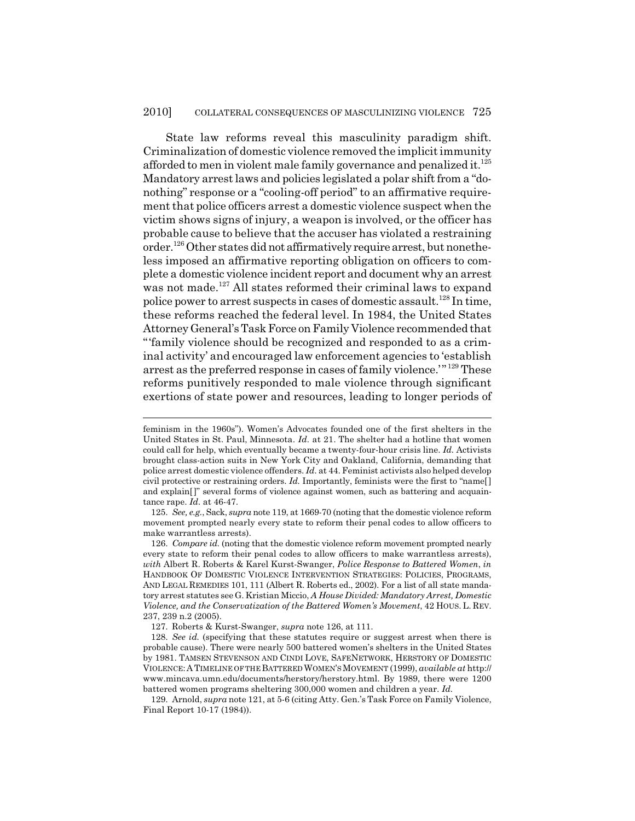State law reforms reveal this masculinity paradigm shift. Criminalization of domestic violence removed the implicit immunity afforded to men in violent male family governance and penalized it. $125$ Mandatory arrest laws and policies legislated a polar shift from a "donothing" response or a "cooling-off period" to an affirmative requirement that police officers arrest a domestic violence suspect when the victim shows signs of injury, a weapon is involved, or the officer has probable cause to believe that the accuser has violated a restraining order.126 Other states did not affirmatively require arrest, but nonetheless imposed an affirmative reporting obligation on officers to complete a domestic violence incident report and document why an arrest was not made.<sup>127</sup> All states reformed their criminal laws to expand police power to arrest suspects in cases of domestic assault.128 In time, these reforms reached the federal level. In 1984, the United States Attorney General's Task Force on Family Violence recommended that "'family violence should be recognized and responded to as a criminal activity' and encouraged law enforcement agencies to 'establish arrest as the preferred response in cases of family violence.'" 129 These reforms punitively responded to male violence through significant exertions of state power and resources, leading to longer periods of

feminism in the 1960s"). Women's Advocates founded one of the first shelters in the United States in St. Paul, Minnesota. *Id.* at 21. The shelter had a hotline that women could call for help, which eventually became a twenty-four-hour crisis line. *Id.* Activists brought class-action suits in New York City and Oakland, California, demanding that police arrest domestic violence offenders. *Id.* at 44. Feminist activists also helped develop civil protective or restraining orders. *Id.* Importantly, feminists were the first to "name[ ] and explain[]" several forms of violence against women, such as battering and acquaintance rape. *Id.* at 46-47.

<sup>125.</sup> *See, e.g.*, Sack, *supra* note 119, at 1669-70 (noting that the domestic violence reform movement prompted nearly every state to reform their penal codes to allow officers to make warrantless arrests).

<sup>126.</sup> *Compare id.* (noting that the domestic violence reform movement prompted nearly every state to reform their penal codes to allow officers to make warrantless arrests), *with* Albert R. Roberts & Karel Kurst-Swanger, *Police Response to Battered Women*, *in* HANDBOOK OF DOMESTIC VIOLENCE INTERVENTION STRATEGIES: POLICIES, PROGRAMS, AND LEGAL REMEDIES 101, 111 (Albert R. Roberts ed., 2002). For a list of all state mandatory arrest statutes see G. Kristian Miccio, *A House Divided: Mandatory Arrest, Domestic Violence, and the Conservatization of the Battered Women's Movement*, 42 HOUS. L. REV. 237, 239 n.2 (2005).

<sup>127.</sup> Roberts & Kurst-Swanger, *supra* note 126, at 111.

<sup>128.</sup> *See id.* (specifying that these statutes require or suggest arrest when there is probable cause). There were nearly 500 battered women's shelters in the United States by 1981. TAMSEN STEVENSON AND CINDI LOVE, SAFENETWORK, HERSTORY OF DOMESTIC VIOLENCE:A TIMELINE OF THE BATTERED WOMEN'S MOVEMENT (1999), *available at* http:// www.mincava.umn.edu/documents/herstory/herstory.html. By 1989, there were 1200 battered women programs sheltering 300,000 women and children a year. *Id.*

<sup>129.</sup> Arnold, *supra* note 121, at 5-6 (citing Atty. Gen.'s Task Force on Family Violence, Final Report 10-17 (1984)).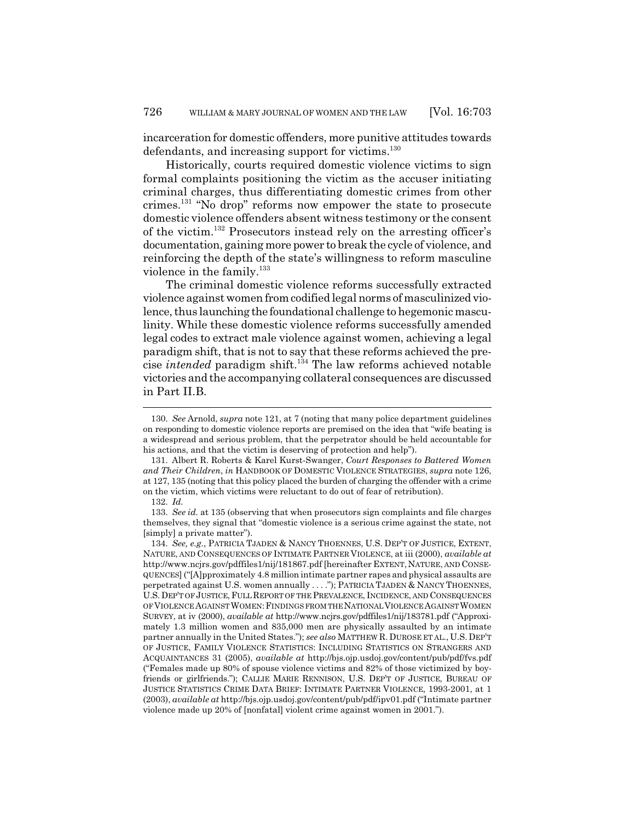incarceration for domestic offenders, more punitive attitudes towards defendants, and increasing support for victims.<sup>130</sup>

Historically, courts required domestic violence victims to sign formal complaints positioning the victim as the accuser initiating criminal charges, thus differentiating domestic crimes from other crimes.131 "No drop" reforms now empower the state to prosecute domestic violence offenders absent witness testimony or the consent of the victim.132 Prosecutors instead rely on the arresting officer's documentation, gaining more power to break the cycle of violence, and reinforcing the depth of the state's willingness to reform masculine violence in the family. $133$ 

The criminal domestic violence reforms successfully extracted violence against women from codified legal norms of masculinized violence, thus launching the foundational challenge to hegemonic masculinity. While these domestic violence reforms successfully amended legal codes to extract male violence against women, achieving a legal paradigm shift, that is not to say that these reforms achieved the precise *intended* paradigm shift.<sup>134</sup> The law reforms achieved notable victories and the accompanying collateral consequences are discussed in Part II.B.

<sup>130.</sup> *See* Arnold, *supra* note 121, at 7 (noting that many police department guidelines on responding to domestic violence reports are premised on the idea that "wife beating is a widespread and serious problem, that the perpetrator should be held accountable for his actions, and that the victim is deserving of protection and help").

<sup>131.</sup> Albert R. Roberts & Karel Kurst-Swanger, *Court Responses to Battered Women and Their Children*, *in* HANDBOOK OF DOMESTIC VIOLENCE STRATEGIES, *supra* note 126, at 127, 135 (noting that this policy placed the burden of charging the offender with a crime on the victim, which victims were reluctant to do out of fear of retribution).

<sup>132.</sup> *Id.*

<sup>133.</sup> *See id.* at 135 (observing that when prosecutors sign complaints and file charges themselves, they signal that "domestic violence is a serious crime against the state, not [simply] a private matter").

<sup>134.</sup> *See, e.g.*, PATRICIA TJADEN & NANCY THOENNES, U.S. DEP'T OF JUSTICE, EXTENT, NATURE, AND CONSEQUENCES OF INTIMATE PARTNER VIOLENCE, at iii (2000), *available at* http://www.ncjrs.gov/pdffiles1/nij/181867.pdf [hereinafter EXTENT, NATURE, AND CONSE-QUENCES] ("[A]pproximately 4.8 million intimate partner rapes and physical assaults are perpetrated against U.S. women annually . . . ."); PATRICIA TJADEN & NANCY THOENNES, U.S.DEP'T OF JUSTICE,FULL REPORT OF THE PREVALENCE, INCIDENCE, AND CONSEQUENCES OF VIOLENCE AGAINST WOMEN: FINDINGS FROM THE NATIONAL VIOLENCE AGAINST WOMEN SURVEY, at iv (2000), *available at* http://www.ncjrs.gov/pdffiles1/nij/183781.pdf ("Approximately 1.3 million women and 835,000 men are physically assaulted by an intimate partner annually in the United States."); *see also* MATTHEW R. DUROSE ET AL., U.S. DEP'T OF JUSTICE, FAMILY VIOLENCE STATISTICS: INCLUDING STATISTICS ON STRANGERS AND ACQUAINTANCES 31 (2005), *available at* http://bjs.ojp.usdoj.gov/content/pub/pdf/fvs.pdf ("Females made up 80% of spouse violence victims and 82% of those victimized by boyfriends or girlfriends."); CALLIE MARIE RENNISON, U.S. DEP'T OF JUSTICE, BUREAU OF JUSTICE STATISTICS CRIME DATA BRIEF: INTIMATE PARTNER VIOLENCE, 1993-2001, at 1 (2003), *available at* http://bjs.ojp.usdoj.gov/content/pub/pdf/ipv01.pdf ("Intimate partner violence made up 20% of [nonfatal] violent crime against women in 2001.").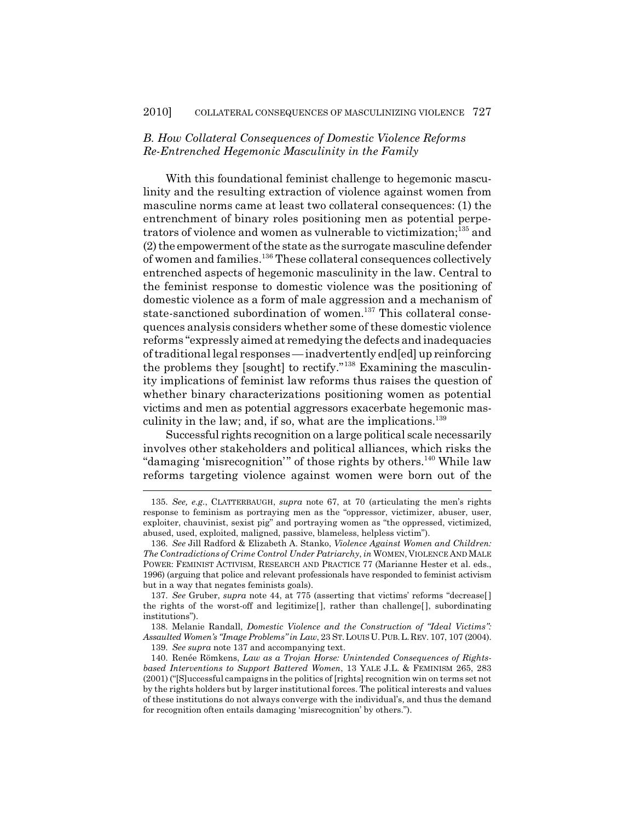## *B. How Collateral Consequences of Domestic Violence Reforms Re-Entrenched Hegemonic Masculinity in the Family*

With this foundational feminist challenge to hegemonic masculinity and the resulting extraction of violence against women from masculine norms came at least two collateral consequences: (1) the entrenchment of binary roles positioning men as potential perpetrators of violence and women as vulnerable to victimization;<sup>135</sup> and (2) the empowerment of the state as the surrogate masculine defender of women and families.136 These collateral consequences collectively entrenched aspects of hegemonic masculinity in the law. Central to the feminist response to domestic violence was the positioning of domestic violence as a form of male aggression and a mechanism of state-sanctioned subordination of women.<sup>137</sup> This collateral consequences analysis considers whether some of these domestic violence reforms "expressly aimed at remedying the defects and inadequacies of traditional legal responses — inadvertently end[ed] up reinforcing the problems they [sought] to rectify."138 Examining the masculinity implications of feminist law reforms thus raises the question of whether binary characterizations positioning women as potential victims and men as potential aggressors exacerbate hegemonic masculinity in the law; and, if so, what are the implications. $139$ 

Successful rights recognition on a large political scale necessarily involves other stakeholders and political alliances, which risks the "damaging 'misrecognition'" of those rights by others.<sup>140</sup> While law reforms targeting violence against women were born out of the

138. Melanie Randall, *Domestic Violence and the Construction of "Ideal Victims": Assaulted Women's "Image Problems" in Law*, 23 ST.LOUIS U.PUB.L.REV. 107, 107 (2004).

139. *See supra* note 137 and accompanying text.

<sup>135.</sup> *See, e.g.*, CLATTERBAUGH, *supra* note 67, at 70 (articulating the men's rights response to feminism as portraying men as the "oppressor, victimizer, abuser, user, exploiter, chauvinist, sexist pig" and portraying women as "the oppressed, victimized, abused, used, exploited, maligned, passive, blameless, helpless victim").

<sup>136.</sup> *See* Jill Radford & Elizabeth A. Stanko, *Violence Against Women and Children: The Contradictions of Crime Control Under Patriarchy*, *in* WOMEN, VIOLENCE AND MALE POWER: FEMINIST ACTIVISM, RESEARCH AND PRACTICE 77 (Marianne Hester et al. eds., 1996) (arguing that police and relevant professionals have responded to feminist activism but in a way that negates feminists goals).

<sup>137.</sup> *See* Gruber, *supra* note 44, at 775 (asserting that victims' reforms "decrease[ ] the rights of the worst-off and legitimize[ ], rather than challenge[ ], subordinating institutions").

<sup>140.</sup> Renée Römkens, *Law as a Trojan Horse: Unintended Consequences of Rightsbased Interventions to Support Battered Women*, 13 YALE J.L. & FEMINISM 265, 283 (2001) ("[S]uccessful campaigns in the politics of [rights] recognition win on terms set not by the rights holders but by larger institutional forces. The political interests and values of these institutions do not always converge with the individual's, and thus the demand for recognition often entails damaging 'misrecognition' by others.").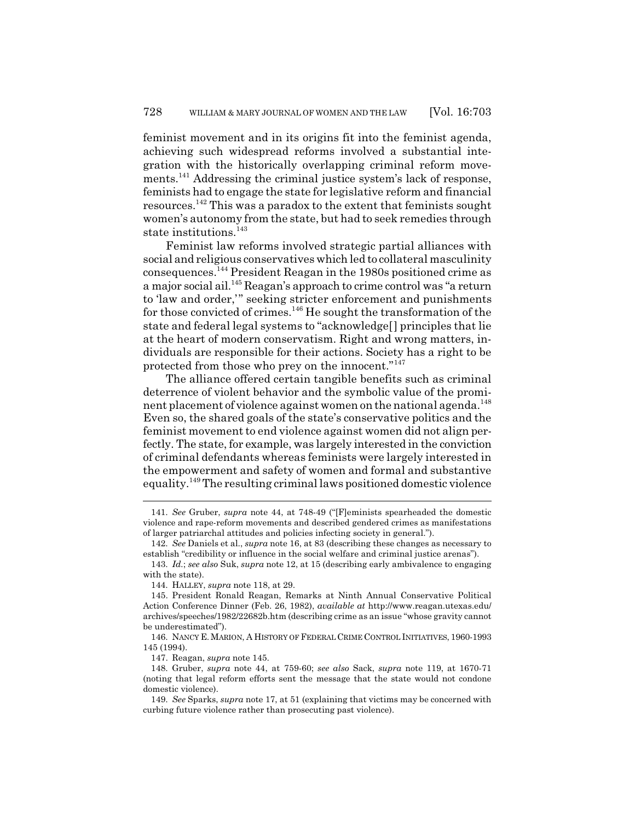feminist movement and in its origins fit into the feminist agenda, achieving such widespread reforms involved a substantial integration with the historically overlapping criminal reform movements.<sup>141</sup> Addressing the criminal justice system's lack of response, feminists had to engage the state for legislative reform and financial resources.142 This was a paradox to the extent that feminists sought women's autonomy from the state, but had to seek remedies through state institutions.<sup>143</sup>

Feminist law reforms involved strategic partial alliances with social and religious conservatives which led to collateral masculinity consequences.144 President Reagan in the 1980s positioned crime as a major social ail.145 Reagan's approach to crime control was "a return to 'law and order,'" seeking stricter enforcement and punishments for those convicted of crimes.146 He sought the transformation of the state and federal legal systems to "acknowledge[] principles that lie at the heart of modern conservatism. Right and wrong matters, individuals are responsible for their actions. Society has a right to be protected from those who prey on the innocent."<sup>147</sup>

The alliance offered certain tangible benefits such as criminal deterrence of violent behavior and the symbolic value of the prominent placement of violence against women on the national agenda.<sup>148</sup> Even so, the shared goals of the state's conservative politics and the feminist movement to end violence against women did not align perfectly. The state, for example, was largely interested in the conviction of criminal defendants whereas feminists were largely interested in the empowerment and safety of women and formal and substantive equality.149 The resulting criminal laws positioned domestic violence

<sup>141.</sup> *See* Gruber, *supra* note 44, at 748-49 ("[F]eminists spearheaded the domestic violence and rape-reform movements and described gendered crimes as manifestations of larger patriarchal attitudes and policies infecting society in general.").

<sup>142.</sup> *See* Daniels et al., *supra* note 16, at 83 (describing these changes as necessary to establish "credibility or influence in the social welfare and criminal justice arenas").

<sup>143.</sup> *Id.*; *see also* Suk, *supra* note 12, at 15 (describing early ambivalence to engaging with the state).

<sup>144.</sup> HALLEY, *supra* note 118, at 29.

<sup>145.</sup> President Ronald Reagan, Remarks at Ninth Annual Conservative Political Action Conference Dinner (Feb. 26, 1982), *available at* http://www.reagan.utexas.edu/ archives/speeches/1982/22682b.htm (describing crime as an issue "whose gravity cannot be underestimated").

<sup>146.</sup> NANCY E. MARION, A HISTORY OF FEDERAL CRIME CONTROL INITIATIVES, 1960-1993 145 (1994).

<sup>147.</sup> Reagan, *supra* note 145.

<sup>148.</sup> Gruber, *supra* note 44, at 759-60; *see also* Sack, *supra* note 119, at 1670-71 (noting that legal reform efforts sent the message that the state would not condone domestic violence).

<sup>149.</sup> *See* Sparks, *supra* note 17, at 51 (explaining that victims may be concerned with curbing future violence rather than prosecuting past violence).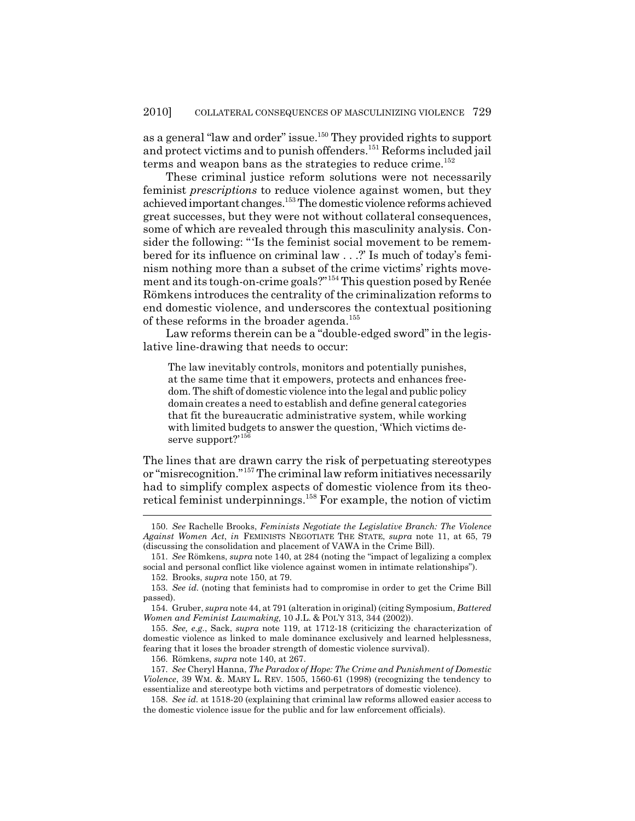as a general "law and order" issue.<sup>150</sup> They provided rights to support and protect victims and to punish offenders.<sup>151</sup> Reforms included jail terms and weapon bans as the strategies to reduce crime.<sup>152</sup>

These criminal justice reform solutions were not necessarily feminist *prescriptions* to reduce violence against women, but they achieved important changes.153 The domestic violence reforms achieved great successes, but they were not without collateral consequences, some of which are revealed through this masculinity analysis. Consider the following: "'Is the feminist social movement to be remembered for its influence on criminal law . . .?' Is much of today's feminism nothing more than a subset of the crime victims' rights movement and its tough-on-crime goals?"154 This question posed by Renée Römkens introduces the centrality of the criminalization reforms to end domestic violence, and underscores the contextual positioning of these reforms in the broader agenda.<sup>155</sup>

Law reforms therein can be a "double-edged sword" in the legislative line-drawing that needs to occur:

The law inevitably controls, monitors and potentially punishes, at the same time that it empowers, protects and enhances freedom. The shift of domestic violence into the legal and public policy domain creates a need to establish and define general categories that fit the bureaucratic administrative system, while working with limited budgets to answer the question, 'Which victims deserve support?'<sup>156</sup>

The lines that are drawn carry the risk of perpetuating stereotypes or "misrecognition."157 The criminal law reform initiatives necessarily had to simplify complex aspects of domestic violence from its theoretical feminist underpinnings.158 For example, the notion of victim

156. Römkens, *supra* note 140, at 267.

<sup>150.</sup> *See* Rachelle Brooks, *Feminists Negotiate the Legislative Branch: The Violence Against Women Act*, *in* FEMINISTS NEGOTIATE THE STATE, *supra* note 11, at 65, 79 (discussing the consolidation and placement of VAWA in the Crime Bill).

<sup>151.</sup> *See* Römkens, *supra* note 140, at 284 (noting the "impact of legalizing a complex social and personal conflict like violence against women in intimate relationships").

<sup>152.</sup> Brooks, *supra* note 150, at 79.

<sup>153.</sup> *See id.* (noting that feminists had to compromise in order to get the Crime Bill passed).

<sup>154.</sup> Gruber, *supra* note 44, at 791 (alteration in original) (citing Symposium, *Battered Women and Feminist Lawmaking,* 10 J.L. & POL'Y 313, 344 (2002)).

<sup>155.</sup> *See, e.g.*, Sack, *supra* note 119, at 1712-18 (criticizing the characterization of domestic violence as linked to male dominance exclusively and learned helplessness, fearing that it loses the broader strength of domestic violence survival).

<sup>157.</sup> *See* Cheryl Hanna, *The Paradox of Hope: The Crime and Punishment of Domestic Violence*, 39 WM. &. MARY L. REV. 1505, 1560-61 (1998) (recognizing the tendency to essentialize and stereotype both victims and perpetrators of domestic violence).

<sup>158.</sup> *See id.* at 1518-20 (explaining that criminal law reforms allowed easier access to the domestic violence issue for the public and for law enforcement officials).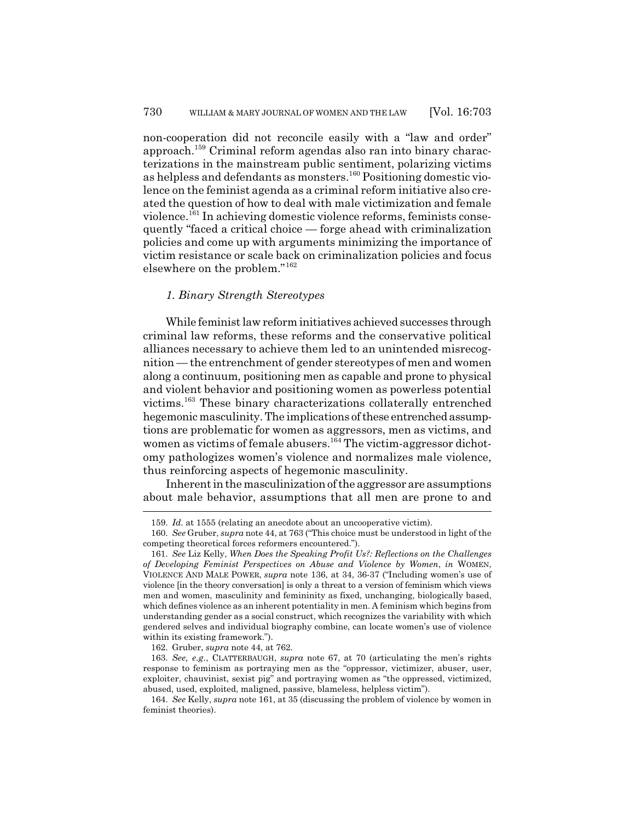non-cooperation did not reconcile easily with a "law and order" approach.159 Criminal reform agendas also ran into binary characterizations in the mainstream public sentiment, polarizing victims as helpless and defendants as monsters.160 Positioning domestic violence on the feminist agenda as a criminal reform initiative also created the question of how to deal with male victimization and female violence.161 In achieving domestic violence reforms, feminists consequently "faced a critical choice — forge ahead with criminalization policies and come up with arguments minimizing the importance of victim resistance or scale back on criminalization policies and focus elsewhere on the problem."<sup>162</sup>

#### *1. Binary Strength Stereotypes*

While feminist law reform initiatives achieved successes through criminal law reforms, these reforms and the conservative political alliances necessary to achieve them led to an unintended misrecognition — the entrenchment of gender stereotypes of men and women along a continuum, positioning men as capable and prone to physical and violent behavior and positioning women as powerless potential victims.163 These binary characterizations collaterally entrenched hegemonic masculinity. The implications of these entrenched assumptions are problematic for women as aggressors, men as victims, and women as victims of female abusers.<sup>164</sup> The victim-aggressor dichotomy pathologizes women's violence and normalizes male violence, thus reinforcing aspects of hegemonic masculinity.

Inherent in the masculinization of the aggressor are assumptions about male behavior, assumptions that all men are prone to and

162. Gruber, *supra* note 44, at 762.

<sup>159.</sup> *Id.* at 1555 (relating an anecdote about an uncooperative victim).

<sup>160.</sup> *See* Gruber, *supra* note 44, at 763 ("This choice must be understood in light of the competing theoretical forces reformers encountered.").

<sup>161.</sup> *See* Liz Kelly, *When Does the Speaking Profit Us?: Reflections on the Challenges of Developing Feminist Perspectives on Abuse and Violence by Women*, *in* WOMEN, VIOLENCE AND MALE POWER, *supra* note 136, at 34, 36-37 ("Including women's use of violence [in the theory conversation] is only a threat to a version of feminism which views men and women, masculinity and femininity as fixed, unchanging, biologically based, which defines violence as an inherent potentiality in men. A feminism which begins from understanding gender as a social construct, which recognizes the variability with which gendered selves and individual biography combine, can locate women's use of violence within its existing framework.").

<sup>163.</sup> *See, e.g.*, CLATTERBAUGH, *supra* note 67, at 70 (articulating the men's rights response to feminism as portraying men as the "oppressor, victimizer, abuser, user, exploiter, chauvinist, sexist pig" and portraying women as "the oppressed, victimized, abused, used, exploited, maligned, passive, blameless, helpless victim").

<sup>164.</sup> *See* Kelly, *supra* note 161, at 35 (discussing the problem of violence by women in feminist theories).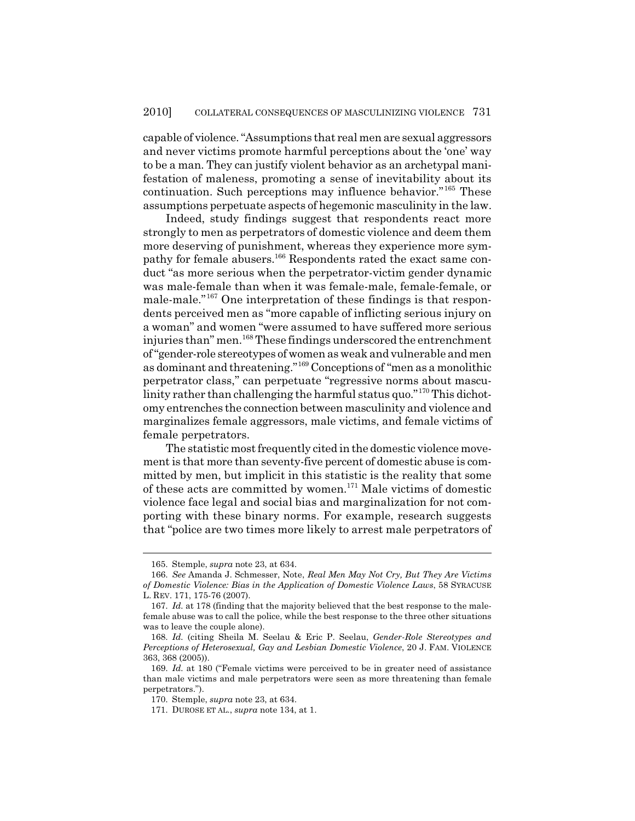capable of violence. "Assumptions that real men are sexual aggressors and never victims promote harmful perceptions about the 'one' way to be a man. They can justify violent behavior as an archetypal manifestation of maleness, promoting a sense of inevitability about its continuation. Such perceptions may influence behavior."165 These assumptions perpetuate aspects of hegemonic masculinity in the law.

Indeed, study findings suggest that respondents react more strongly to men as perpetrators of domestic violence and deem them more deserving of punishment, whereas they experience more sympathy for female abusers.166 Respondents rated the exact same conduct "as more serious when the perpetrator-victim gender dynamic was male-female than when it was female-male, female-female, or male-male."167 One interpretation of these findings is that respondents perceived men as "more capable of inflicting serious injury on a woman" and women "were assumed to have suffered more serious injuries than" men.<sup>168</sup> These findings underscored the entrenchment of "gender-role stereotypes of women as weak and vulnerable and men as dominant and threatening."169 Conceptions of "men as a monolithic perpetrator class," can perpetuate "regressive norms about masculinity rather than challenging the harmful status quo."170 This dichotomy entrenches the connection between masculinity and violence and marginalizes female aggressors, male victims, and female victims of female perpetrators.

The statistic most frequently cited in the domestic violence movement is that more than seventy-five percent of domestic abuse is committed by men, but implicit in this statistic is the reality that some of these acts are committed by women.171 Male victims of domestic violence face legal and social bias and marginalization for not comporting with these binary norms. For example, research suggests that "police are two times more likely to arrest male perpetrators of

<sup>165.</sup> Stemple, *supra* note 23, at 634.

<sup>166.</sup> *See* Amanda J. Schmesser, Note, *Real Men May Not Cry, But They Are Victims of Domestic Violence: Bias in the Application of Domestic Violence Laws*, 58 SYRACUSE L. REV. 171, 175-76 (2007).

<sup>167.</sup> *Id.* at 178 (finding that the majority believed that the best response to the malefemale abuse was to call the police, while the best response to the three other situations was to leave the couple alone).

<sup>168.</sup> *Id.* (citing Sheila M. Seelau & Eric P. Seelau, *Gender-Role Stereotypes and Perceptions of Heterosexual, Gay and Lesbian Domestic Violence*, 20 J. FAM. VIOLENCE 363, 368 (2005)).

<sup>169.</sup> *Id.* at 180 ("Female victims were perceived to be in greater need of assistance than male victims and male perpetrators were seen as more threatening than female perpetrators.").

<sup>170.</sup> Stemple, *supra* note 23, at 634.

<sup>171.</sup> DUROSE ET AL., *supra* note 134, at 1.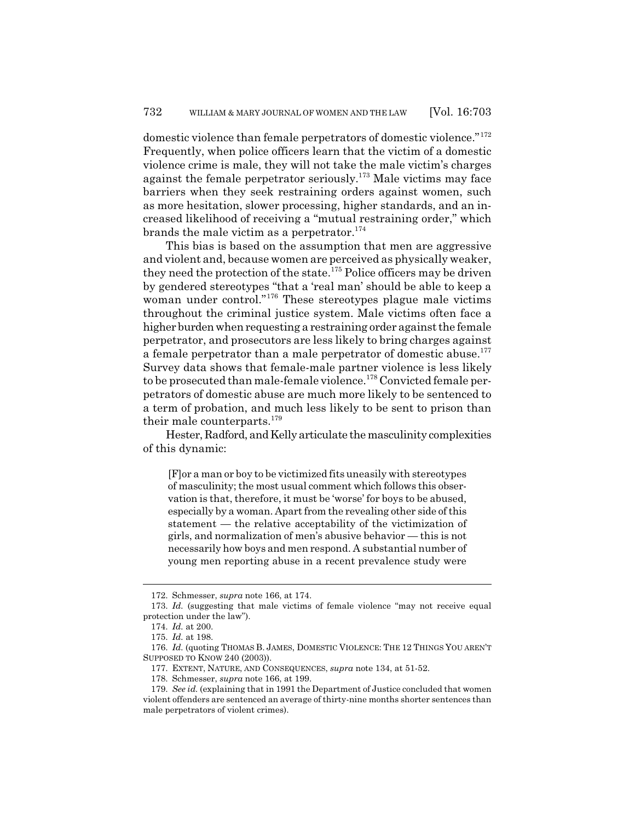domestic violence than female perpetrators of domestic violence."<sup>172</sup> Frequently, when police officers learn that the victim of a domestic violence crime is male, they will not take the male victim's charges against the female perpetrator seriously.<sup>173</sup> Male victims may face barriers when they seek restraining orders against women, such as more hesitation, slower processing, higher standards, and an increased likelihood of receiving a "mutual restraining order," which brands the male victim as a perpetrator.<sup>174</sup>

This bias is based on the assumption that men are aggressive and violent and, because women are perceived as physically weaker, they need the protection of the state.<sup>175</sup> Police officers may be driven by gendered stereotypes "that a 'real man' should be able to keep a woman under control."<sup>176</sup> These stereotypes plague male victims throughout the criminal justice system. Male victims often face a higher burden when requesting a restraining order against the female perpetrator, and prosecutors are less likely to bring charges against a female perpetrator than a male perpetrator of domestic abuse.<sup>177</sup> Survey data shows that female-male partner violence is less likely to be prosecuted than male-female violence.<sup>178</sup> Convicted female perpetrators of domestic abuse are much more likely to be sentenced to a term of probation, and much less likely to be sent to prison than their male counterparts.<sup>179</sup>

Hester, Radford, and Kelly articulate the masculinity complexities of this dynamic:

[F]or a man or boy to be victimized fits uneasily with stereotypes of masculinity; the most usual comment which follows this observation is that, therefore, it must be 'worse' for boys to be abused, especially by a woman. Apart from the revealing other side of this statement — the relative acceptability of the victimization of girls, and normalization of men's abusive behavior — this is not necessarily how boys and men respond. A substantial number of young men reporting abuse in a recent prevalence study were

<sup>172.</sup> Schmesser, *supra* note 166, at 174.

<sup>173.</sup> *Id.* (suggesting that male victims of female violence "may not receive equal protection under the law").

<sup>174.</sup> *Id.* at 200.

<sup>175.</sup> *Id.* at 198.

<sup>176.</sup> *Id.* (quoting THOMAS B. JAMES, DOMESTIC VIOLENCE: THE 12 THINGS YOU AREN'T SUPPOSED TO KNOW 240 (2003)).

<sup>177.</sup> EXTENT, NATURE, AND CONSEQUENCES, *supra* note 134, at 51-52.

<sup>178.</sup> Schmesser, *supra* note 166, at 199.

<sup>179.</sup> *See id.* (explaining that in 1991 the Department of Justice concluded that women violent offenders are sentenced an average of thirty-nine months shorter sentences than male perpetrators of violent crimes).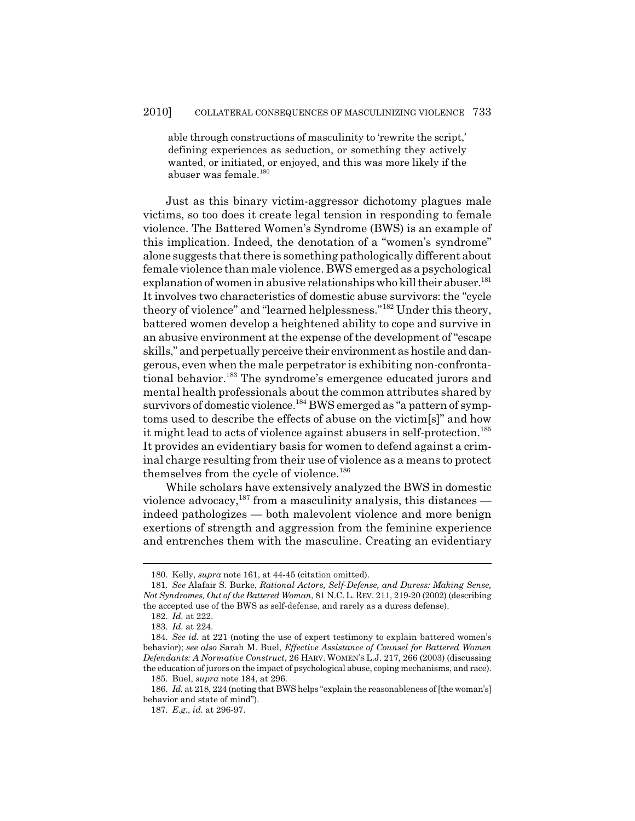able through constructions of masculinity to 'rewrite the script,' defining experiences as seduction, or something they actively wanted, or initiated, or enjoyed, and this was more likely if the abuser was female.<sup>180</sup>

Just as this binary victim-aggressor dichotomy plagues male victims, so too does it create legal tension in responding to female violence. The Battered Women's Syndrome (BWS) is an example of this implication. Indeed, the denotation of a "women's syndrome" alone suggests that there is something pathologically different about female violence than male violence. BWS emerged as a psychological explanation of women in abusive relationships who kill their abuser.<sup>181</sup> It involves two characteristics of domestic abuse survivors: the "cycle theory of violence" and "learned helplessness."182 Under this theory, battered women develop a heightened ability to cope and survive in an abusive environment at the expense of the development of "escape skills," and perpetually perceive their environment as hostile and dangerous, even when the male perpetrator is exhibiting non-confrontational behavior.<sup>183</sup> The syndrome's emergence educated jurors and mental health professionals about the common attributes shared by survivors of domestic violence.<sup>184</sup> BWS emerged as "a pattern of symptoms used to describe the effects of abuse on the victim[s]" and how it might lead to acts of violence against abusers in self-protection.<sup>185</sup> It provides an evidentiary basis for women to defend against a criminal charge resulting from their use of violence as a means to protect themselves from the cycle of violence.<sup>186</sup>

While scholars have extensively analyzed the BWS in domestic violence advocacy,  $187$  from a masculinity analysis, this distances indeed pathologizes — both malevolent violence and more benign exertions of strength and aggression from the feminine experience and entrenches them with the masculine. Creating an evidentiary

<sup>180.</sup> Kelly, *supra* note 161, at 44-45 (citation omitted).

<sup>181.</sup> *See* Alafair S. Burke, *Rational Actors, Self-Defense, and Duress: Making Sense, Not Syndromes, Out of the Battered Woman*, 81 N.C.L. REV. 211, 219-20 (2002) (describing the accepted use of the BWS as self-defense, and rarely as a duress defense).

<sup>182.</sup> *Id.* at 222.

<sup>183.</sup> *Id.* at 224.

<sup>184.</sup> *See id.* at 221 (noting the use of expert testimony to explain battered women's behavior); *see also* Sarah M. Buel, *Effective Assistance of Counsel for Battered Women Defendants: A Normative Construct*, 26 HARV. WOMEN'S L.J. 217, 266 (2003) (discussing the education of jurors on the impact of psychological abuse, coping mechanisms, and race).

<sup>185.</sup> Buel, *supra* note 184, at 296.

<sup>186.</sup> *Id.* at 218, 224 (noting that BWS helps "explain the reasonableness of [the woman's] behavior and state of mind").

<sup>187.</sup> *E.g.*, *id.* at 296-97.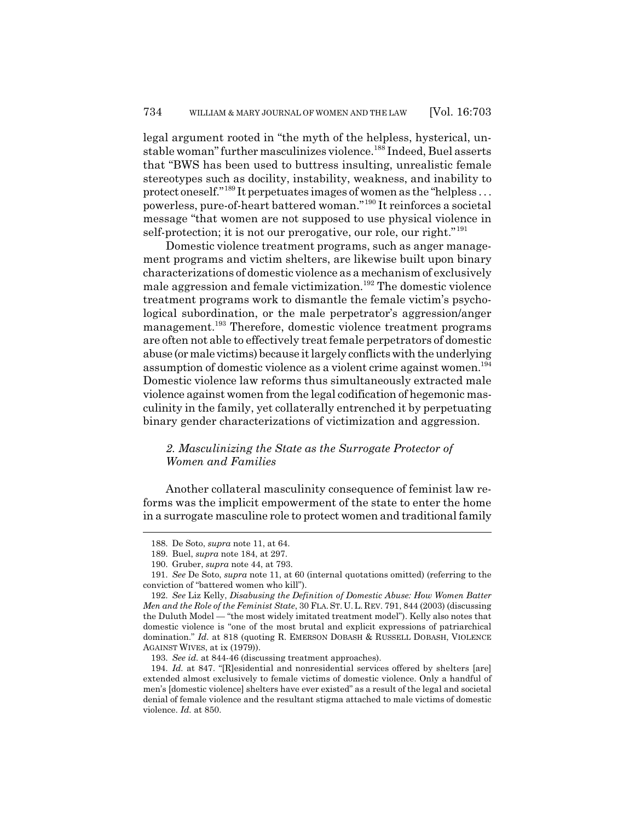legal argument rooted in "the myth of the helpless, hysterical, unstable woman" further masculinizes violence.188 Indeed, Buel asserts that "BWS has been used to buttress insulting, unrealistic female stereotypes such as docility, instability, weakness, and inability to protect oneself."189 It perpetuates images of women as the "helpless . . . powerless, pure-of-heart battered woman."190 It reinforces a societal message "that women are not supposed to use physical violence in self-protection; it is not our prerogative, our role, our right."<sup>191</sup>

Domestic violence treatment programs, such as anger management programs and victim shelters, are likewise built upon binary characterizations of domestic violence as a mechanism of exclusively male aggression and female victimization.<sup>192</sup> The domestic violence treatment programs work to dismantle the female victim's psychological subordination, or the male perpetrator's aggression/anger management.<sup>193</sup> Therefore, domestic violence treatment programs are often not able to effectively treat female perpetrators of domestic abuse (or male victims) because it largely conflicts with the underlying assumption of domestic violence as a violent crime against women.<sup>194</sup> Domestic violence law reforms thus simultaneously extracted male violence against women from the legal codification of hegemonic masculinity in the family, yet collaterally entrenched it by perpetuating binary gender characterizations of victimization and aggression.

## *2. Masculinizing the State as the Surrogate Protector of Women and Families*

Another collateral masculinity consequence of feminist law reforms was the implicit empowerment of the state to enter the home in a surrogate masculine role to protect women and traditional family

<sup>188.</sup> De Soto, *supra* note 11, at 64.

<sup>189.</sup> Buel, *supra* note 184, at 297.

<sup>190.</sup> Gruber, *supra* note 44, at 793.

<sup>191.</sup> *See* De Soto, *supra* note 11, at 60 (internal quotations omitted) (referring to the conviction of "battered women who kill").

<sup>192.</sup> *See* Liz Kelly, *Disabusing the Definition of Domestic Abuse: How Women Batter Men and the Role of the Feminist State*, 30 FLA.ST. U.L. REV. 791, 844 (2003) (discussing the Duluth Model — "the most widely imitated treatment model"). Kelly also notes that domestic violence is "one of the most brutal and explicit expressions of patriarchical domination." *Id.* at 818 (quoting R. EMERSON DOBASH & RUSSELL DOBASH, VIOLENCE AGAINST WIVES, at ix (1979)).

<sup>193.</sup> *See id.* at 844-46 (discussing treatment approaches).

<sup>194.</sup> *Id.* at 847. "[R]esidential and nonresidential services offered by shelters [are] extended almost exclusively to female victims of domestic violence. Only a handful of men's [domestic violence] shelters have ever existed" as a result of the legal and societal denial of female violence and the resultant stigma attached to male victims of domestic violence. *Id.* at 850.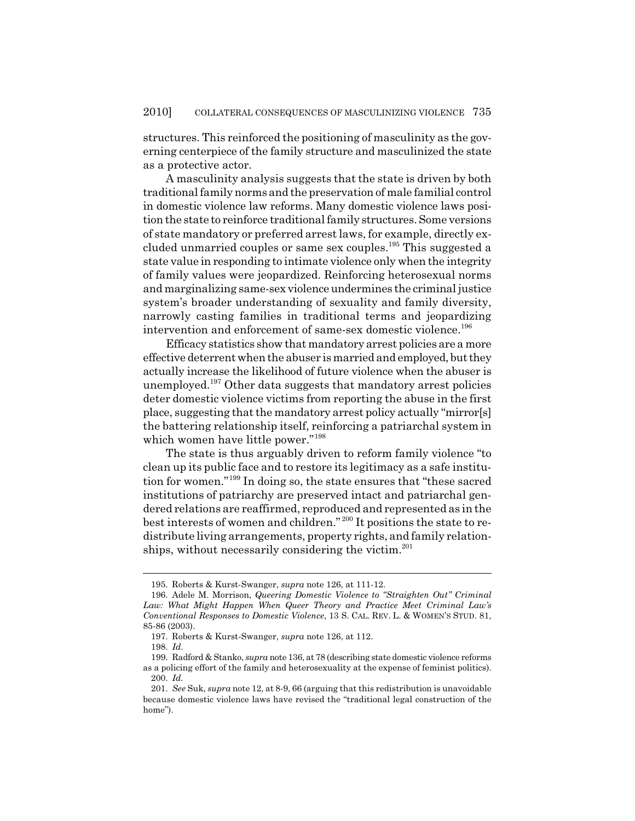structures. This reinforced the positioning of masculinity as the governing centerpiece of the family structure and masculinized the state as a protective actor.

A masculinity analysis suggests that the state is driven by both traditional family norms and the preservation of male familial control in domestic violence law reforms. Many domestic violence laws position the state to reinforce traditional family structures. Some versions of state mandatory or preferred arrest laws, for example, directly excluded unmarried couples or same sex couples.195 This suggested a state value in responding to intimate violence only when the integrity of family values were jeopardized. Reinforcing heterosexual norms and marginalizing same-sex violence undermines the criminal justice system's broader understanding of sexuality and family diversity, narrowly casting families in traditional terms and jeopardizing intervention and enforcement of same-sex domestic violence.<sup>196</sup>

Efficacy statistics show that mandatory arrest policies are a more effective deterrent when the abuser is married and employed, but they actually increase the likelihood of future violence when the abuser is unemployed.197 Other data suggests that mandatory arrest policies deter domestic violence victims from reporting the abuse in the first place, suggesting that the mandatory arrest policy actually "mirror[s] the battering relationship itself, reinforcing a patriarchal system in which women have little power."<sup>198</sup>

The state is thus arguably driven to reform family violence "to clean up its public face and to restore its legitimacy as a safe institution for women."199 In doing so, the state ensures that "these sacred institutions of patriarchy are preserved intact and patriarchal gendered relations are reaffirmed, reproduced and represented as in the best interests of women and children." 200 It positions the state to redistribute living arrangements, property rights, and family relationships, without necessarily considering the victim.<sup>201</sup>

<sup>195.</sup> Roberts & Kurst-Swanger, *supra* note 126, at 111-12.

<sup>196.</sup> Adele M. Morrison, *Queering Domestic Violence to "Straighten Out" Criminal Law: What Might Happen When Queer Theory and Practice Meet Criminal Law's Conventional Responses to Domestic Violence*, 13 S. CAL. REV. L. & WOMEN'S STUD. 81, 85-86 (2003).

<sup>197.</sup> Roberts & Kurst-Swanger, *supra* note 126, at 112.

<sup>198.</sup> *Id.*

<sup>199.</sup> Radford & Stanko, *supra* note 136, at 78 (describing state domestic violence reforms as a policing effort of the family and heterosexuality at the expense of feminist politics). 200. *Id.*

<sup>201.</sup> *See* Suk, *supra* note 12, at 8-9, 66 (arguing that this redistribution is unavoidable because domestic violence laws have revised the "traditional legal construction of the home").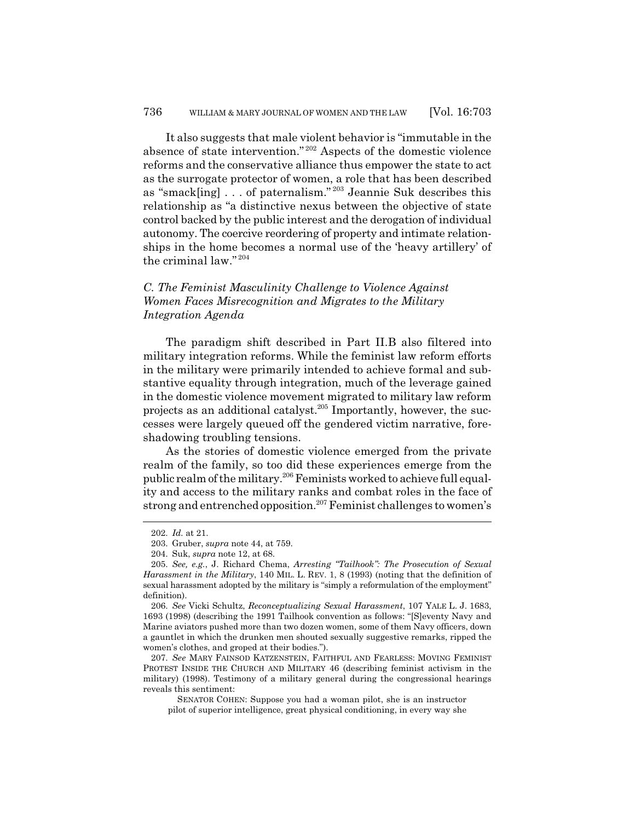It also suggests that male violent behavior is "immutable in the absence of state intervention." 202 Aspects of the domestic violence reforms and the conservative alliance thus empower the state to act as the surrogate protector of women, a role that has been described as "smack[ing] . . . of paternalism." 203 Jeannie Suk describes this relationship as "a distinctive nexus between the objective of state control backed by the public interest and the derogation of individual autonomy. The coercive reordering of property and intimate relationships in the home becomes a normal use of the 'heavy artillery' of the criminal law." <sup>204</sup>

# *C. The Feminist Masculinity Challenge to Violence Against Women Faces Misrecognition and Migrates to the Military Integration Agenda*

The paradigm shift described in Part II.B also filtered into military integration reforms. While the feminist law reform efforts in the military were primarily intended to achieve formal and substantive equality through integration, much of the leverage gained in the domestic violence movement migrated to military law reform projects as an additional catalyst.205 Importantly, however, the successes were largely queued off the gendered victim narrative, foreshadowing troubling tensions.

As the stories of domestic violence emerged from the private realm of the family, so too did these experiences emerge from the public realm of the military.206 Feminists worked to achieve full equality and access to the military ranks and combat roles in the face of strong and entrenched opposition.<sup>207</sup> Feminist challenges to women's

<sup>202.</sup> *Id.* at 21.

<sup>203.</sup> Gruber, *supra* note 44, at 759.

<sup>204.</sup> Suk, *supra* note 12, at 68.

<sup>205.</sup> *See, e.g.*, J. Richard Chema, *Arresting "Tailhook": The Prosecution of Sexual Harassment in the Military*, 140 MIL. L. REV. 1, 8 (1993) (noting that the definition of sexual harassment adopted by the military is "simply a reformulation of the employment" definition).

<sup>206.</sup> *See* Vicki Schultz, *Reconceptualizing Sexual Harassment*, 107 YALE L. J. 1683, 1693 (1998) (describing the 1991 Tailhook convention as follows: "[S]eventy Navy and Marine aviators pushed more than two dozen women, some of them Navy officers, down a gauntlet in which the drunken men shouted sexually suggestive remarks, ripped the women's clothes, and groped at their bodies.").

<sup>207.</sup> *See* MARY FAINSOD KATZENSTEIN, FAITHFUL AND FEARLESS: MOVING FEMINIST PROTEST INSIDE THE CHURCH AND MILITARY 46 (describing feminist activism in the military) (1998). Testimony of a military general during the congressional hearings reveals this sentiment:

SENATOR COHEN: Suppose you had a woman pilot, she is an instructor pilot of superior intelligence, great physical conditioning, in every way she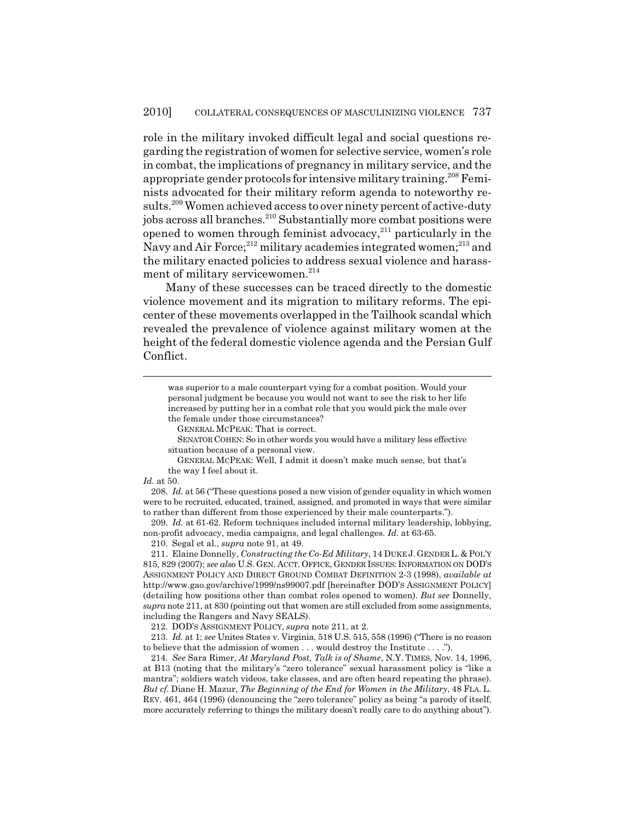role in the military invoked difficult legal and social questions regarding the registration of women for selective service, women's role in combat, the implications of pregnancy in military service, and the appropriate gender protocols for intensive military training.<sup>208</sup> Feminists advocated for their military reform agenda to noteworthy results.<sup>209</sup> Women achieved access to over ninety percent of active-duty jobs across all branches.<sup>210</sup> Substantially more combat positions were opened to women through feminist advocacy, $2^{11}$  particularly in the Navy and Air Force;<sup>212</sup> military academies integrated women;<sup>213</sup> and the military enacted policies to address sexual violence and harassment of military servicewomen.<sup>214</sup>

Many of these successes can be traced directly to the domestic violence movement and its migration to military reforms. The epicenter of these movements overlapped in the Tailhook scandal which revealed the prevalence of violence against military women at the height of the federal domestic violence agenda and the Persian Gulf Conflict.

*Id.* at 50.

208. *Id.* at 56 ("These questions posed a new vision of gender equality in which women were to be recruited, educated, trained, assigned, and promoted in ways that were similar to rather than different from those experienced by their male counterparts.").

209. *Id.* at 61-62. Reform techniques included internal military leadership, lobbying, non-profit advocacy, media campaigns, and legal challenges. *Id.* at 63-65.

210. Segal et al., *supra* note 91, at 49.

211. Elaine Donnelly, *Constructing the Co-Ed Military*, 14 DUKE J.GENDER L. & POL'Y 815, 829 (2007); *see also* U.S. GEN. ACCT. OFFICE, GENDER ISSUES: INFORMATION ON DOD'S ASSIGNMENT POLICY AND DIRECT GROUND COMBAT DEFINITION 2-3 (1998), *available at* http://www.gao.gov/archive/1999/ns99007.pdf [hereinafter DOD'S ASSIGNMENT POLICY] (detailing how positions other than combat roles opened to women). *But see* Donnelly, *supra* note 211, at 830 (pointing out that women are still excluded from some assignments, including the Rangers and Navy SEALS).

212. DOD'S ASSIGNMENT POLICY, *supra* note 211, at 2.

213. *Id.* at 1; *see* Unites States v. Virginia, 518 U.S. 515, 558 (1996) ("There is no reason to believe that the admission of women . . . would destroy the Institute . . . .").

214. *See* Sara Rimer, *At Maryland Post, Talk is of Shame*, N.Y. TIMES, Nov. 14, 1996, at B13 (noting that the military's "zero tolerance" sexual harassment policy is "like a mantra"; soldiers watch videos, take classes, and are often heard repeating the phrase). *But cf.* Diane H. Mazur, *The Beginning of the End for Women in the Military*, 48 FLA. L. REV. 461, 464 (1996) (denouncing the "zero tolerance" policy as being "a parody of itself, more accurately referring to things the military doesn't really care to do anything about").

was superior to a male counterpart vying for a combat position. Would your personal judgment be because you would not want to see the risk to her life increased by putting her in a combat role that you would pick the male over the female under those circumstances?

GENERAL MCPEAK: That is correct.

SENATOR COHEN: So in other words you would have a military less effective situation because of a personal view.

GENERAL MCPEAK: Well, I admit it doesn't make much sense, but that's the way I feel about it.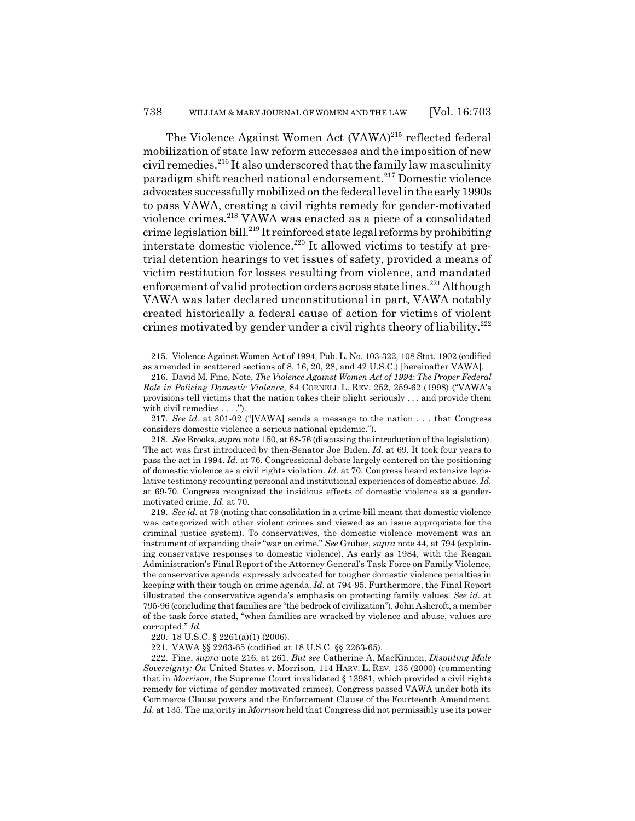The Violence Against Women Act (VAWA)<sup>215</sup> reflected federal mobilization of state law reform successes and the imposition of new civil remedies.<sup>216</sup> It also underscored that the family law masculinity paradigm shift reached national endorsement.217 Domestic violence advocates successfully mobilized on the federal level in the early 1990s to pass VAWA, creating a civil rights remedy for gender-motivated violence crimes.218 VAWA was enacted as a piece of a consolidated crime legislation bill.<sup>219</sup> It reinforced state legal reforms by prohibiting interstate domestic violence.<sup>220</sup> It allowed victims to testify at pretrial detention hearings to vet issues of safety, provided a means of victim restitution for losses resulting from violence, and mandated enforcement of valid protection orders across state lines.<sup>221</sup> Although VAWA was later declared unconstitutional in part, VAWA notably created historically a federal cause of action for victims of violent crimes motivated by gender under a civil rights theory of liability. $^{222}$ 

<sup>215.</sup> Violence Against Women Act of 1994, Pub. L. No. 103-322, 108 Stat. 1902 (codified as amended in scattered sections of 8, 16, 20, 28, and 42 U.S.C.) [hereinafter VAWA].

<sup>216.</sup> David M. Fine, Note, *The Violence Against Women Act of 1994: The Proper Federal Role in Policing Domestic Violence*, 84 CORNELL L. REV. 252, 259-62 (1998) ("VAWA's provisions tell victims that the nation takes their plight seriously . . . and provide them with civil remedies . . . .").

<sup>217.</sup> *See id.* at 301-02 ("[VAWA] sends a message to the nation . . . that Congress considers domestic violence a serious national epidemic.").

<sup>218.</sup> *See* Brooks, *supra* note 150, at 68-76 (discussing the introduction of the legislation). The act was first introduced by then-Senator Joe Biden. *Id.* at 69. It took four years to pass the act in 1994. *Id.* at 76. Congressional debate largely centered on the positioning of domestic violence as a civil rights violation. *Id.* at 70. Congress heard extensive legislative testimony recounting personal and institutional experiences of domestic abuse. *Id.* at 69-70. Congress recognized the insidious effects of domestic violence as a gendermotivated crime. *Id.* at 70.

<sup>219.</sup> *See id.* at 79 (noting that consolidation in a crime bill meant that domestic violence was categorized with other violent crimes and viewed as an issue appropriate for the criminal justice system). To conservatives, the domestic violence movement was an instrument of expanding their "war on crime." *See* Gruber, *supra* note 44, at 794 (explaining conservative responses to domestic violence). As early as 1984, with the Reagan Administration's Final Report of the Attorney General's Task Force on Family Violence, the conservative agenda expressly advocated for tougher domestic violence penalties in keeping with their tough on crime agenda. *Id.* at 794-95. Furthermore, the Final Report illustrated the conservative agenda's emphasis on protecting family values. *See id.* at 795-96 (concluding that families are "the bedrock of civilization"). John Ashcroft, a member of the task force stated, "when families are wracked by violence and abuse, values are corrupted." *Id.*

<sup>220. 18</sup> U.S.C. § 2261(a)(1) (2006).

<sup>221.</sup> VAWA §§ 2263-65 (codified at 18 U.S.C. §§ 2263-65).

<sup>222.</sup> Fine, *supra* note 216, at 261. *But see* Catherine A. MacKinnon, *Disputing Male Sovereignty: On* United States v. Morrison, 114 HARV. L. REV. 135 (2000) (commenting that in *Morrison*, the Supreme Court invalidated § 13981, which provided a civil rights remedy for victims of gender motivated crimes). Congress passed VAWA under both its Commerce Clause powers and the Enforcement Clause of the Fourteenth Amendment. *Id.* at 135. The majority in *Morrison* held that Congress did not permissibly use its power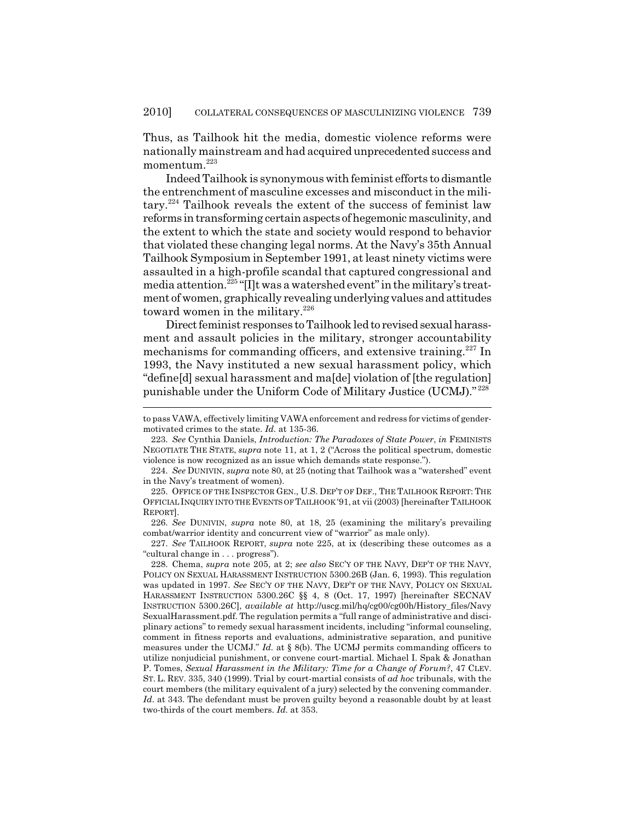Thus, as Tailhook hit the media, domestic violence reforms were nationally mainstream and had acquired unprecedented success and momentum.<sup>223</sup>

Indeed Tailhook is synonymous with feminist efforts to dismantle the entrenchment of masculine excesses and misconduct in the military.224 Tailhook reveals the extent of the success of feminist law reforms in transforming certain aspects of hegemonic masculinity, and the extent to which the state and society would respond to behavior that violated these changing legal norms. At the Navy's 35th Annual Tailhook Symposium in September 1991, at least ninety victims were assaulted in a high-profile scandal that captured congressional and media attention.<sup>225</sup> "[I]t was a watershed event" in the military's treatment of women, graphically revealing underlying values and attitudes toward women in the military.<sup>226</sup>

Direct feminist responses to Tailhook led to revised sexual harassment and assault policies in the military, stronger accountability mechanisms for commanding officers, and extensive training.<sup>227</sup> In 1993, the Navy instituted a new sexual harassment policy, which "define[d] sexual harassment and ma[de] violation of [the regulation] punishable under the Uniform Code of Military Justice (UCMJ)." <sup>228</sup>

226. *See* DUNIVIN, *supra* note 80, at 18, 25 (examining the military's prevailing combat/warrior identity and concurrent view of "warrior" as male only).

227. *See* TAILHOOK REPORT, *supra* note 225, at ix (describing these outcomes as a "cultural change in . . . progress").

to pass VAWA, effectively limiting VAWA enforcement and redress for victims of gendermotivated crimes to the state. *Id.* at 135-36.

<sup>223.</sup> *See* Cynthia Daniels, *Introduction: The Paradoxes of State Power*, *in* FEMINISTS NEGOTIATE THE STATE, *supra* note 11, at 1, 2 ("Across the political spectrum, domestic violence is now recognized as an issue which demands state response.").

<sup>224.</sup> *See* DUNIVIN, *supra* note 80, at 25 (noting that Tailhook was a "watershed" event in the Navy's treatment of women).

<sup>225.</sup> OFFICE OF THE INSPECTOR GEN., U.S. DEP'T OF DEF., THE TAILHOOK REPORT: THE OFFICIAL INQUIRY INTO THE EVENTS OF TAILHOOK '91, at vii (2003) [hereinafter TAILHOOK REPORT].

<sup>228.</sup> Chema, *supra* note 205, at 2; *see also* SEC'Y OF THE NAVY, DEP'T OF THE NAVY, POLICY ON SEXUAL HARASSMENT INSTRUCTION 5300.26B (Jan. 6, 1993). This regulation was updated in 1997. *See* SEC'Y OF THE NAVY, DEP'T OF THE NAVY, POLICY ON SEXUAL HARASSMENT INSTRUCTION 5300.26C §§ 4, 8 (Oct. 17, 1997) [hereinafter SECNAV INSTRUCTION 5300.26C], *available at* http://uscg.mil/hq/cg00/cg00h/History\_files/Navy SexualHarassment.pdf. The regulation permits a "full range of administrative and disciplinary actions" to remedy sexual harassment incidents, including "informal counseling, comment in fitness reports and evaluations, administrative separation, and punitive measures under the UCMJ." *Id.* at § 8(b). The UCMJ permits commanding officers to utilize nonjudicial punishment, or convene court-martial. Michael I. Spak & Jonathan P. Tomes, *Sexual Harassment in the Military: Time for a Change of Forum?*, 47 CLEV. ST. L. REV. 335, 340 (1999). Trial by court-martial consists of *ad hoc* tribunals, with the court members (the military equivalent of a jury) selected by the convening commander. Id. at 343. The defendant must be proven guilty beyond a reasonable doubt by at least two-thirds of the court members. *Id.* at 353.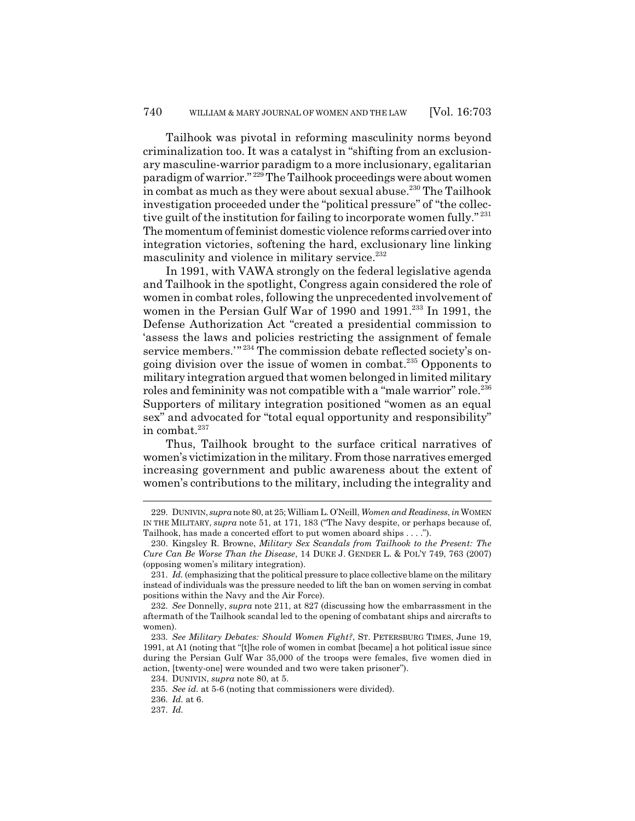Tailhook was pivotal in reforming masculinity norms beyond criminalization too. It was a catalyst in "shifting from an exclusionary masculine-warrior paradigm to a more inclusionary, egalitarian paradigm of warrior." 229 The Tailhook proceedings were about women in combat as much as they were about sexual abuse.<sup>230</sup> The Tailhook investigation proceeded under the "political pressure" of "the collective guilt of the institution for failing to incorporate women fully."<sup>231</sup> The momentum of feminist domestic violence reforms carried over into integration victories, softening the hard, exclusionary line linking masculinity and violence in military service.<sup>232</sup>

In 1991, with VAWA strongly on the federal legislative agenda and Tailhook in the spotlight, Congress again considered the role of women in combat roles, following the unprecedented involvement of women in the Persian Gulf War of 1990 and 1991.<sup>233</sup> In 1991, the Defense Authorization Act "created a presidential commission to 'assess the laws and policies restricting the assignment of female service members."<sup>234</sup> The commission debate reflected society's ongoing division over the issue of women in combat. $^{235}$  Opponents to military integration argued that women belonged in limited military roles and femininity was not compatible with a "male warrior" role.<sup>236</sup> Supporters of military integration positioned "women as an equal sex" and advocated for "total equal opportunity and responsibility" in combat. $237$ 

Thus, Tailhook brought to the surface critical narratives of women's victimization in the military. From those narratives emerged increasing government and public awareness about the extent of women's contributions to the military, including the integrality and

<sup>229.</sup> DUNIVIN, *supra* note 80, at 25; William L. O'Neill, *Women and Readiness*, *in*WOMEN IN THE MILITARY, *supra* note 51, at 171, 183 ("The Navy despite, or perhaps because of, Tailhook, has made a concerted effort to put women aboard ships . . . .").

<sup>230.</sup> Kingsley R. Browne, *Military Sex Scandals from Tailhook to the Present: The Cure Can Be Worse Than the Disease*, 14 DUKE J. GENDER L. & POL'Y 749, 763 (2007) (opposing women's military integration).

<sup>231.</sup> *Id.* (emphasizing that the political pressure to place collective blame on the military instead of individuals was the pressure needed to lift the ban on women serving in combat positions within the Navy and the Air Force).

<sup>232.</sup> *See* Donnelly, *supra* note 211, at 827 (discussing how the embarrassment in the aftermath of the Tailhook scandal led to the opening of combatant ships and aircrafts to women).

<sup>233.</sup> *See Military Debates: Should Women Fight?*, ST. PETERSBURG TIMES, June 19, 1991, at A1 (noting that "[t]he role of women in combat [became] a hot political issue since during the Persian Gulf War 35,000 of the troops were females, five women died in action, [twenty-one] were wounded and two were taken prisoner").

<sup>234.</sup> DUNIVIN, *supra* note 80, at 5.

<sup>235.</sup> *See id.* at 5-6 (noting that commissioners were divided).

<sup>236.</sup> *Id.* at 6.

<sup>237.</sup> *Id.*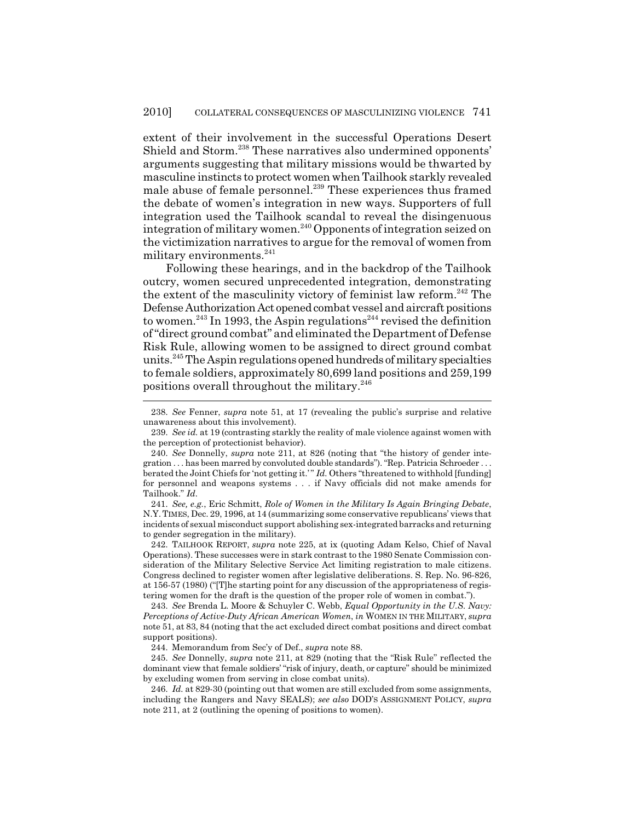extent of their involvement in the successful Operations Desert Shield and Storm.<sup>238</sup> These narratives also undermined opponents' arguments suggesting that military missions would be thwarted by masculine instincts to protect women when Tailhook starkly revealed male abuse of female personnel.<sup>239</sup> These experiences thus framed the debate of women's integration in new ways. Supporters of full integration used the Tailhook scandal to reveal the disingenuous integration of military women.<sup>240</sup> Opponents of integration seized on the victimization narratives to argue for the removal of women from military environments. $^{241}$ 

Following these hearings, and in the backdrop of the Tailhook outcry, women secured unprecedented integration, demonstrating the extent of the masculinity victory of feminist law reform.<sup>242</sup> The Defense Authorization Act opened combat vessel and aircraft positions to women.<sup>243</sup> In 1993, the Aspin regulations<sup>244</sup> revised the definition of "direct ground combat" and eliminated the Department of Defense Risk Rule, allowing women to be assigned to direct ground combat units.245 The Aspin regulations opened hundreds of military specialties to female soldiers, approximately 80,699 land positions and 259,199 positions overall throughout the military.<sup>246</sup>

241. *See, e.g.*, Eric Schmitt, *Role of Women in the Military Is Again Bringing Debate*, N.Y.TIMES, Dec. 29, 1996, at 14 (summarizing some conservative republicans' views that incidents of sexual misconduct support abolishing sex-integrated barracks and returning to gender segregation in the military).

242. TAILHOOK REPORT, *supra* note 225, at ix (quoting Adam Kelso, Chief of Naval Operations). These successes were in stark contrast to the 1980 Senate Commission consideration of the Military Selective Service Act limiting registration to male citizens. Congress declined to register women after legislative deliberations. S. Rep. No. 96-826, at 156-57 (1980) ("[T]he starting point for any discussion of the appropriateness of registering women for the draft is the question of the proper role of women in combat.").

243. *See* Brenda L. Moore & Schuyler C. Webb, *Equal Opportunity in the U.S. Navy: Perceptions of Active-Duty African American Women*, *in* WOMEN IN THE MILITARY, *supra* note 51, at 83, 84 (noting that the act excluded direct combat positions and direct combat support positions).

244. Memorandum from Sec'y of Def., *supra* note 88.

245. *See* Donnelly, *supra* note 211, at 829 (noting that the "Risk Rule" reflected the dominant view that female soldiers' "risk of injury, death, or capture" should be minimized by excluding women from serving in close combat units).

246. *Id.* at 829-30 (pointing out that women are still excluded from some assignments, including the Rangers and Navy SEALS); *see also* DOD'S ASSIGNMENT POLICY, *supra* note 211, at 2 (outlining the opening of positions to women).

<sup>238.</sup> *See* Fenner, *supra* note 51, at 17 (revealing the public's surprise and relative unawareness about this involvement).

<sup>239.</sup> *See id.* at 19 (contrasting starkly the reality of male violence against women with the perception of protectionist behavior).

<sup>240.</sup> *See* Donnelly, *supra* note 211, at 826 (noting that "the history of gender integration . . . has been marred by convoluted double standards"). "Rep. Patricia Schroeder . . . berated the Joint Chiefs for 'not getting it.' " *Id.* Others "threatened to withhold [funding] for personnel and weapons systems . . . if Navy officials did not make amends for Tailhook." *Id.*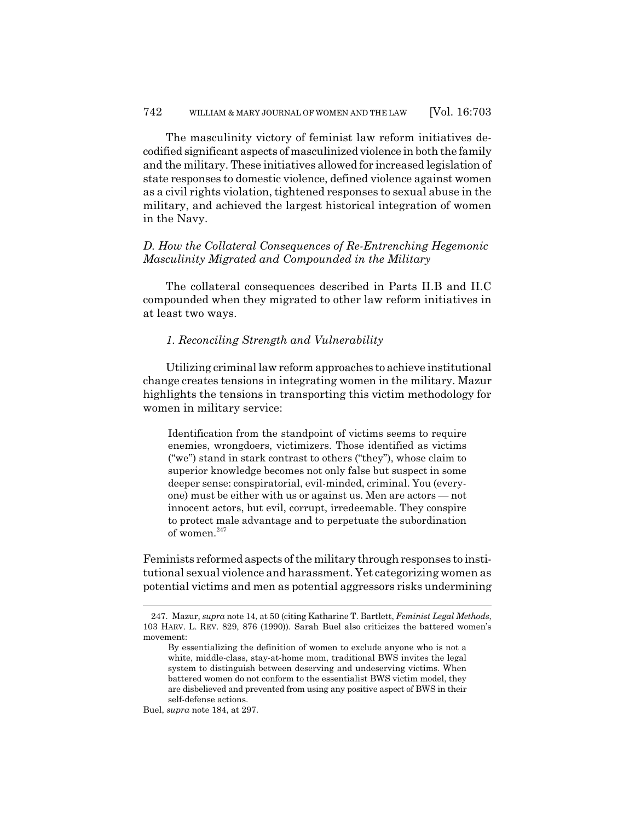The masculinity victory of feminist law reform initiatives decodified significant aspects of masculinized violence in both the family and the military. These initiatives allowed for increased legislation of state responses to domestic violence, defined violence against women as a civil rights violation, tightened responses to sexual abuse in the military, and achieved the largest historical integration of women in the Navy.

# *D. How the Collateral Consequences of Re-Entrenching Hegemonic Masculinity Migrated and Compounded in the Military*

The collateral consequences described in Parts II.B and II.C compounded when they migrated to other law reform initiatives in at least two ways.

#### *1. Reconciling Strength and Vulnerability*

Utilizing criminal law reform approaches to achieve institutional change creates tensions in integrating women in the military. Mazur highlights the tensions in transporting this victim methodology for women in military service:

Identification from the standpoint of victims seems to require enemies, wrongdoers, victimizers. Those identified as victims ("we") stand in stark contrast to others ("they"), whose claim to superior knowledge becomes not only false but suspect in some deeper sense: conspiratorial, evil-minded, criminal. You (everyone) must be either with us or against us. Men are actors — not innocent actors, but evil, corrupt, irredeemable. They conspire to protect male advantage and to perpetuate the subordination of women.<sup>247</sup>

Feminists reformed aspects of the military through responses to institutional sexual violence and harassment. Yet categorizing women as potential victims and men as potential aggressors risks undermining

Buel, *supra* note 184, at 297.

<sup>247.</sup> Mazur, *supra* note 14, at 50 (citing Katharine T. Bartlett, *Feminist Legal Methods*, 103 HARV. L. REV. 829, 876 (1990)). Sarah Buel also criticizes the battered women's movement:

By essentializing the definition of women to exclude anyone who is not a white, middle-class, stay-at-home mom, traditional BWS invites the legal system to distinguish between deserving and undeserving victims. When battered women do not conform to the essentialist BWS victim model, they are disbelieved and prevented from using any positive aspect of BWS in their self-defense actions.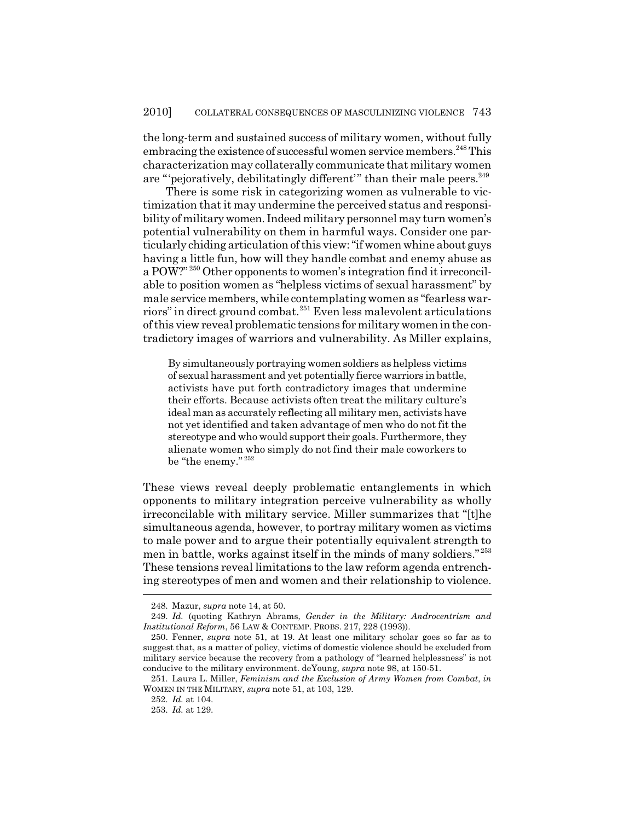the long-term and sustained success of military women, without fully embracing the existence of successful women service members.<sup>248</sup> This characterization may collaterally communicate that military women are "'pejoratively, debilitatingly different'" than their male peers.<sup>249</sup>

There is some risk in categorizing women as vulnerable to victimization that it may undermine the perceived status and responsibility of military women. Indeed military personnel may turn women's potential vulnerability on them in harmful ways. Consider one particularly chiding articulation of this view: "if women whine about guys having a little fun, how will they handle combat and enemy abuse as a POW?" 250 Other opponents to women's integration find it irreconcilable to position women as "helpless victims of sexual harassment" by male service members, while contemplating women as "fearless warriors" in direct ground combat.251 Even less malevolent articulations of this view reveal problematic tensions for military women in the contradictory images of warriors and vulnerability. As Miller explains,

By simultaneously portraying women soldiers as helpless victims of sexual harassment and yet potentially fierce warriors in battle, activists have put forth contradictory images that undermine their efforts. Because activists often treat the military culture's ideal man as accurately reflecting all military men, activists have not yet identified and taken advantage of men who do not fit the stereotype and who would support their goals. Furthermore, they alienate women who simply do not find their male coworkers to be "the enemy."  $^{\rm 252}$ 

These views reveal deeply problematic entanglements in which opponents to military integration perceive vulnerability as wholly irreconcilable with military service. Miller summarizes that "[t]he simultaneous agenda, however, to portray military women as victims to male power and to argue their potentially equivalent strength to men in battle, works against itself in the minds of many soldiers." <sup>253</sup> These tensions reveal limitations to the law reform agenda entrenching stereotypes of men and women and their relationship to violence.

<sup>248.</sup> Mazur, *supra* note 14, at 50.

<sup>249.</sup> *Id.* (quoting Kathryn Abrams, *Gender in the Military: Androcentrism and Institutional Reform*, 56 LAW & CONTEMP. PROBS. 217, 228 (1993)).

<sup>250.</sup> Fenner, *supra* note 51, at 19. At least one military scholar goes so far as to suggest that, as a matter of policy, victims of domestic violence should be excluded from military service because the recovery from a pathology of "learned helplessness" is not conducive to the military environment. deYoung, *supra* note 98, at 150-51.

<sup>251.</sup> Laura L. Miller, *Feminism and the Exclusion of Army Women from Combat*, *in* WOMEN IN THE MILITARY, *supra* note 51, at 103, 129.

<sup>252.</sup> *Id.* at 104.

<sup>253.</sup> *Id.* at 129.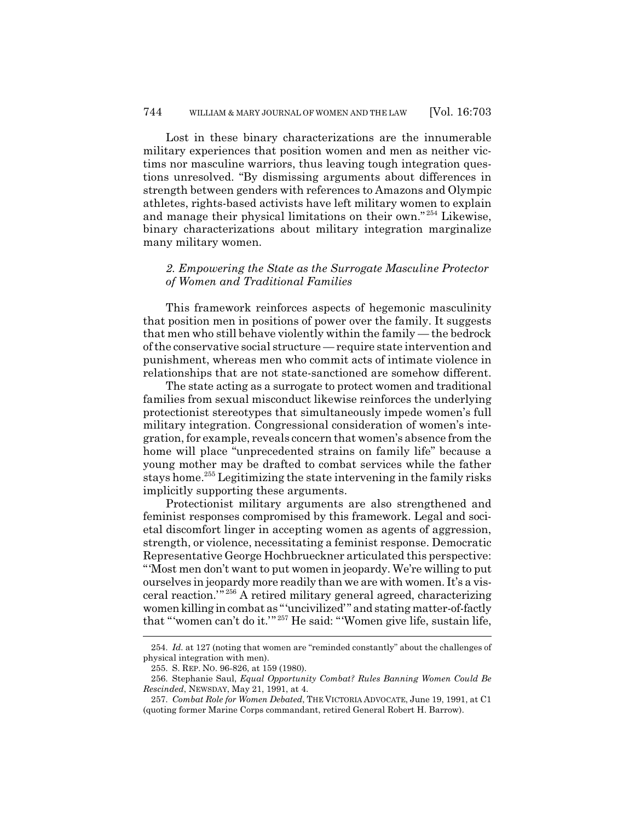Lost in these binary characterizations are the innumerable military experiences that position women and men as neither victims nor masculine warriors, thus leaving tough integration questions unresolved. "By dismissing arguments about differences in strength between genders with references to Amazons and Olympic athletes, rights-based activists have left military women to explain and manage their physical limitations on their own." 254 Likewise, binary characterizations about military integration marginalize many military women.

### *2. Empowering the State as the Surrogate Masculine Protector of Women and Traditional Families*

This framework reinforces aspects of hegemonic masculinity that position men in positions of power over the family. It suggests that men who still behave violently within the family — the bedrock of the conservative social structure — require state intervention and punishment, whereas men who commit acts of intimate violence in relationships that are not state-sanctioned are somehow different.

The state acting as a surrogate to protect women and traditional families from sexual misconduct likewise reinforces the underlying protectionist stereotypes that simultaneously impede women's full military integration. Congressional consideration of women's integration, for example, reveals concern that women's absence from the home will place "unprecedented strains on family life" because a young mother may be drafted to combat services while the father stays home.255 Legitimizing the state intervening in the family risks implicitly supporting these arguments.

Protectionist military arguments are also strengthened and feminist responses compromised by this framework. Legal and societal discomfort linger in accepting women as agents of aggression, strength, or violence, necessitating a feminist response. Democratic Representative George Hochbrueckner articulated this perspective: "'Most men don't want to put women in jeopardy. We're willing to put ourselves in jeopardy more readily than we are with women. It's a visceral reaction.'" 256 A retired military general agreed, characterizing women killing in combat as "'uncivilized'" and stating matter-of-factly that "'women can't do it.'" 257 He said: "'Women give life, sustain life,

<sup>254.</sup> *Id.* at 127 (noting that women are "reminded constantly" about the challenges of physical integration with men).

<sup>255.</sup> S. REP. NO. 96-826, at 159 (1980).

<sup>256.</sup> Stephanie Saul, *Equal Opportunity Combat? Rules Banning Women Could Be Rescinded*, NEWSDAY, May 21, 1991, at 4.

<sup>257.</sup> *Combat Role for Women Debated*, THE VICTORIA ADVOCATE, June 19, 1991, at C1 (quoting former Marine Corps commandant, retired General Robert H. Barrow).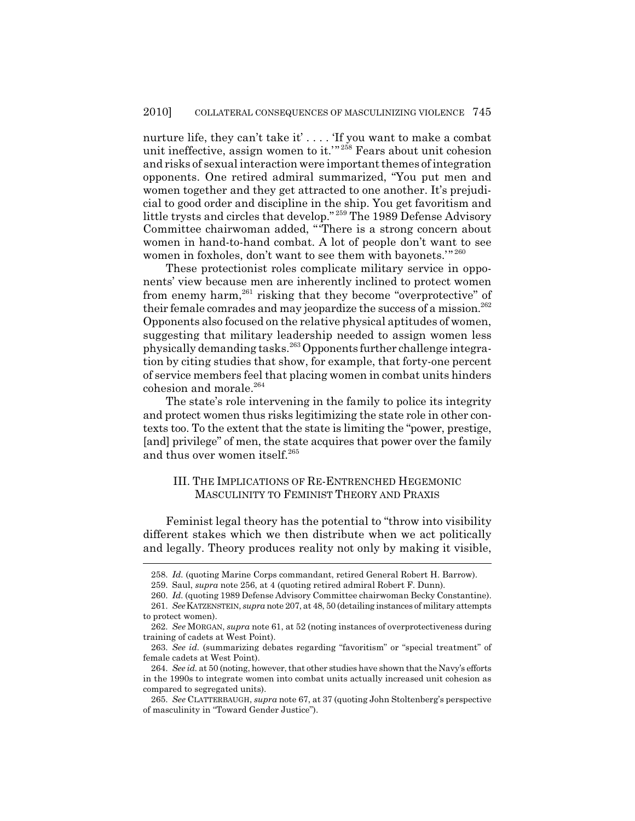nurture life, they can't take it' . . . . 'If you want to make a combat unit ineffective, assign women to it.<sup>'" 258</sup> Fears about unit cohesion and risks of sexual interaction were important themes of integration opponents. One retired admiral summarized, "You put men and women together and they get attracted to one another. It's prejudicial to good order and discipline in the ship. You get favoritism and little trysts and circles that develop." 259 The 1989 Defense Advisory Committee chairwoman added, "'There is a strong concern about women in hand-to-hand combat. A lot of people don't want to see women in foxholes, don't want to see them with bayonets.'" <sup>260</sup>

These protectionist roles complicate military service in opponents' view because men are inherently inclined to protect women from enemy harm,<sup>261</sup> risking that they become "overprotective" of their female comrades and may jeopardize the success of a mission. $^{262}$ Opponents also focused on the relative physical aptitudes of women, suggesting that military leadership needed to assign women less physically demanding tasks.263 Opponents further challenge integration by citing studies that show, for example, that forty-one percent of service members feel that placing women in combat units hinders cohesion and morale.<sup>264</sup>

The state's role intervening in the family to police its integrity and protect women thus risks legitimizing the state role in other contexts too. To the extent that the state is limiting the "power, prestige, [and] privilege" of men, the state acquires that power over the family and thus over women itself.<sup>265</sup>

### III. THE IMPLICATIONS OF RE-ENTRENCHED HEGEMONIC MASCULINITY TO FEMINIST THEORY AND PRAXIS

Feminist legal theory has the potential to "throw into visibility different stakes which we then distribute when we act politically and legally. Theory produces reality not only by making it visible,

<sup>258.</sup> *Id.* (quoting Marine Corps commandant, retired General Robert H. Barrow).

<sup>259.</sup> Saul, *supra* note 256, at 4 (quoting retired admiral Robert F. Dunn).

<sup>260.</sup> *Id.* (quoting 1989 Defense Advisory Committee chairwoman Becky Constantine). 261. *See*KATZENSTEIN, *supra* note 207, at 48, 50 (detailing instances of military attempts to protect women).

<sup>262.</sup> *See* MORGAN, *supra* note 61, at 52 (noting instances of overprotectiveness during training of cadets at West Point).

<sup>263.</sup> *See id.* (summarizing debates regarding "favoritism" or "special treatment" of female cadets at West Point).

<sup>264.</sup> *See id.* at 50 (noting, however, that other studies have shown that the Navy's efforts in the 1990s to integrate women into combat units actually increased unit cohesion as compared to segregated units).

<sup>265.</sup> *See* CLATTERBAUGH, *supra* note 67, at 37 (quoting John Stoltenberg's perspective of masculinity in "Toward Gender Justice").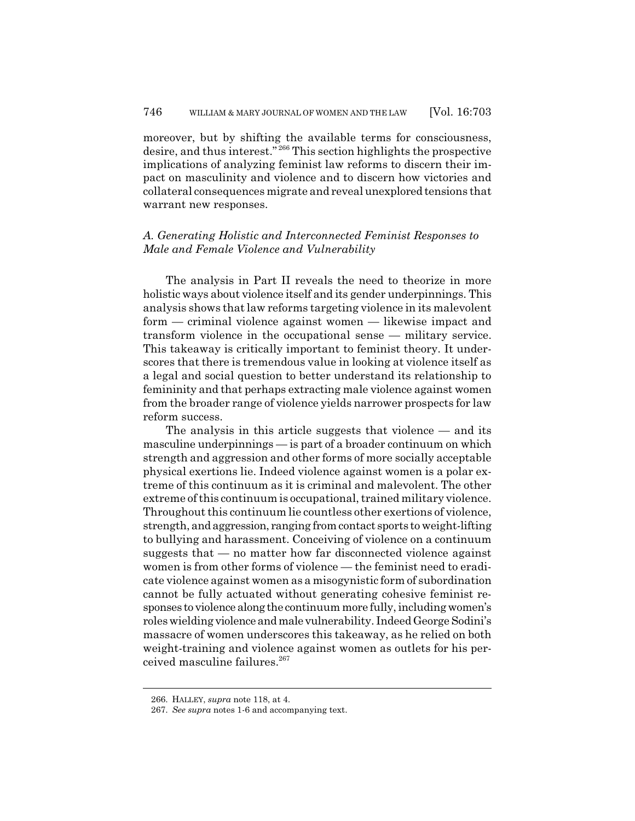moreover, but by shifting the available terms for consciousness, desire, and thus interest." 266 This section highlights the prospective implications of analyzing feminist law reforms to discern their impact on masculinity and violence and to discern how victories and collateral consequences migrate and reveal unexplored tensions that warrant new responses.

## *A. Generating Holistic and Interconnected Feminist Responses to Male and Female Violence and Vulnerability*

The analysis in Part II reveals the need to theorize in more holistic ways about violence itself and its gender underpinnings. This analysis shows that law reforms targeting violence in its malevolent form — criminal violence against women — likewise impact and transform violence in the occupational sense — military service. This takeaway is critically important to feminist theory. It underscores that there is tremendous value in looking at violence itself as a legal and social question to better understand its relationship to femininity and that perhaps extracting male violence against women from the broader range of violence yields narrower prospects for law reform success.

The analysis in this article suggests that violence — and its masculine underpinnings — is part of a broader continuum on which strength and aggression and other forms of more socially acceptable physical exertions lie. Indeed violence against women is a polar extreme of this continuum as it is criminal and malevolent. The other extreme of this continuum is occupational, trained military violence. Throughout this continuum lie countless other exertions of violence, strength, and aggression, ranging from contact sports to weight-lifting to bullying and harassment. Conceiving of violence on a continuum suggests that — no matter how far disconnected violence against women is from other forms of violence — the feminist need to eradicate violence against women as a misogynistic form of subordination cannot be fully actuated without generating cohesive feminist responses to violence along the continuum more fully, including women's roles wielding violence and male vulnerability. Indeed George Sodini's massacre of women underscores this takeaway, as he relied on both weight-training and violence against women as outlets for his perceived masculine failures.<sup>267</sup>

<sup>266.</sup> HALLEY, *supra* note 118, at 4.

<sup>267.</sup> *See supra* notes 1-6 and accompanying text.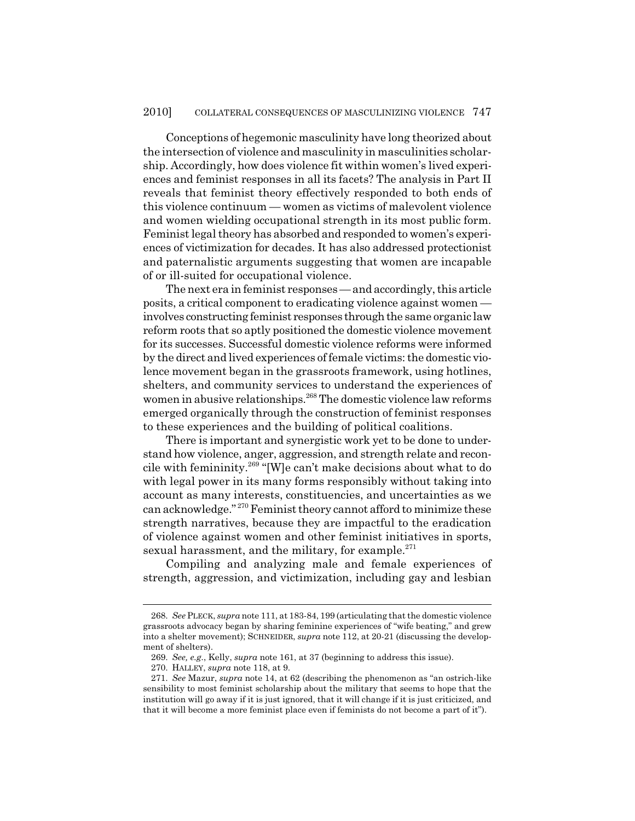Conceptions of hegemonic masculinity have long theorized about the intersection of violence and masculinity in masculinities scholarship. Accordingly, how does violence fit within women's lived experiences and feminist responses in all its facets? The analysis in Part II reveals that feminist theory effectively responded to both ends of this violence continuum — women as victims of malevolent violence and women wielding occupational strength in its most public form. Feminist legal theory has absorbed and responded to women's experiences of victimization for decades. It has also addressed protectionist and paternalistic arguments suggesting that women are incapable of or ill-suited for occupational violence.

The next era in feminist responses — and accordingly, this article posits, a critical component to eradicating violence against women involves constructing feminist responses through the same organic law reform roots that so aptly positioned the domestic violence movement for its successes. Successful domestic violence reforms were informed by the direct and lived experiences of female victims: the domestic violence movement began in the grassroots framework, using hotlines, shelters, and community services to understand the experiences of women in abusive relationships.<sup>268</sup> The domestic violence law reforms emerged organically through the construction of feminist responses to these experiences and the building of political coalitions.

There is important and synergistic work yet to be done to understand how violence, anger, aggression, and strength relate and reconcile with femininity.269 "[W]e can't make decisions about what to do with legal power in its many forms responsibly without taking into account as many interests, constituencies, and uncertainties as we can acknowledge." 270 Feminist theory cannot afford to minimize these strength narratives, because they are impactful to the eradication of violence against women and other feminist initiatives in sports, sexual harassment, and the military, for example.<sup>271</sup>

Compiling and analyzing male and female experiences of strength, aggression, and victimization, including gay and lesbian

<sup>268.</sup> *See* PLECK, *supra* note 111, at 183-84, 199 (articulating that the domestic violence grassroots advocacy began by sharing feminine experiences of "wife beating," and grew into a shelter movement); SCHNEIDER, *supra* note 112, at 20-21 (discussing the development of shelters).

<sup>269.</sup> *See, e.g.*, Kelly, *supra* note 161, at 37 (beginning to address this issue).

<sup>270.</sup> HALLEY, *supra* note 118, at 9.

<sup>271.</sup> *See* Mazur, *supra* note 14, at 62 (describing the phenomenon as "an ostrich-like sensibility to most feminist scholarship about the military that seems to hope that the institution will go away if it is just ignored, that it will change if it is just criticized, and that it will become a more feminist place even if feminists do not become a part of it").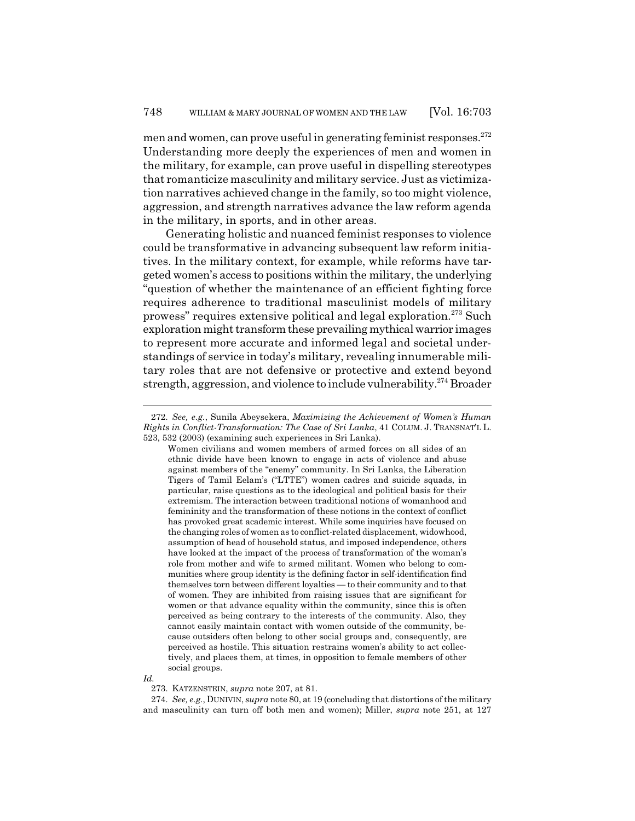men and women, can prove useful in generating feminist responses.  $272$ Understanding more deeply the experiences of men and women in the military, for example, can prove useful in dispelling stereotypes that romanticize masculinity and military service. Just as victimization narratives achieved change in the family, so too might violence, aggression, and strength narratives advance the law reform agenda in the military, in sports, and in other areas.

Generating holistic and nuanced feminist responses to violence could be transformative in advancing subsequent law reform initiatives. In the military context, for example, while reforms have targeted women's access to positions within the military, the underlying "question of whether the maintenance of an efficient fighting force requires adherence to traditional masculinist models of military prowess" requires extensive political and legal exploration.273 Such exploration might transform these prevailing mythical warrior images to represent more accurate and informed legal and societal understandings of service in today's military, revealing innumerable military roles that are not defensive or protective and extend beyond strength, aggression, and violence to include vulnerability.<sup>274</sup> Broader

*Id.*

274. *See, e.g.*, DUNIVIN, *supra* note 80, at 19 (concluding that distortions of the military and masculinity can turn off both men and women); Miller, *supra* note 251, at 127

<sup>272.</sup> *See, e.g.*, Sunila Abeysekera, *Maximizing the Achievement of Women's Human Rights in Conflict-Transformation: The Case of Sri Lanka*, 41 COLUM. J. TRANSNAT'L L. 523, 532 (2003) (examining such experiences in Sri Lanka).

Women civilians and women members of armed forces on all sides of an ethnic divide have been known to engage in acts of violence and abuse against members of the "enemy" community. In Sri Lanka, the Liberation Tigers of Tamil Eelam's ("LTTE") women cadres and suicide squads, in particular, raise questions as to the ideological and political basis for their extremism. The interaction between traditional notions of womanhood and femininity and the transformation of these notions in the context of conflict has provoked great academic interest. While some inquiries have focused on the changing roles of women as to conflict-related displacement, widowhood, assumption of head of household status, and imposed independence, others have looked at the impact of the process of transformation of the woman's role from mother and wife to armed militant. Women who belong to communities where group identity is the defining factor in self-identification find themselves torn between different loyalties — to their community and to that of women. They are inhibited from raising issues that are significant for women or that advance equality within the community, since this is often perceived as being contrary to the interests of the community. Also, they cannot easily maintain contact with women outside of the community, because outsiders often belong to other social groups and, consequently, are perceived as hostile. This situation restrains women's ability to act collectively, and places them, at times, in opposition to female members of other social groups.

<sup>273.</sup> KATZENSTEIN, *supra* note 207, at 81.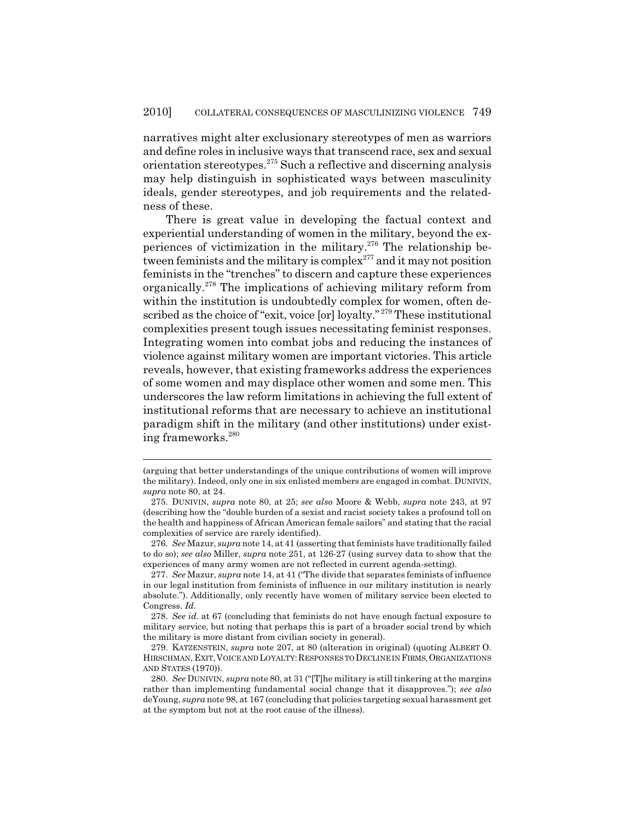narratives might alter exclusionary stereotypes of men as warriors and define roles in inclusive ways that transcend race, sex and sexual orientation stereotypes.275 Such a reflective and discerning analysis may help distinguish in sophisticated ways between masculinity ideals, gender stereotypes, and job requirements and the relatedness of these.

There is great value in developing the factual context and experiential understanding of women in the military, beyond the experiences of victimization in the military.<sup>276</sup> The relationship between feminists and the military is complex<sup>277</sup> and it may not position feminists in the "trenches" to discern and capture these experiences organically.278 The implications of achieving military reform from within the institution is undoubtedly complex for women, often described as the choice of "exit, voice [or] loyalty." 279 These institutional complexities present tough issues necessitating feminist responses. Integrating women into combat jobs and reducing the instances of violence against military women are important victories. This article reveals, however, that existing frameworks address the experiences of some women and may displace other women and some men. This underscores the law reform limitations in achieving the full extent of institutional reforms that are necessary to achieve an institutional paradigm shift in the military (and other institutions) under existing frameworks.280

<sup>(</sup>arguing that better understandings of the unique contributions of women will improve the military). Indeed, only one in six enlisted members are engaged in combat. DUNIVIN, *supra* note 80, at 24.

<sup>275.</sup> DUNIVIN, *supra* note 80, at 25; *see also* Moore & Webb, *supra* note 243, at 97 (describing how the "double burden of a sexist and racist society takes a profound toll on the health and happiness of African American female sailors" and stating that the racial complexities of service are rarely identified).

<sup>276.</sup> *See* Mazur, *supra* note 14, at 41 (asserting that feminists have traditionally failed to do so); *see also* Miller, *supra* note 251, at 126-27 (using survey data to show that the experiences of many army women are not reflected in current agenda-setting).

<sup>277.</sup> *See* Mazur, *supra* note 14, at 41 ("The divide that separates feminists of influence in our legal institution from feminists of influence in our military institution is nearly absolute."). Additionally, only recently have women of military service been elected to Congress. *Id.*

<sup>278.</sup> *See id.* at 67 (concluding that feminists do not have enough factual exposure to military service, but noting that perhaps this is part of a broader social trend by which the military is more distant from civilian society in general).

<sup>279.</sup> KATZENSTEIN, *supra* note 207, at 80 (alteration in original) (quoting ALBERT O. HIRSCHMAN, EXIT, VOICE AND LOYALTY: RESPONSES TO DECLINE IN FIRMS, ORGANIZATIONS AND STATES (1970)).

<sup>280.</sup> *See* DUNIVIN, *supra* note 80, at 31 ("[T]he military is still tinkering at the margins rather than implementing fundamental social change that it disapproves."); *see also* deYoung, *supra* note 98, at 167 (concluding that policies targeting sexual harassment get at the symptom but not at the root cause of the illness).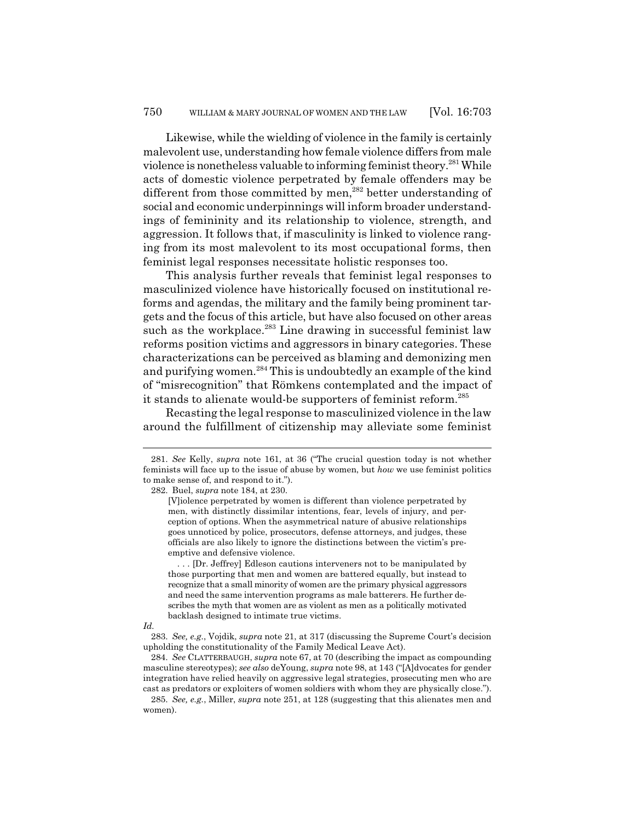Likewise, while the wielding of violence in the family is certainly malevolent use, understanding how female violence differs from male violence is nonetheless valuable to informing feminist theory.281 While acts of domestic violence perpetrated by female offenders may be different from those committed by men,<sup>282</sup> better understanding of social and economic underpinnings will inform broader understandings of femininity and its relationship to violence, strength, and aggression. It follows that, if masculinity is linked to violence ranging from its most malevolent to its most occupational forms, then feminist legal responses necessitate holistic responses too.

This analysis further reveals that feminist legal responses to masculinized violence have historically focused on institutional reforms and agendas, the military and the family being prominent targets and the focus of this article, but have also focused on other areas such as the workplace.<sup>283</sup> Line drawing in successful feminist law reforms position victims and aggressors in binary categories. These characterizations can be perceived as blaming and demonizing men and purifying women.<sup>284</sup> This is undoubtedly an example of the kind of "misrecognition" that Römkens contemplated and the impact of it stands to alienate would-be supporters of feminist reform.<sup>285</sup>

Recasting the legal response to masculinized violence in the law around the fulfillment of citizenship may alleviate some feminist

282. Buel, *supra* note 184, at 230.

. . . [Dr. Jeffrey] Edleson cautions interveners not to be manipulated by those purporting that men and women are battered equally, but instead to recognize that a small minority of women are the primary physical aggressors and need the same intervention programs as male batterers. He further describes the myth that women are as violent as men as a politically motivated backlash designed to intimate true victims.

<sup>281.</sup> *See* Kelly, *supra* note 161, at 36 ("The crucial question today is not whether feminists will face up to the issue of abuse by women, but *how* we use feminist politics to make sense of, and respond to it.").

<sup>[</sup>V]iolence perpetrated by women is different than violence perpetrated by men, with distinctly dissimilar intentions, fear, levels of injury, and perception of options. When the asymmetrical nature of abusive relationships goes unnoticed by police, prosecutors, defense attorneys, and judges, these officials are also likely to ignore the distinctions between the victim's preemptive and defensive violence.

*Id.*

<sup>283.</sup> *See, e.g.*, Vojdik, *supra* note 21, at 317 (discussing the Supreme Court's decision upholding the constitutionality of the Family Medical Leave Act).

<sup>284.</sup> *See* CLATTERBAUGH, *supra* note 67, at 70 (describing the impact as compounding masculine stereotypes); *see also* deYoung, *supra* note 98, at 143 ("[A]dvocates for gender integration have relied heavily on aggressive legal strategies, prosecuting men who are cast as predators or exploiters of women soldiers with whom they are physically close.").

<sup>285.</sup> *See, e.g.*, Miller, *supra* note 251, at 128 (suggesting that this alienates men and women).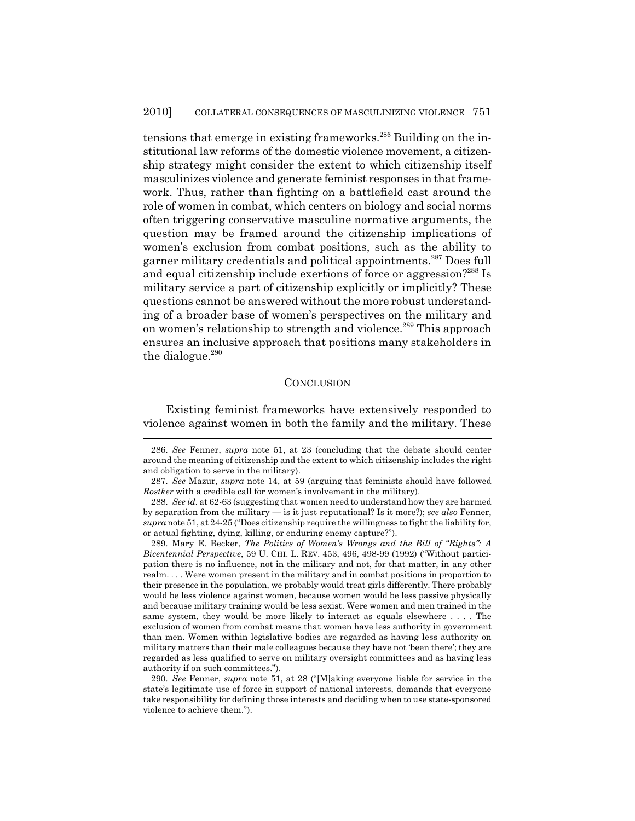tensions that emerge in existing frameworks.<sup>286</sup> Building on the institutional law reforms of the domestic violence movement, a citizenship strategy might consider the extent to which citizenship itself masculinizes violence and generate feminist responses in that framework. Thus, rather than fighting on a battlefield cast around the role of women in combat, which centers on biology and social norms often triggering conservative masculine normative arguments, the question may be framed around the citizenship implications of women's exclusion from combat positions, such as the ability to garner military credentials and political appointments.287 Does full and equal citizenship include exertions of force or aggression?<sup>288</sup> Is military service a part of citizenship explicitly or implicitly? These questions cannot be answered without the more robust understanding of a broader base of women's perspectives on the military and on women's relationship to strength and violence.<sup>289</sup> This approach ensures an inclusive approach that positions many stakeholders in the dialogue.<sup>290</sup>

#### **CONCLUSION**

Existing feminist frameworks have extensively responded to violence against women in both the family and the military. These

<sup>286.</sup> *See* Fenner, *supra* note 51, at 23 (concluding that the debate should center around the meaning of citizenship and the extent to which citizenship includes the right and obligation to serve in the military).

<sup>287.</sup> *See* Mazur, *supra* note 14, at 59 (arguing that feminists should have followed *Rostker* with a credible call for women's involvement in the military).

<sup>288.</sup> *See id.* at 62-63 (suggesting that women need to understand how they are harmed by separation from the military — is it just reputational? Is it more?); *see also* Fenner, *supra* note 51, at 24-25 ("Does citizenship require the willingness to fight the liability for, or actual fighting, dying, killing, or enduring enemy capture?").

<sup>289.</sup> Mary E. Becker, *The Politics of Women's Wrongs and the Bill of "Rights": A Bicentennial Perspective*, 59 U. CHI. L. REV. 453, 496, 498-99 (1992) ("Without participation there is no influence, not in the military and not, for that matter, in any other realm. . . . Were women present in the military and in combat positions in proportion to their presence in the population, we probably would treat girls differently. There probably would be less violence against women, because women would be less passive physically and because military training would be less sexist. Were women and men trained in the same system, they would be more likely to interact as equals elsewhere . . . . The exclusion of women from combat means that women have less authority in government than men. Women within legislative bodies are regarded as having less authority on military matters than their male colleagues because they have not 'been there'; they are regarded as less qualified to serve on military oversight committees and as having less authority if on such committees.").

<sup>290.</sup> *See* Fenner, *supra* note 51, at 28 ("[M]aking everyone liable for service in the state's legitimate use of force in support of national interests, demands that everyone take responsibility for defining those interests and deciding when to use state-sponsored violence to achieve them.").